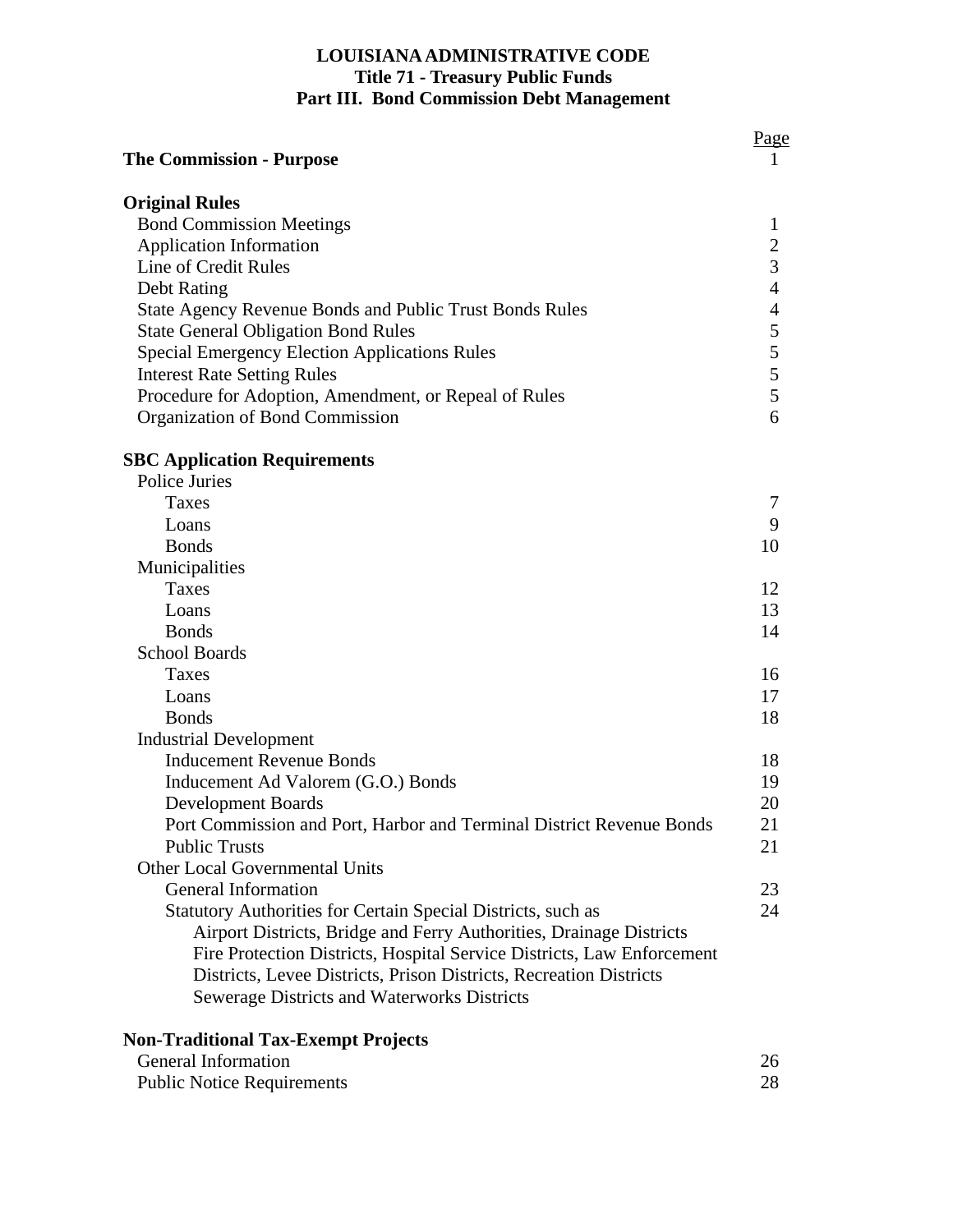# **LOUISIANA ADMINISTRATIVE CODE Title 71 - Treasury Public Funds Part III. Bond Commission Debt Management**

| <b>The Commission - Purpose</b>                                        |  |
|------------------------------------------------------------------------|--|
| <b>Original Rules</b>                                                  |  |
| <b>Bond Commission Meetings</b>                                        |  |
| <b>Application Information</b>                                         |  |
| Line of Credit Rules                                                   |  |
| Debt Rating                                                            |  |
| State Agency Revenue Bonds and Public Trust Bonds Rules                |  |
| <b>State General Obligation Bond Rules</b>                             |  |
| <b>Special Emergency Election Applications Rules</b>                   |  |
| <b>Interest Rate Setting Rules</b>                                     |  |
| Procedure for Adoption, Amendment, or Repeal of Rules                  |  |
| Organization of Bond Commission                                        |  |
| <b>SBC Application Requirements</b>                                    |  |
| Police Juries                                                          |  |
| Taxes                                                                  |  |
| Loans                                                                  |  |
| <b>Bonds</b>                                                           |  |
| Municipalities                                                         |  |
| Taxes                                                                  |  |
| Loans                                                                  |  |
| <b>Bonds</b>                                                           |  |
| <b>School Boards</b>                                                   |  |
| Taxes                                                                  |  |
| Loans                                                                  |  |
| <b>Bonds</b>                                                           |  |
| <b>Industrial Development</b>                                          |  |
| <b>Inducement Revenue Bonds</b>                                        |  |
| Inducement Ad Valorem (G.O.) Bonds                                     |  |
| <b>Development Boards</b>                                              |  |
| Port Commission and Port, Harbor and Terminal District Revenue Bonds   |  |
| <b>Public Trusts</b>                                                   |  |
| <b>Other Local Governmental Units</b>                                  |  |
| General Information                                                    |  |
| Statutory Authorities for Certain Special Districts, such as           |  |
| Airport Districts, Bridge and Ferry Authorities, Drainage Districts    |  |
| Fire Protection Districts, Hospital Service Districts, Law Enforcement |  |
| Districts, Levee Districts, Prison Districts, Recreation Districts     |  |
| Sewerage Districts and Waterworks Districts                            |  |

| <b>General Information</b>        |  |
|-----------------------------------|--|
| <b>Public Notice Requirements</b> |  |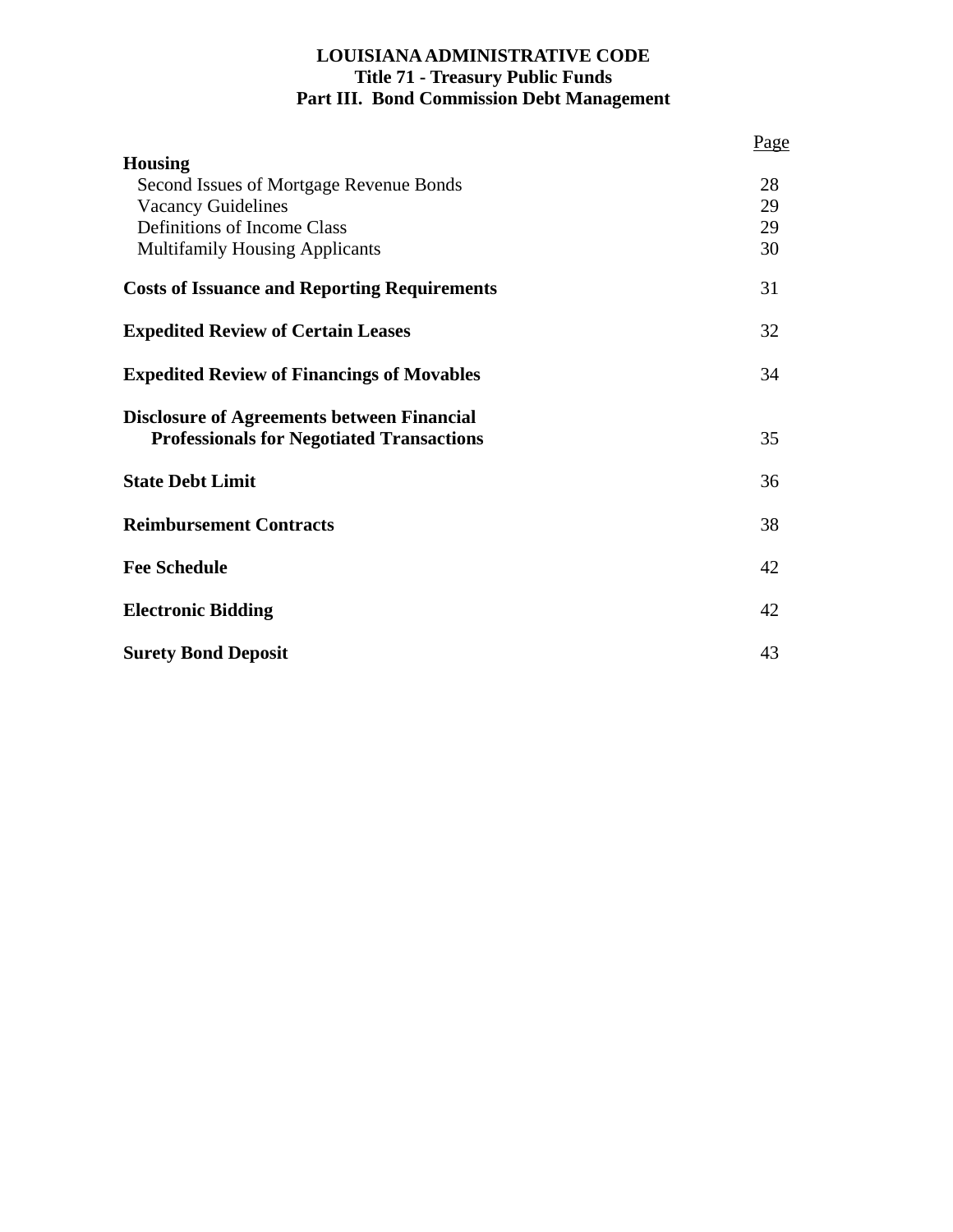# **LOUISIANA ADMINISTRATIVE CODE Title 71 - Treasury Public Funds Part III. Bond Commission Debt Management**

|                                                                                                       | Page |
|-------------------------------------------------------------------------------------------------------|------|
| <b>Housing</b>                                                                                        |      |
| Second Issues of Mortgage Revenue Bonds                                                               | 28   |
| <b>Vacancy Guidelines</b>                                                                             | 29   |
| Definitions of Income Class                                                                           | 29   |
| <b>Multifamily Housing Applicants</b>                                                                 | 30   |
| <b>Costs of Issuance and Reporting Requirements</b>                                                   | 31   |
| <b>Expedited Review of Certain Leases</b>                                                             | 32   |
| <b>Expedited Review of Financings of Movables</b>                                                     | 34   |
| <b>Disclosure of Agreements between Financial</b><br><b>Professionals for Negotiated Transactions</b> | 35   |
| <b>State Debt Limit</b>                                                                               | 36   |
| <b>Reimbursement Contracts</b>                                                                        | 38   |
| <b>Fee Schedule</b>                                                                                   | 42   |
| <b>Electronic Bidding</b>                                                                             | 42   |
| <b>Surety Bond Deposit</b>                                                                            | 43   |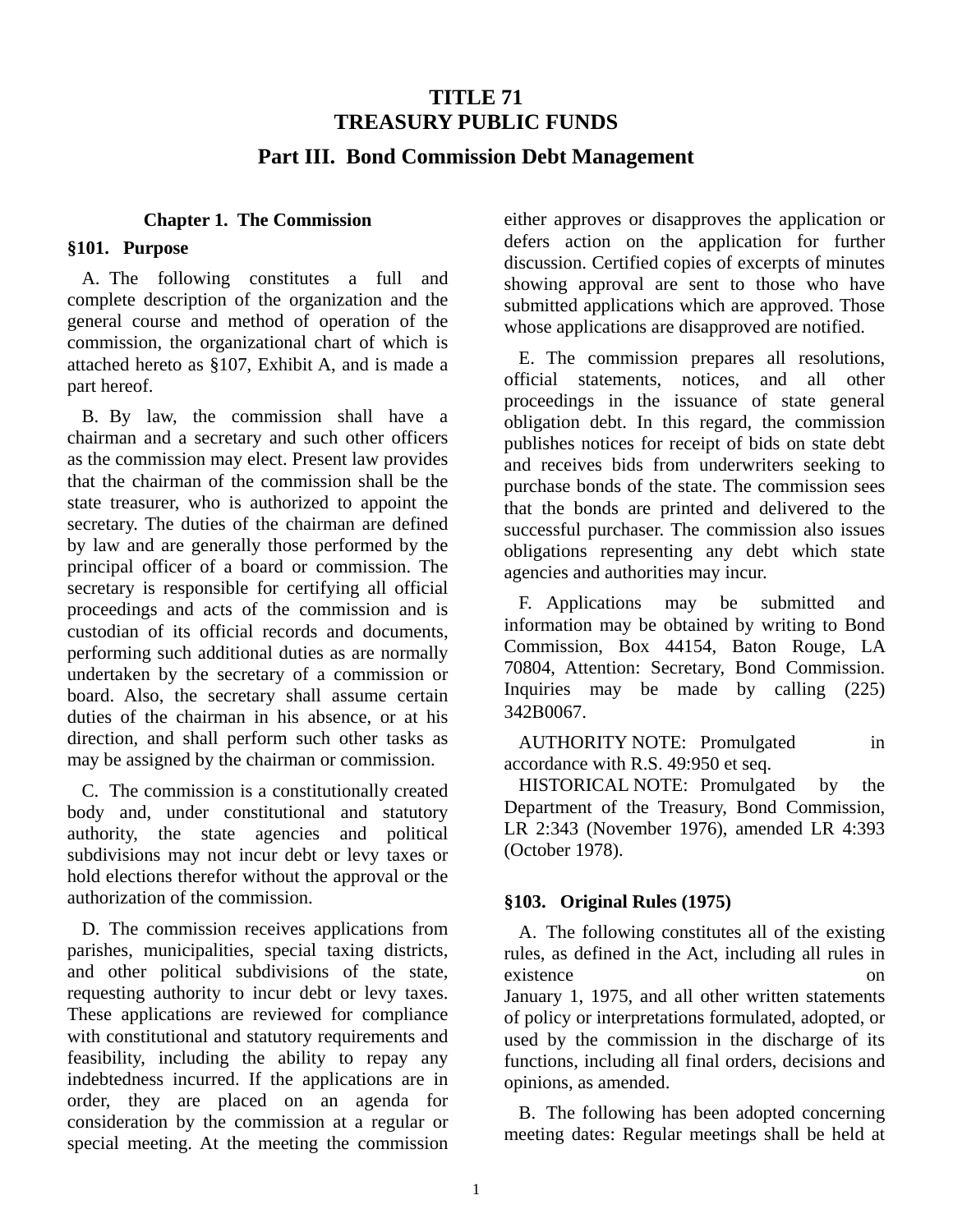# **TITLE 71 TREASURY PUBLIC FUNDS Part III. Bond Commission Debt Management**

#### **Chapter 1. The Commission**

#### **§101. Purpose**

A. The following constitutes a full and complete description of the organization and the general course and method of operation of the commission, the organizational chart of which is attached hereto as §107, Exhibit A, and is made a part hereof.

B. By law, the commission shall have a chairman and a secretary and such other officers as the commission may elect. Present law provides that the chairman of the commission shall be the state treasurer, who is authorized to appoint the secretary. The duties of the chairman are defined by law and are generally those performed by the principal officer of a board or commission. The secretary is responsible for certifying all official proceedings and acts of the commission and is custodian of its official records and documents, performing such additional duties as are normally undertaken by the secretary of a commission or board. Also, the secretary shall assume certain duties of the chairman in his absence, or at his direction, and shall perform such other tasks as may be assigned by the chairman or commission.

C. The commission is a constitutionally created body and, under constitutional and statutory authority, the state agencies and political subdivisions may not incur debt or levy taxes or hold elections therefor without the approval or the authorization of the commission.

D. The commission receives applications from parishes, municipalities, special taxing districts, and other political subdivisions of the state, requesting authority to incur debt or levy taxes. These applications are reviewed for compliance with constitutional and statutory requirements and feasibility, including the ability to repay any indebtedness incurred. If the applications are in order, they are placed on an agenda for consideration by the commission at a regular or special meeting. At the meeting the commission

either approves or disapproves the application or defers action on the application for further discussion. Certified copies of excerpts of minutes showing approval are sent to those who have submitted applications which are approved. Those whose applications are disapproved are notified.

E. The commission prepares all resolutions, official statements, notices, and all other proceedings in the issuance of state general obligation debt. In this regard, the commission publishes notices for receipt of bids on state debt and receives bids from underwriters seeking to purchase bonds of the state. The commission sees that the bonds are printed and delivered to the successful purchaser. The commission also issues obligations representing any debt which state agencies and authorities may incur.

F. Applications may be submitted and information may be obtained by writing to Bond Commission, Box 44154, Baton Rouge, LA 70804, Attention: Secretary, Bond Commission. Inquiries may be made by calling (225) 342Β0067.

AUTHORITY NOTE: Promulgated in accordance with R.S. 49:950 et seq.

HISTORICAL NOTE: Promulgated by the Department of the Treasury, Bond Commission, LR 2:343 (November 1976), amended LR 4:393 (October 1978).

#### **§103. Original Rules (1975)**

A. The following constitutes all of the existing rules, as defined in the Act, including all rules in existence on January 1, 1975, and all other written statements of policy or interpretations formulated, adopted, or used by the commission in the discharge of its functions, including all final orders, decisions and opinions, as amended.

B. The following has been adopted concerning meeting dates: Regular meetings shall be held at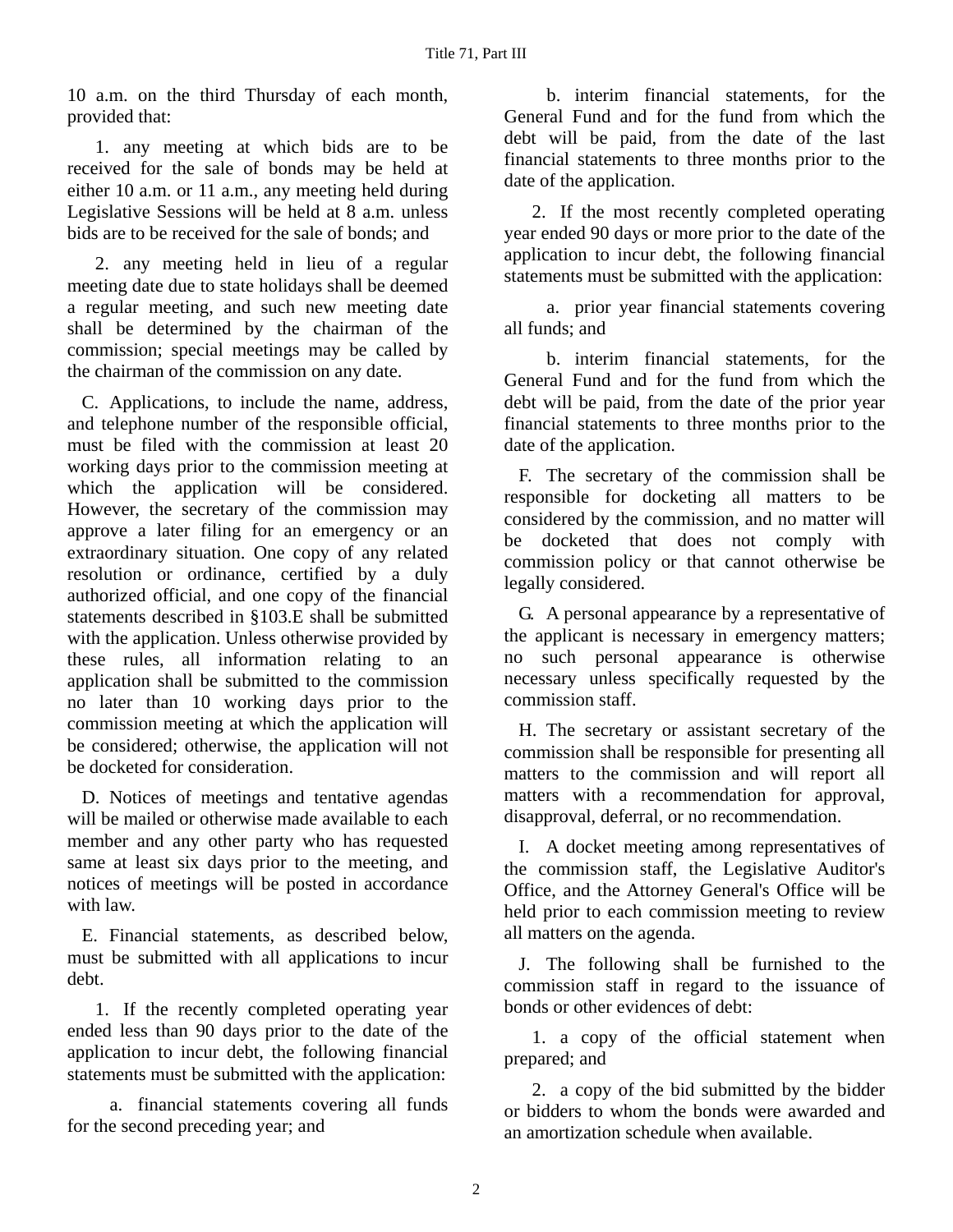10 a.m. on the third Thursday of each month, provided that:

1. any meeting at which bids are to be received for the sale of bonds may be held at either 10 a.m. or 11 a.m., any meeting held during Legislative Sessions will be held at 8 a.m. unless bids are to be received for the sale of bonds; and

2. any meeting held in lieu of a regular meeting date due to state holidays shall be deemed a regular meeting, and such new meeting date shall be determined by the chairman of the commission; special meetings may be called by the chairman of the commission on any date.

C. Applications, to include the name, address, and telephone number of the responsible official, must be filed with the commission at least 20 working days prior to the commission meeting at which the application will be considered. However, the secretary of the commission may approve a later filing for an emergency or an extraordinary situation. One copy of any related resolution or ordinance, certified by a duly authorized official, and one copy of the financial statements described in §103.E shall be submitted with the application. Unless otherwise provided by these rules, all information relating to an application shall be submitted to the commission no later than 10 working days prior to the commission meeting at which the application will be considered; otherwise, the application will not be docketed for consideration.

D. Notices of meetings and tentative agendas will be mailed or otherwise made available to each member and any other party who has requested same at least six days prior to the meeting, and notices of meetings will be posted in accordance with law.

E. Financial statements, as described below, must be submitted with all applications to incur debt.

1. If the recently completed operating year ended less than 90 days prior to the date of the application to incur debt, the following financial statements must be submitted with the application:

a. financial statements covering all funds for the second preceding year; and

b. interim financial statements, for the General Fund and for the fund from which the debt will be paid, from the date of the last financial statements to three months prior to the date of the application.

2. If the most recently completed operating year ended 90 days or more prior to the date of the application to incur debt, the following financial statements must be submitted with the application:

a. prior year financial statements covering all funds; and

b. interim financial statements, for the General Fund and for the fund from which the debt will be paid, from the date of the prior year financial statements to three months prior to the date of the application.

F. The secretary of the commission shall be responsible for docketing all matters to be considered by the commission, and no matter will be docketed that does not comply with commission policy or that cannot otherwise be legally considered.

G. A personal appearance by a representative of the applicant is necessary in emergency matters; no such personal appearance is otherwise necessary unless specifically requested by the commission staff.

H. The secretary or assistant secretary of the commission shall be responsible for presenting all matters to the commission and will report all matters with a recommendation for approval, disapproval, deferral, or no recommendation.

I. A docket meeting among representatives of the commission staff, the Legislative Auditor's Office, and the Attorney General's Office will be held prior to each commission meeting to review all matters on the agenda.

J. The following shall be furnished to the commission staff in regard to the issuance of bonds or other evidences of debt:

1. a copy of the official statement when prepared; and

2. a copy of the bid submitted by the bidder or bidders to whom the bonds were awarded and an amortization schedule when available.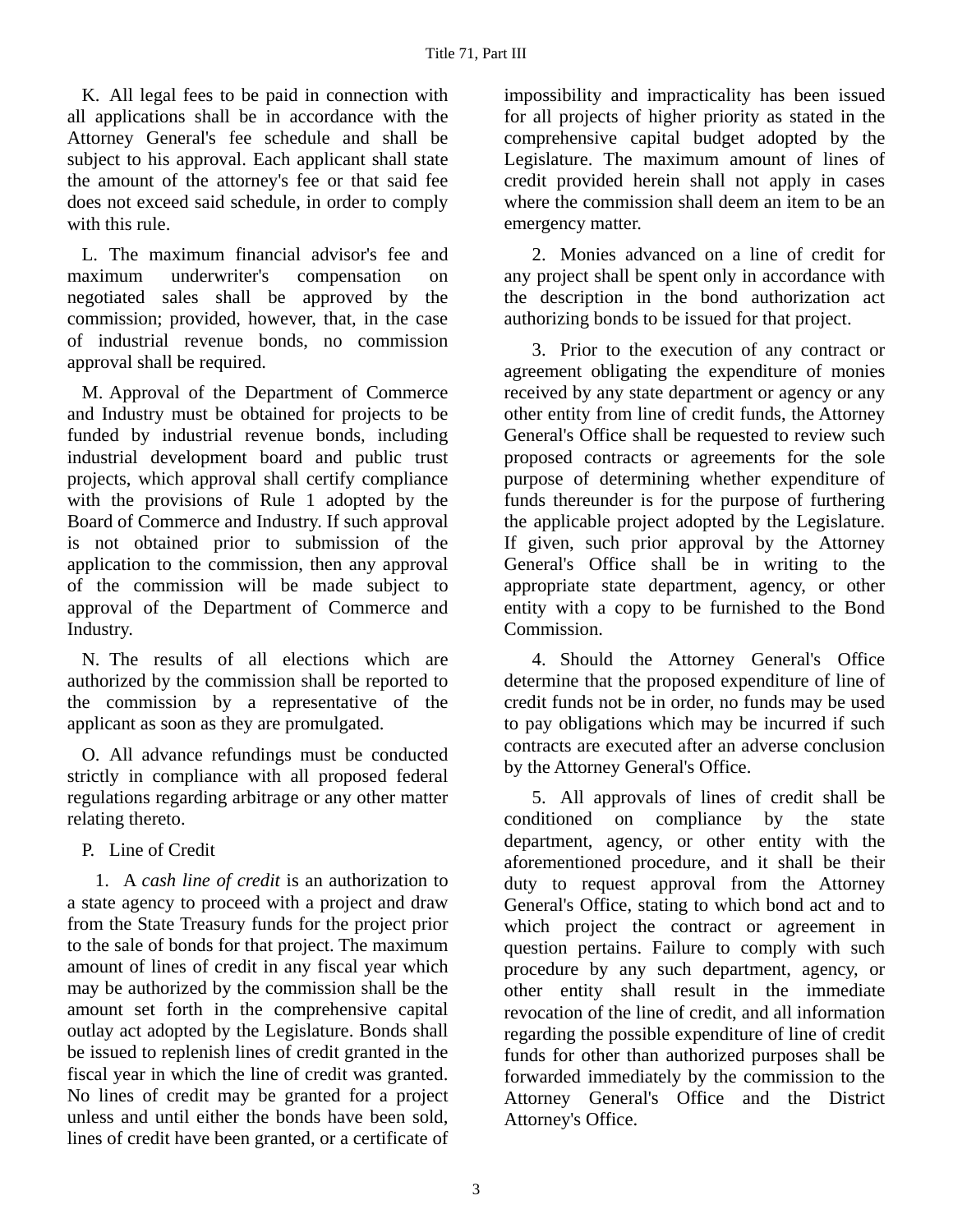K. All legal fees to be paid in connection with all applications shall be in accordance with the Attorney General's fee schedule and shall be subject to his approval. Each applicant shall state the amount of the attorney's fee or that said fee does not exceed said schedule, in order to comply with this rule.

L. The maximum financial advisor's fee and maximum underwriter's compensation on negotiated sales shall be approved by the commission; provided, however, that, in the case of industrial revenue bonds, no commission approval shall be required.

M. Approval of the Department of Commerce and Industry must be obtained for projects to be funded by industrial revenue bonds, including industrial development board and public trust projects, which approval shall certify compliance with the provisions of Rule 1 adopted by the Board of Commerce and Industry. If such approval is not obtained prior to submission of the application to the commission, then any approval of the commission will be made subject to approval of the Department of Commerce and Industry.

N. The results of all elections which are authorized by the commission shall be reported to the commission by a representative of the applicant as soon as they are promulgated.

O. All advance refundings must be conducted strictly in compliance with all proposed federal regulations regarding arbitrage or any other matter relating thereto.

P. Line of Credit

1. A *cash line of credit* is an authorization to a state agency to proceed with a project and draw from the State Treasury funds for the project prior to the sale of bonds for that project. The maximum amount of lines of credit in any fiscal year which may be authorized by the commission shall be the amount set forth in the comprehensive capital outlay act adopted by the Legislature. Bonds shall be issued to replenish lines of credit granted in the fiscal year in which the line of credit was granted. No lines of credit may be granted for a project unless and until either the bonds have been sold, lines of credit have been granted, or a certificate of impossibility and impracticality has been issued for all projects of higher priority as stated in the comprehensive capital budget adopted by the Legislature. The maximum amount of lines of credit provided herein shall not apply in cases where the commission shall deem an item to be an emergency matter.

2. Monies advanced on a line of credit for any project shall be spent only in accordance with the description in the bond authorization act authorizing bonds to be issued for that project.

3. Prior to the execution of any contract or agreement obligating the expenditure of monies received by any state department or agency or any other entity from line of credit funds, the Attorney General's Office shall be requested to review such proposed contracts or agreements for the sole purpose of determining whether expenditure of funds thereunder is for the purpose of furthering the applicable project adopted by the Legislature. If given, such prior approval by the Attorney General's Office shall be in writing to the appropriate state department, agency, or other entity with a copy to be furnished to the Bond Commission.

4. Should the Attorney General's Office determine that the proposed expenditure of line of credit funds not be in order, no funds may be used to pay obligations which may be incurred if such contracts are executed after an adverse conclusion by the Attorney General's Office.

5. All approvals of lines of credit shall be conditioned on compliance by the state department, agency, or other entity with the aforementioned procedure, and it shall be their duty to request approval from the Attorney General's Office, stating to which bond act and to which project the contract or agreement in question pertains. Failure to comply with such procedure by any such department, agency, or other entity shall result in the immediate revocation of the line of credit, and all information regarding the possible expenditure of line of credit funds for other than authorized purposes shall be forwarded immediately by the commission to the Attorney General's Office and the District Attorney's Office.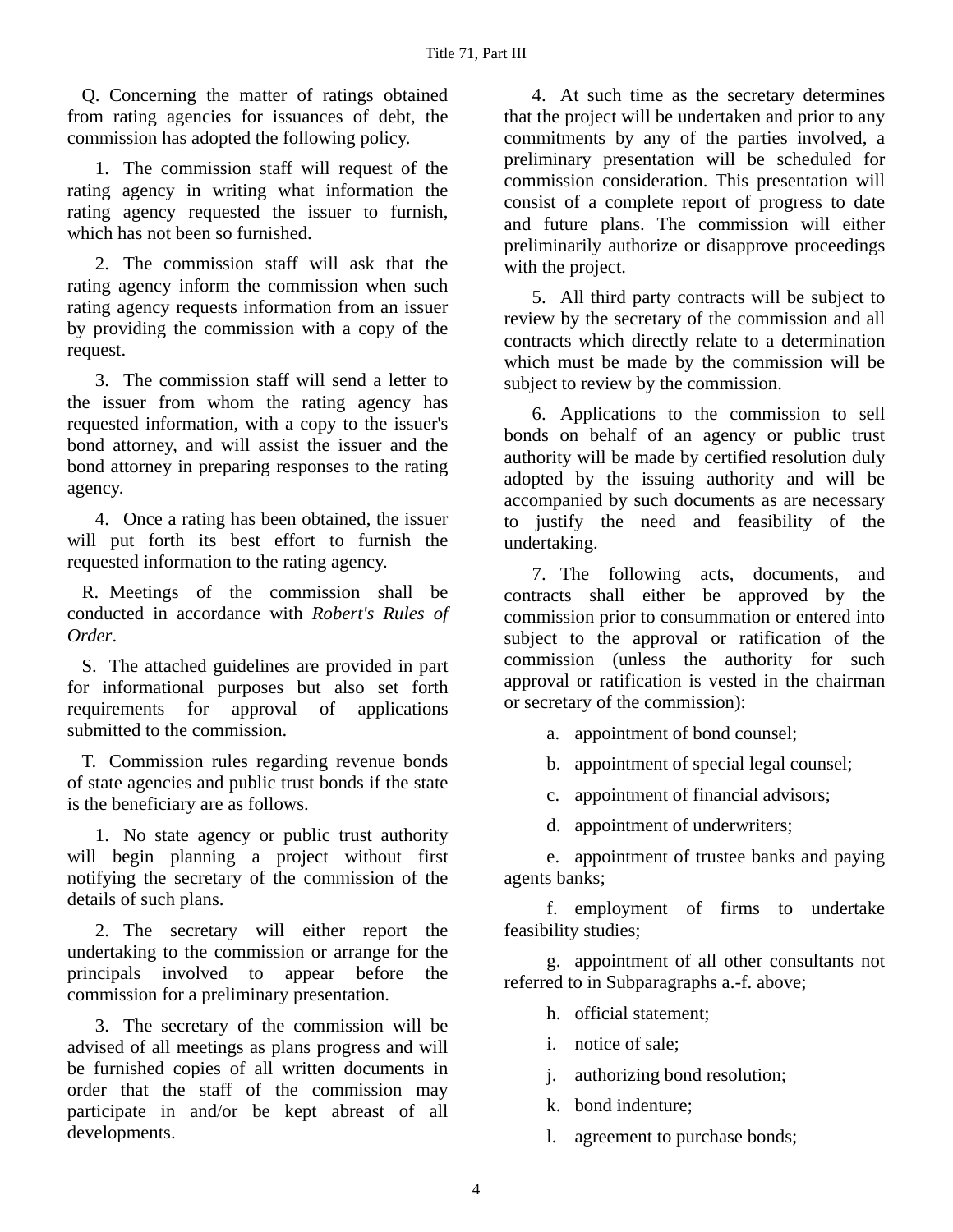Q. Concerning the matter of ratings obtained from rating agencies for issuances of debt, the commission has adopted the following policy.

1. The commission staff will request of the rating agency in writing what information the rating agency requested the issuer to furnish, which has not been so furnished.

2. The commission staff will ask that the rating agency inform the commission when such rating agency requests information from an issuer by providing the commission with a copy of the request.

3. The commission staff will send a letter to the issuer from whom the rating agency has requested information, with a copy to the issuer's bond attorney, and will assist the issuer and the bond attorney in preparing responses to the rating agency.

4. Once a rating has been obtained, the issuer will put forth its best effort to furnish the requested information to the rating agency.

R. Meetings of the commission shall be conducted in accordance with *Robert's Rules of Order*.

S. The attached guidelines are provided in part for informational purposes but also set forth requirements for approval of applications submitted to the commission.

T. Commission rules regarding revenue bonds of state agencies and public trust bonds if the state is the beneficiary are as follows.

1. No state agency or public trust authority will begin planning a project without first notifying the secretary of the commission of the details of such plans.

2. The secretary will either report the undertaking to the commission or arrange for the principals involved to appear before the commission for a preliminary presentation.

3. The secretary of the commission will be advised of all meetings as plans progress and will be furnished copies of all written documents in order that the staff of the commission may participate in and/or be kept abreast of all developments.

4. At such time as the secretary determines that the project will be undertaken and prior to any commitments by any of the parties involved, a preliminary presentation will be scheduled for commission consideration. This presentation will consist of a complete report of progress to date and future plans. The commission will either preliminarily authorize or disapprove proceedings with the project.

5. All third party contracts will be subject to review by the secretary of the commission and all contracts which directly relate to a determination which must be made by the commission will be subject to review by the commission.

6. Applications to the commission to sell bonds on behalf of an agency or public trust authority will be made by certified resolution duly adopted by the issuing authority and will be accompanied by such documents as are necessary to justify the need and feasibility of the undertaking.

7. The following acts, documents, and contracts shall either be approved by the commission prior to consummation or entered into subject to the approval or ratification of the commission (unless the authority for such approval or ratification is vested in the chairman or secretary of the commission):

a. appointment of bond counsel;

b. appointment of special legal counsel;

c. appointment of financial advisors;

d. appointment of underwriters;

e. appointment of trustee banks and paying agents banks;

f. employment of firms to undertake feasibility studies;

g. appointment of all other consultants not referred to in Subparagraphs a.-f. above;

h. official statement;

i. notice of sale;

j. authorizing bond resolution;

k. bond indenture;

l. agreement to purchase bonds;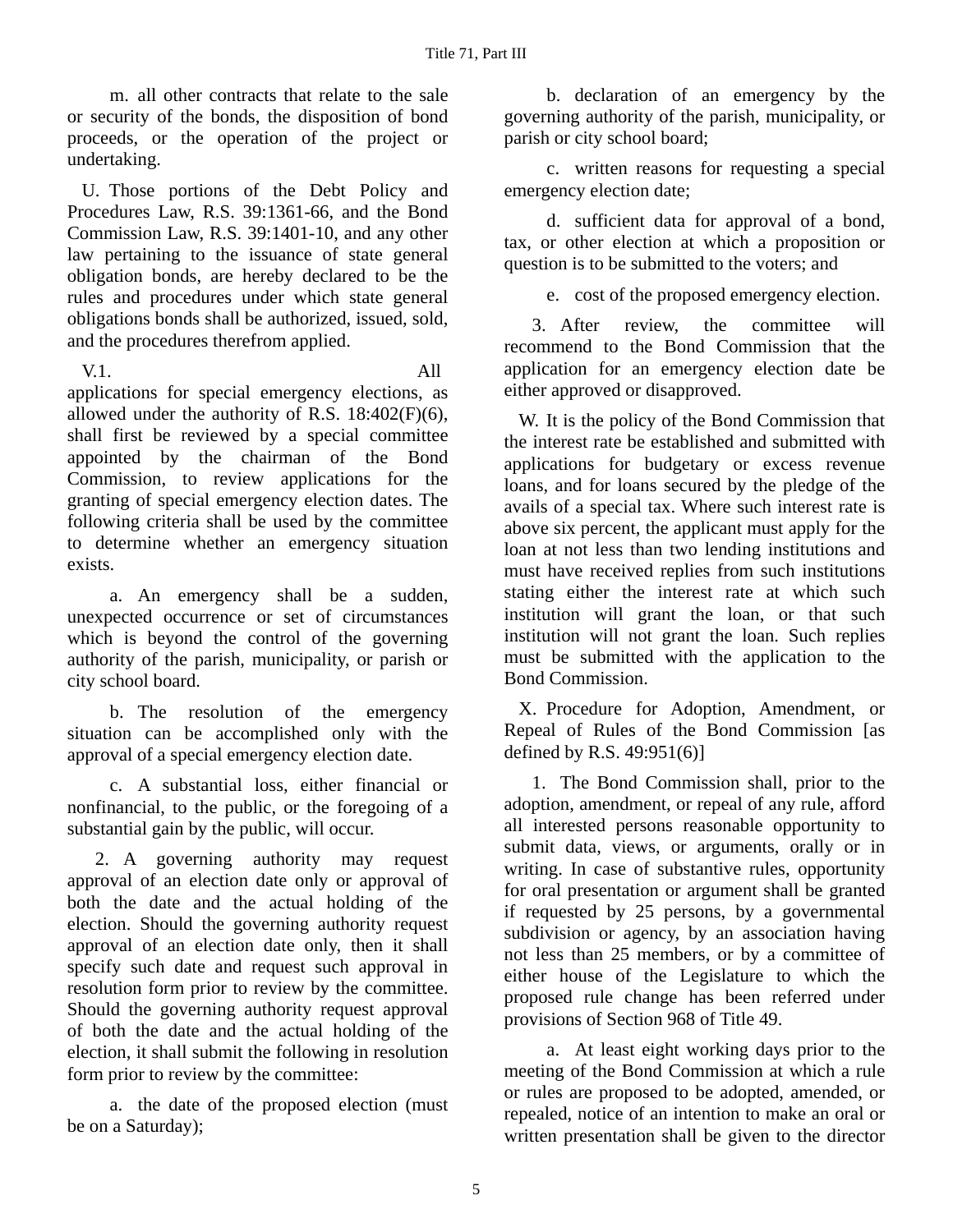m. all other contracts that relate to the sale or security of the bonds, the disposition of bond proceeds, or the operation of the project or undertaking.

U. Those portions of the Debt Policy and Procedures Law, R.S. 39:1361-66, and the Bond Commission Law, R.S. 39:1401-10, and any other law pertaining to the issuance of state general obligation bonds, are hereby declared to be the rules and procedures under which state general obligations bonds shall be authorized, issued, sold, and the procedures therefrom applied.

V.1. All applications for special emergency elections, as allowed under the authority of R.S.  $18:402(F)(6)$ , shall first be reviewed by a special committee appointed by the chairman of the Bond Commission, to review applications for the granting of special emergency election dates. The following criteria shall be used by the committee to determine whether an emergency situation exists.

a. An emergency shall be a sudden, unexpected occurrence or set of circumstances which is beyond the control of the governing authority of the parish, municipality, or parish or city school board.

b. The resolution of the emergency situation can be accomplished only with the approval of a special emergency election date.

c. A substantial loss, either financial or nonfinancial, to the public, or the foregoing of a substantial gain by the public, will occur.

2. A governing authority may request approval of an election date only or approval of both the date and the actual holding of the election. Should the governing authority request approval of an election date only, then it shall specify such date and request such approval in resolution form prior to review by the committee. Should the governing authority request approval of both the date and the actual holding of the election, it shall submit the following in resolution form prior to review by the committee:

a. the date of the proposed election (must be on a Saturday);

b. declaration of an emergency by the governing authority of the parish, municipality, or parish or city school board;

c. written reasons for requesting a special emergency election date;

d. sufficient data for approval of a bond, tax, or other election at which a proposition or question is to be submitted to the voters; and

e. cost of the proposed emergency election.

3. After review, the committee will recommend to the Bond Commission that the application for an emergency election date be either approved or disapproved.

W. It is the policy of the Bond Commission that the interest rate be established and submitted with applications for budgetary or excess revenue loans, and for loans secured by the pledge of the avails of a special tax. Where such interest rate is above six percent, the applicant must apply for the loan at not less than two lending institutions and must have received replies from such institutions stating either the interest rate at which such institution will grant the loan, or that such institution will not grant the loan. Such replies must be submitted with the application to the Bond Commission.

X. Procedure for Adoption, Amendment, or Repeal of Rules of the Bond Commission [as defined by R.S. 49:951(6)]

1. The Bond Commission shall, prior to the adoption, amendment, or repeal of any rule, afford all interested persons reasonable opportunity to submit data, views, or arguments, orally or in writing. In case of substantive rules, opportunity for oral presentation or argument shall be granted if requested by 25 persons, by a governmental subdivision or agency, by an association having not less than 25 members, or by a committee of either house of the Legislature to which the proposed rule change has been referred under provisions of Section 968 of Title 49.

a. At least eight working days prior to the meeting of the Bond Commission at which a rule or rules are proposed to be adopted, amended, or repealed, notice of an intention to make an oral or written presentation shall be given to the director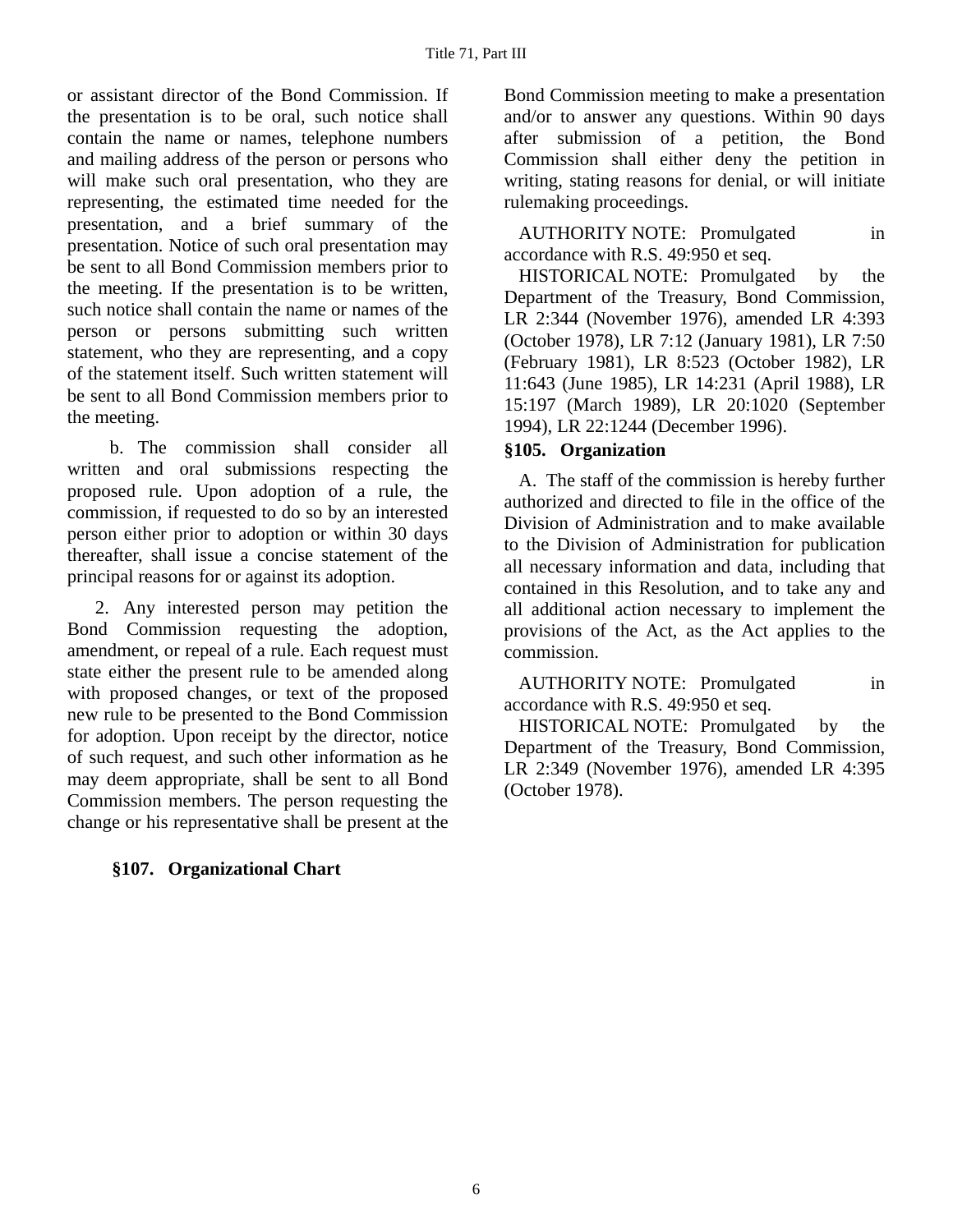or assistant director of the Bond Commission. If the presentation is to be oral, such notice shall contain the name or names, telephone numbers and mailing address of the person or persons who will make such oral presentation, who they are representing, the estimated time needed for the presentation, and a brief summary of the presentation. Notice of such oral presentation may be sent to all Bond Commission members prior to the meeting. If the presentation is to be written, such notice shall contain the name or names of the person or persons submitting such written statement, who they are representing, and a copy of the statement itself. Such written statement will be sent to all Bond Commission members prior to the meeting.

b. The commission shall consider all written and oral submissions respecting the proposed rule. Upon adoption of a rule, the commission, if requested to do so by an interested person either prior to adoption or within 30 days thereafter, shall issue a concise statement of the principal reasons for or against its adoption.

2. Any interested person may petition the Bond Commission requesting the adoption, amendment, or repeal of a rule. Each request must state either the present rule to be amended along with proposed changes, or text of the proposed new rule to be presented to the Bond Commission for adoption. Upon receipt by the director, notice of such request, and such other information as he may deem appropriate, shall be sent to all Bond Commission members. The person requesting the change or his representative shall be present at the

# **§107. Organizational Chart**

Bond Commission meeting to make a presentation and/or to answer any questions. Within 90 days after submission of a petition, the Bond Commission shall either deny the petition in writing, stating reasons for denial, or will initiate rulemaking proceedings.

AUTHORITY NOTE: Promulgated in accordance with R.S. 49:950 et seq.

HISTORICAL NOTE: Promulgated by the Department of the Treasury, Bond Commission, LR 2:344 (November 1976), amended LR 4:393 (October 1978), LR 7:12 (January 1981), LR 7:50 (February 1981), LR 8:523 (October 1982), LR 11:643 (June 1985), LR 14:231 (April 1988), LR 15:197 (March 1989), LR 20:1020 (September 1994), LR 22:1244 (December 1996).

### **§105. Organization**

A. The staff of the commission is hereby further authorized and directed to file in the office of the Division of Administration and to make available to the Division of Administration for publication all necessary information and data, including that contained in this Resolution, and to take any and all additional action necessary to implement the provisions of the Act, as the Act applies to the commission.

AUTHORITY NOTE: Promulgated in accordance with R.S. 49:950 et seq.

HISTORICAL NOTE: Promulgated by the Department of the Treasury, Bond Commission, LR 2:349 (November 1976), amended LR 4:395 (October 1978).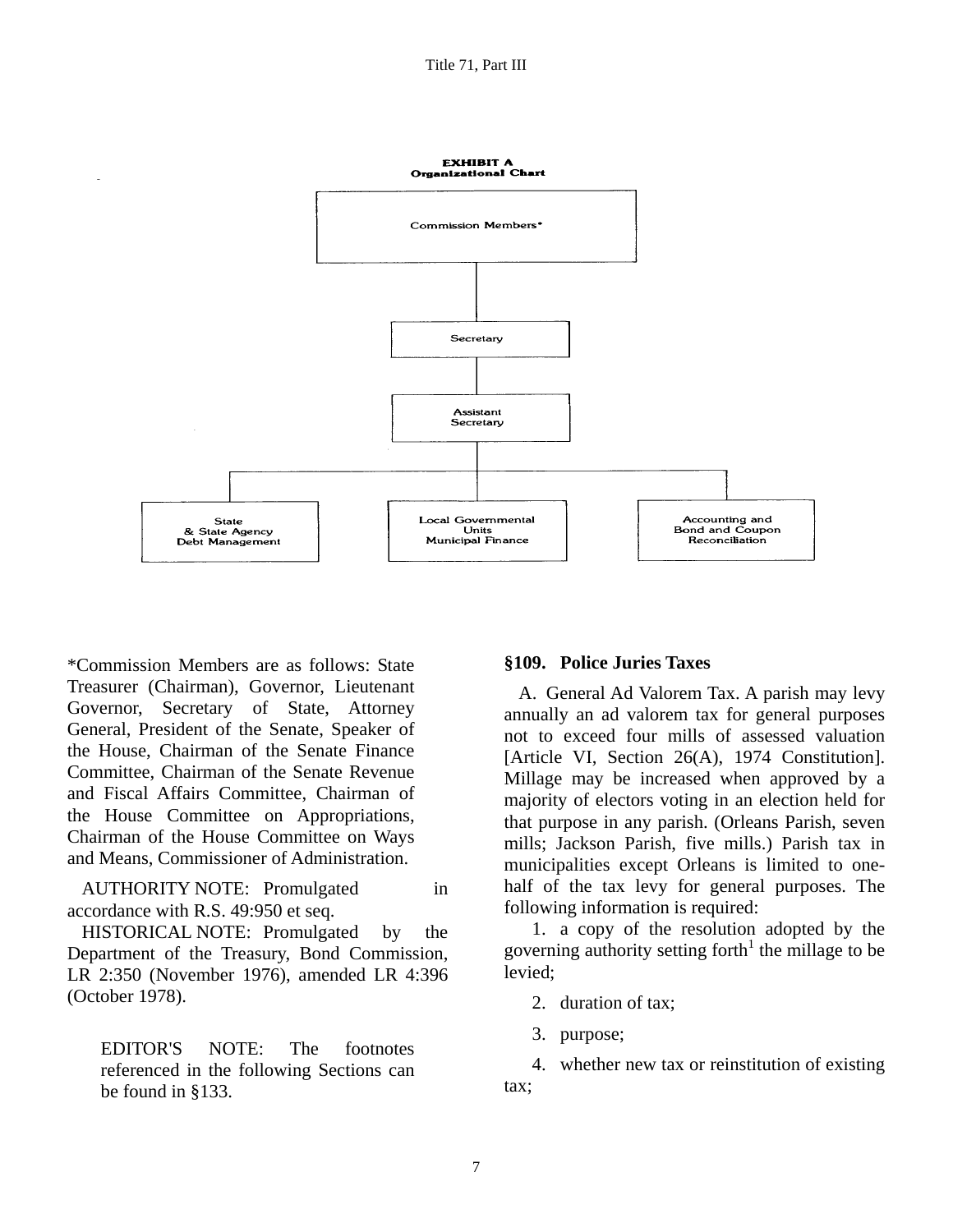

\*Commission Members are as follows: State Treasurer (Chairman), Governor, Lieutenant Governor, Secretary of State, Attorney General, President of the Senate, Speaker of the House, Chairman of the Senate Finance Committee, Chairman of the Senate Revenue and Fiscal Affairs Committee, Chairman of the House Committee on Appropriations, Chairman of the House Committee on Ways and Means, Commissioner of Administration.

AUTHORITY NOTE: Promulgated in accordance with R.S. 49:950 et seq.

HISTORICAL NOTE: Promulgated by the Department of the Treasury, Bond Commission, LR 2:350 (November 1976), amended LR 4:396 (October 1978).

EDITOR'S NOTE: The footnotes referenced in the following Sections can be found in §133.

#### **§109. Police Juries Taxes**

A. General Ad Valorem Tax. A parish may levy annually an ad valorem tax for general purposes not to exceed four mills of assessed valuation [Article VI, Section 26(A), 1974 Constitution]. Millage may be increased when approved by a majority of electors voting in an election held for that purpose in any parish. (Orleans Parish, seven mills; Jackson Parish, five mills.) Parish tax in municipalities except Orleans is limited to onehalf of the tax levy for general purposes. The following information is required:

1. a copy of the resolution adopted by the governing authority setting forth $1$  the millage to be levied;

2. duration of tax;

3. purpose;

4. whether new tax or reinstitution of existing tax;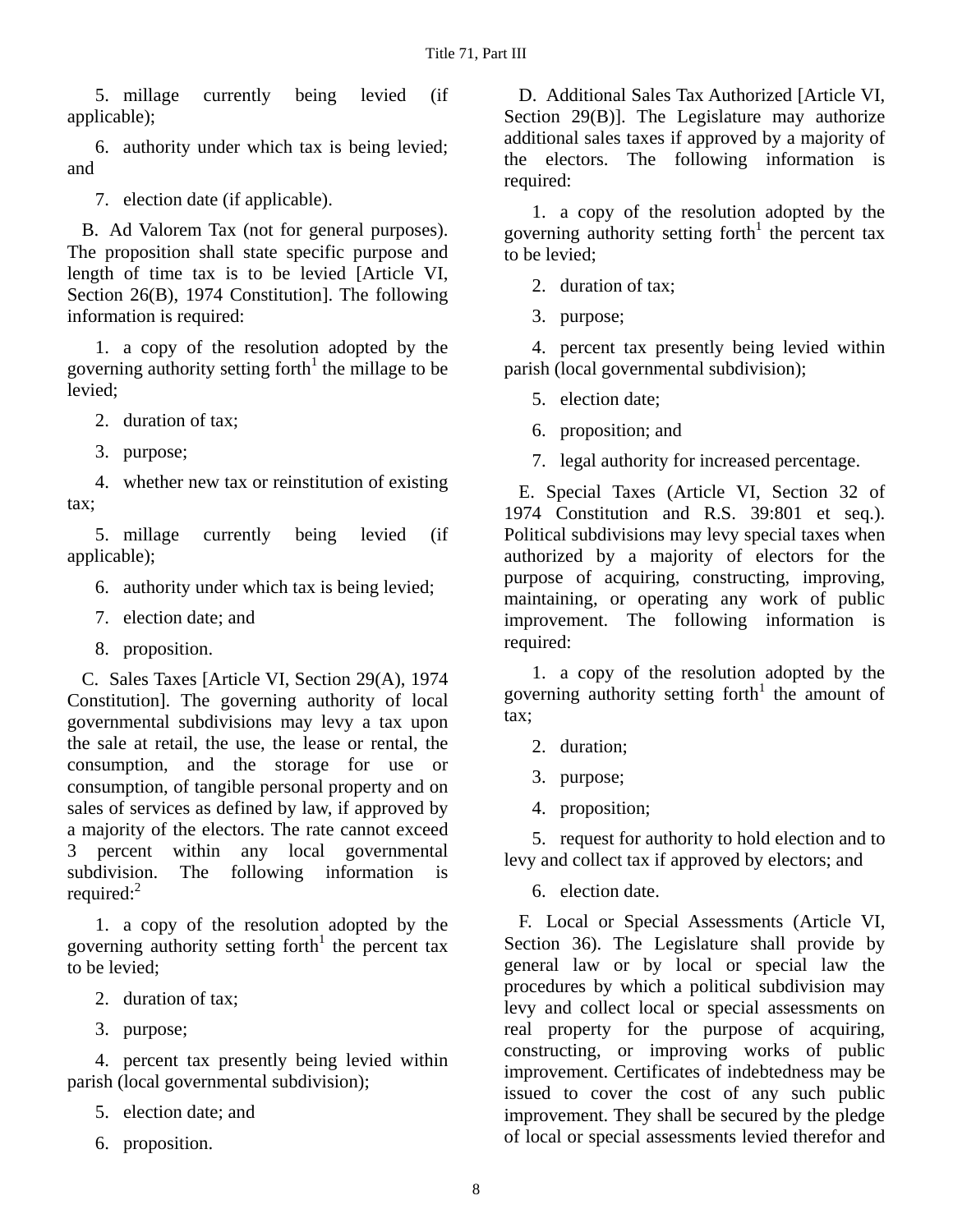5. millage currently being levied (if applicable);

6. authority under which tax is being levied; and

7. election date (if applicable).

B. Ad Valorem Tax (not for general purposes). The proposition shall state specific purpose and length of time tax is to be levied [Article VI, Section 26(B), 1974 Constitution]. The following information is required:

1. a copy of the resolution adopted by the governing authority setting forth $1$  the millage to be levied;

- 2. duration of tax;
- 3. purpose;

4. whether new tax or reinstitution of existing tax;

5. millage currently being levied (if applicable);

- 6. authority under which tax is being levied;
- 7. election date; and
- 8. proposition.

C. Sales Taxes [Article VI, Section 29(A), 1974 Constitution]. The governing authority of local governmental subdivisions may levy a tax upon the sale at retail, the use, the lease or rental, the consumption, and the storage for use or consumption, of tangible personal property and on sales of services as defined by law, if approved by a majority of the electors. The rate cannot exceed 3 percent within any local governmental subdivision. The following information is required: $2$ 

1. a copy of the resolution adopted by the governing authority setting forth<sup>1</sup> the percent tax to be levied;

- 2. duration of tax;
- 3. purpose;

4. percent tax presently being levied within parish (local governmental subdivision);

- 5. election date; and
- 6. proposition.

D. Additional Sales Tax Authorized [Article VI, Section 29(B)]. The Legislature may authorize additional sales taxes if approved by a majority of the electors. The following information is required:

1. a copy of the resolution adopted by the governing authority setting forth<sup>1</sup> the percent tax to be levied;

2. duration of tax;

3. purpose;

4. percent tax presently being levied within parish (local governmental subdivision);

5. election date;

6. proposition; and

7. legal authority for increased percentage.

E. Special Taxes (Article VI, Section 32 of 1974 Constitution and R.S. 39:801 et seq.). Political subdivisions may levy special taxes when authorized by a majority of electors for the purpose of acquiring, constructing, improving, maintaining, or operating any work of public improvement. The following information is required:

1. a copy of the resolution adopted by the governing authority setting forth<sup>1</sup> the amount of tax;

- 2. duration;
- 3. purpose;
- 4. proposition;

5. request for authority to hold election and to levy and collect tax if approved by electors; and

6. election date.

F. Local or Special Assessments (Article VI, Section 36). The Legislature shall provide by general law or by local or special law the procedures by which a political subdivision may levy and collect local or special assessments on real property for the purpose of acquiring, constructing, or improving works of public improvement. Certificates of indebtedness may be issued to cover the cost of any such public improvement. They shall be secured by the pledge of local or special assessments levied therefor and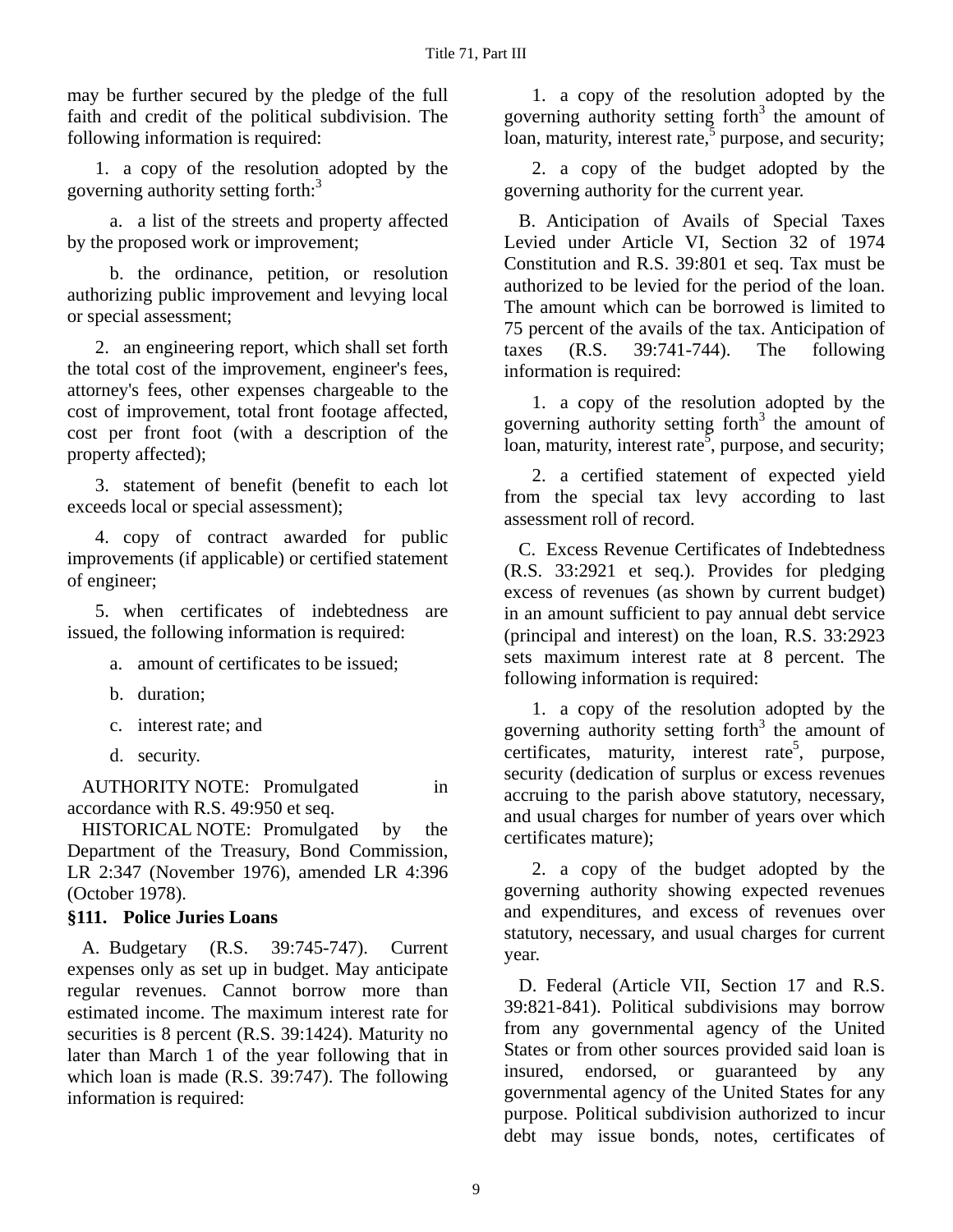may be further secured by the pledge of the full faith and credit of the political subdivision. The following information is required:

1. a copy of the resolution adopted by the governing authority setting forth:<sup>3</sup>

a. a list of the streets and property affected by the proposed work or improvement;

b. the ordinance, petition, or resolution authorizing public improvement and levying local or special assessment;

2. an engineering report, which shall set forth the total cost of the improvement, engineer's fees, attorney's fees, other expenses chargeable to the cost of improvement, total front footage affected, cost per front foot (with a description of the property affected);

3. statement of benefit (benefit to each lot exceeds local or special assessment);

4. copy of contract awarded for public improvements (if applicable) or certified statement of engineer;

5. when certificates of indebtedness are issued, the following information is required:

a. amount of certificates to be issued;

- b. duration;
- c. interest rate; and
- d. security.

AUTHORITY NOTE: Promulgated in accordance with R.S. 49:950 et seq.

HISTORICAL NOTE: Promulgated by the Department of the Treasury, Bond Commission, LR 2:347 (November 1976), amended LR 4:396 (October 1978).

### **§111. Police Juries Loans**

A. Budgetary (R.S. 39:745-747). Current expenses only as set up in budget. May anticipate regular revenues. Cannot borrow more than estimated income. The maximum interest rate for securities is 8 percent (R.S. 39:1424). Maturity no later than March 1 of the year following that in which loan is made (R.S. 39:747). The following information is required:

1. a copy of the resolution adopted by the governing authority setting forth $3$  the amount of loan, maturity, interest rate, $\frac{5}{3}$  purpose, and security;

2. a copy of the budget adopted by the governing authority for the current year.

B. Anticipation of Avails of Special Taxes Levied under Article VI, Section 32 of 1974 Constitution and R.S. 39:801 et seq. Tax must be authorized to be levied for the period of the loan. The amount which can be borrowed is limited to 75 percent of the avails of the tax. Anticipation of taxes (R.S. 39:741-744). The following information is required:

1. a copy of the resolution adopted by the governing authority setting forth $3$  the amount of loan, maturity, interest rate<sup>5</sup>, purpose, and security;

2. a certified statement of expected yield from the special tax levy according to last assessment roll of record.

C. Excess Revenue Certificates of Indebtedness (R.S. 33:2921 et seq.). Provides for pledging excess of revenues (as shown by current budget) in an amount sufficient to pay annual debt service (principal and interest) on the loan, R.S. 33:2923 sets maximum interest rate at 8 percent. The following information is required:

1. a copy of the resolution adopted by the governing authority setting forth $3$  the amount of certificates, maturity, interest rate<sup>5</sup>, purpose, security (dedication of surplus or excess revenues accruing to the parish above statutory, necessary, and usual charges for number of years over which certificates mature);

2. a copy of the budget adopted by the governing authority showing expected revenues and expenditures, and excess of revenues over statutory, necessary, and usual charges for current year.

D. Federal (Article VII, Section 17 and R.S. 39:821-841). Political subdivisions may borrow from any governmental agency of the United States or from other sources provided said loan is insured, endorsed, or guaranteed by any governmental agency of the United States for any purpose. Political subdivision authorized to incur debt may issue bonds, notes, certificates of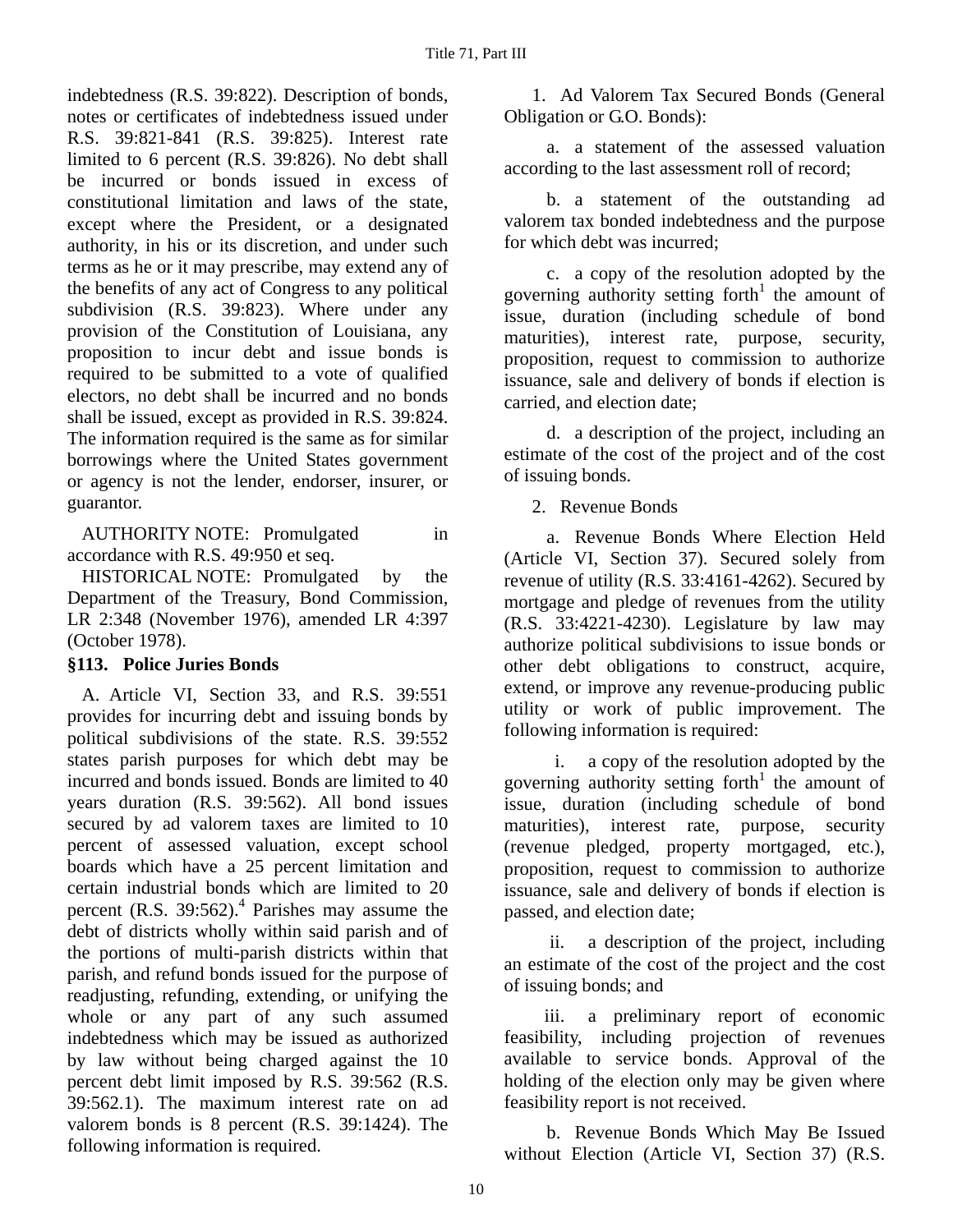indebtedness (R.S. 39:822). Description of bonds, notes or certificates of indebtedness issued under R.S. 39:821-841 (R.S. 39:825). Interest rate limited to 6 percent (R.S. 39:826). No debt shall be incurred or bonds issued in excess of constitutional limitation and laws of the state, except where the President, or a designated authority, in his or its discretion, and under such terms as he or it may prescribe, may extend any of the benefits of any act of Congress to any political subdivision (R.S. 39:823). Where under any provision of the Constitution of Louisiana, any proposition to incur debt and issue bonds is required to be submitted to a vote of qualified electors, no debt shall be incurred and no bonds shall be issued, except as provided in R.S. 39:824. The information required is the same as for similar borrowings where the United States government or agency is not the lender, endorser, insurer, or guarantor.

AUTHORITY NOTE: Promulgated in accordance with R.S. 49:950 et seq.

HISTORICAL NOTE: Promulgated by the Department of the Treasury, Bond Commission, LR 2:348 (November 1976), amended LR 4:397 (October 1978).

### **§113. Police Juries Bonds**

A. Article VI, Section 33, and R.S. 39:551 provides for incurring debt and issuing bonds by political subdivisions of the state. R.S. 39:552 states parish purposes for which debt may be incurred and bonds issued. Bonds are limited to 40 years duration (R.S. 39:562). All bond issues secured by ad valorem taxes are limited to 10 percent of assessed valuation, except school boards which have a 25 percent limitation and certain industrial bonds which are limited to 20 percent (R.S.  $39:562$ ).<sup>4</sup> Parishes may assume the debt of districts wholly within said parish and of the portions of multi-parish districts within that parish, and refund bonds issued for the purpose of readjusting, refunding, extending, or unifying the whole or any part of any such assumed indebtedness which may be issued as authorized by law without being charged against the 10 percent debt limit imposed by R.S. 39:562 (R.S. 39:562.1). The maximum interest rate on ad valorem bonds is 8 percent (R.S. 39:1424). The following information is required.

1. Ad Valorem Tax Secured Bonds (General Obligation or G.O. Bonds):

a. a statement of the assessed valuation according to the last assessment roll of record;

b. a statement of the outstanding ad valorem tax bonded indebtedness and the purpose for which debt was incurred;

c. a copy of the resolution adopted by the governing authority setting forth<sup>1</sup> the amount of issue, duration (including schedule of bond maturities), interest rate, purpose, security, proposition, request to commission to authorize issuance, sale and delivery of bonds if election is carried, and election date;

d. a description of the project, including an estimate of the cost of the project and of the cost of issuing bonds.

2. Revenue Bonds

a. Revenue Bonds Where Election Held (Article VI, Section 37). Secured solely from revenue of utility (R.S. 33:4161-4262). Secured by mortgage and pledge of revenues from the utility (R.S. 33:4221-4230). Legislature by law may authorize political subdivisions to issue bonds or other debt obligations to construct, acquire, extend, or improve any revenue-producing public utility or work of public improvement. The following information is required:

 i. a copy of the resolution adopted by the governing authority setting forth<sup>1</sup> the amount of issue, duration (including schedule of bond maturities), interest rate, purpose, security (revenue pledged, property mortgaged, etc.), proposition, request to commission to authorize issuance, sale and delivery of bonds if election is passed, and election date;

 ii. a description of the project, including an estimate of the cost of the project and the cost of issuing bonds; and

 iii. a preliminary report of economic feasibility, including projection of revenues available to service bonds. Approval of the holding of the election only may be given where feasibility report is not received.

b. Revenue Bonds Which May Be Issued without Election (Article VI, Section 37) (R.S.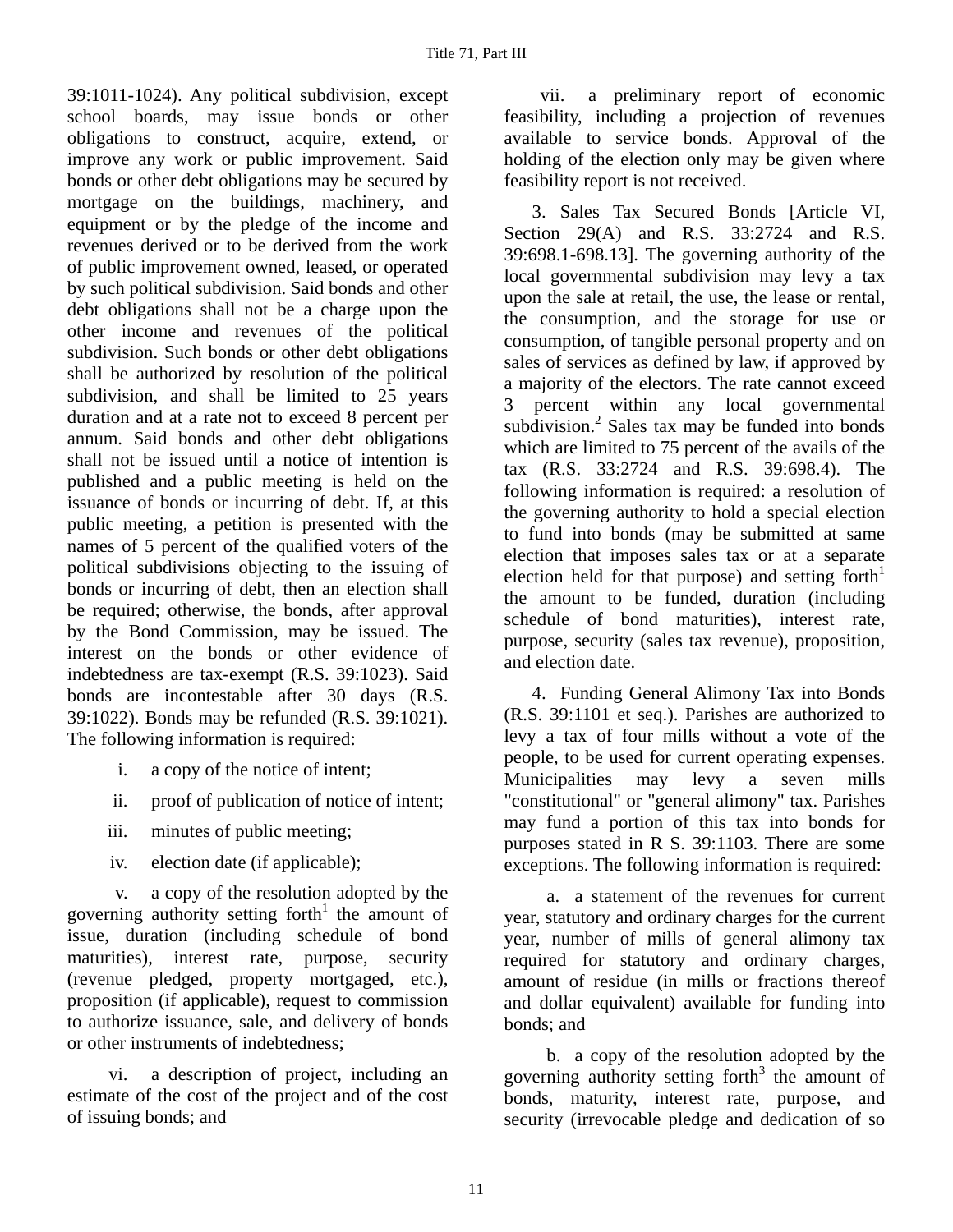39:1011-1024). Any political subdivision, except school boards, may issue bonds or other obligations to construct, acquire, extend, or improve any work or public improvement. Said bonds or other debt obligations may be secured by mortgage on the buildings, machinery, and equipment or by the pledge of the income and revenues derived or to be derived from the work of public improvement owned, leased, or operated by such political subdivision. Said bonds and other debt obligations shall not be a charge upon the other income and revenues of the political subdivision. Such bonds or other debt obligations shall be authorized by resolution of the political subdivision, and shall be limited to 25 years duration and at a rate not to exceed 8 percent per annum. Said bonds and other debt obligations shall not be issued until a notice of intention is published and a public meeting is held on the issuance of bonds or incurring of debt. If, at this public meeting, a petition is presented with the names of 5 percent of the qualified voters of the political subdivisions objecting to the issuing of bonds or incurring of debt, then an election shall be required; otherwise, the bonds, after approval by the Bond Commission, may be issued. The interest on the bonds or other evidence of indebtedness are tax-exempt (R.S. 39:1023). Said bonds are incontestable after 30 days (R.S. 39:1022). Bonds may be refunded (R.S. 39:1021). The following information is required:

- i. a copy of the notice of intent;
- ii. proof of publication of notice of intent;
- iii. minutes of public meeting;
- iv. election date (if applicable);

 v. a copy of the resolution adopted by the governing authority setting forth<sup>1</sup> the amount of issue, duration (including schedule of bond maturities), interest rate, purpose, security (revenue pledged, property mortgaged, etc.), proposition (if applicable), request to commission to authorize issuance, sale, and delivery of bonds or other instruments of indebtedness;

 vi. a description of project, including an estimate of the cost of the project and of the cost of issuing bonds; and

 vii. a preliminary report of economic feasibility, including a projection of revenues available to service bonds. Approval of the holding of the election only may be given where feasibility report is not received.

3. Sales Tax Secured Bonds [Article VI, Section 29(A) and R.S. 33:2724 and R.S. 39:698.1-698.13]. The governing authority of the local governmental subdivision may levy a tax upon the sale at retail, the use, the lease or rental, the consumption, and the storage for use or consumption, of tangible personal property and on sales of services as defined by law, if approved by a majority of the electors. The rate cannot exceed 3 percent within any local governmental subdivision. $2$  Sales tax may be funded into bonds which are limited to 75 percent of the avails of the tax (R.S. 33:2724 and R.S. 39:698.4). The following information is required: a resolution of the governing authority to hold a special election to fund into bonds (may be submitted at same election that imposes sales tax or at a separate election held for that purpose) and setting forth $\mathbf{h}^{\mathsf{I}}$ the amount to be funded, duration (including schedule of bond maturities), interest rate, purpose, security (sales tax revenue), proposition, and election date.

4. Funding General Alimony Tax into Bonds (R.S. 39:1101 et seq.). Parishes are authorized to levy a tax of four mills without a vote of the people, to be used for current operating expenses. Municipalities may levy a seven mills "constitutional" or "general alimony" tax. Parishes may fund a portion of this tax into bonds for purposes stated in R S. 39:1103. There are some exceptions. The following information is required:

a. a statement of the revenues for current year, statutory and ordinary charges for the current year, number of mills of general alimony tax required for statutory and ordinary charges, amount of residue (in mills or fractions thereof and dollar equivalent) available for funding into bonds; and

b. a copy of the resolution adopted by the governing authority setting forth $3$  the amount of bonds, maturity, interest rate, purpose, and security (irrevocable pledge and dedication of so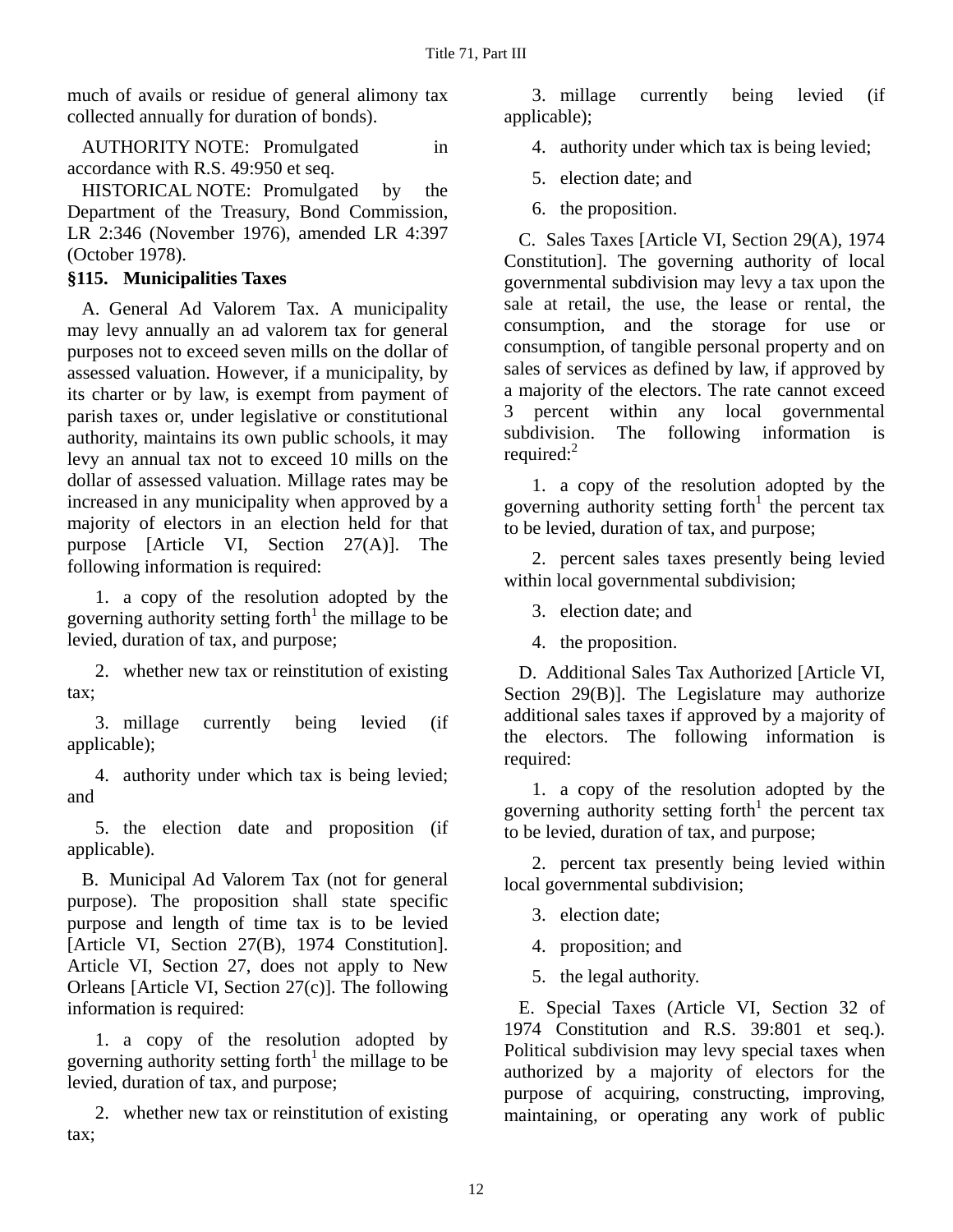much of avails or residue of general alimony tax collected annually for duration of bonds).

AUTHORITY NOTE: Promulgated in accordance with R.S. 49:950 et seq.

HISTORICAL NOTE: Promulgated by the Department of the Treasury, Bond Commission, LR 2:346 (November 1976), amended LR 4:397 (October 1978).

### **§115. Municipalities Taxes**

A. General Ad Valorem Tax. A municipality may levy annually an ad valorem tax for general purposes not to exceed seven mills on the dollar of assessed valuation. However, if a municipality, by its charter or by law, is exempt from payment of parish taxes or, under legislative or constitutional authority, maintains its own public schools, it may levy an annual tax not to exceed 10 mills on the dollar of assessed valuation. Millage rates may be increased in any municipality when approved by a majority of electors in an election held for that purpose [Article VI, Section 27(A)]. The following information is required:

1. a copy of the resolution adopted by the governing authority setting forth $1$  the millage to be levied, duration of tax, and purpose;

2. whether new tax or reinstitution of existing tax;

3. millage currently being levied (if applicable);

4. authority under which tax is being levied; and

5. the election date and proposition (if applicable).

B. Municipal Ad Valorem Tax (not for general purpose). The proposition shall state specific purpose and length of time tax is to be levied [Article VI, Section 27(B), 1974 Constitution]. Article VI, Section 27, does not apply to New Orleans [Article VI, Section 27(c)]. The following information is required:

1. a copy of the resolution adopted by governing authority setting forth<sup>1</sup> the millage to be levied, duration of tax, and purpose;

2. whether new tax or reinstitution of existing tax;

3. millage currently being levied (if applicable);

4. authority under which tax is being levied;

5. election date; and

6. the proposition.

C. Sales Taxes [Article VI, Section 29(A), 1974 Constitution]. The governing authority of local governmental subdivision may levy a tax upon the sale at retail, the use, the lease or rental, the consumption, and the storage for use or consumption, of tangible personal property and on sales of services as defined by law, if approved by a majority of the electors. The rate cannot exceed 3 percent within any local governmental subdivision. The following information is required: $^2$ 

1. a copy of the resolution adopted by the governing authority setting forth<sup>1</sup> the percent tax to be levied, duration of tax, and purpose;

2. percent sales taxes presently being levied within local governmental subdivision;

3. election date; and

4. the proposition.

D. Additional Sales Tax Authorized [Article VI, Section 29(B)]. The Legislature may authorize additional sales taxes if approved by a majority of the electors. The following information is required:

1. a copy of the resolution adopted by the governing authority setting forth<sup>1</sup> the percent tax to be levied, duration of tax, and purpose;

2. percent tax presently being levied within local governmental subdivision;

3. election date;

4. proposition; and

5. the legal authority.

E. Special Taxes (Article VI, Section 32 of 1974 Constitution and R.S. 39:801 et seq.). Political subdivision may levy special taxes when authorized by a majority of electors for the purpose of acquiring, constructing, improving, maintaining, or operating any work of public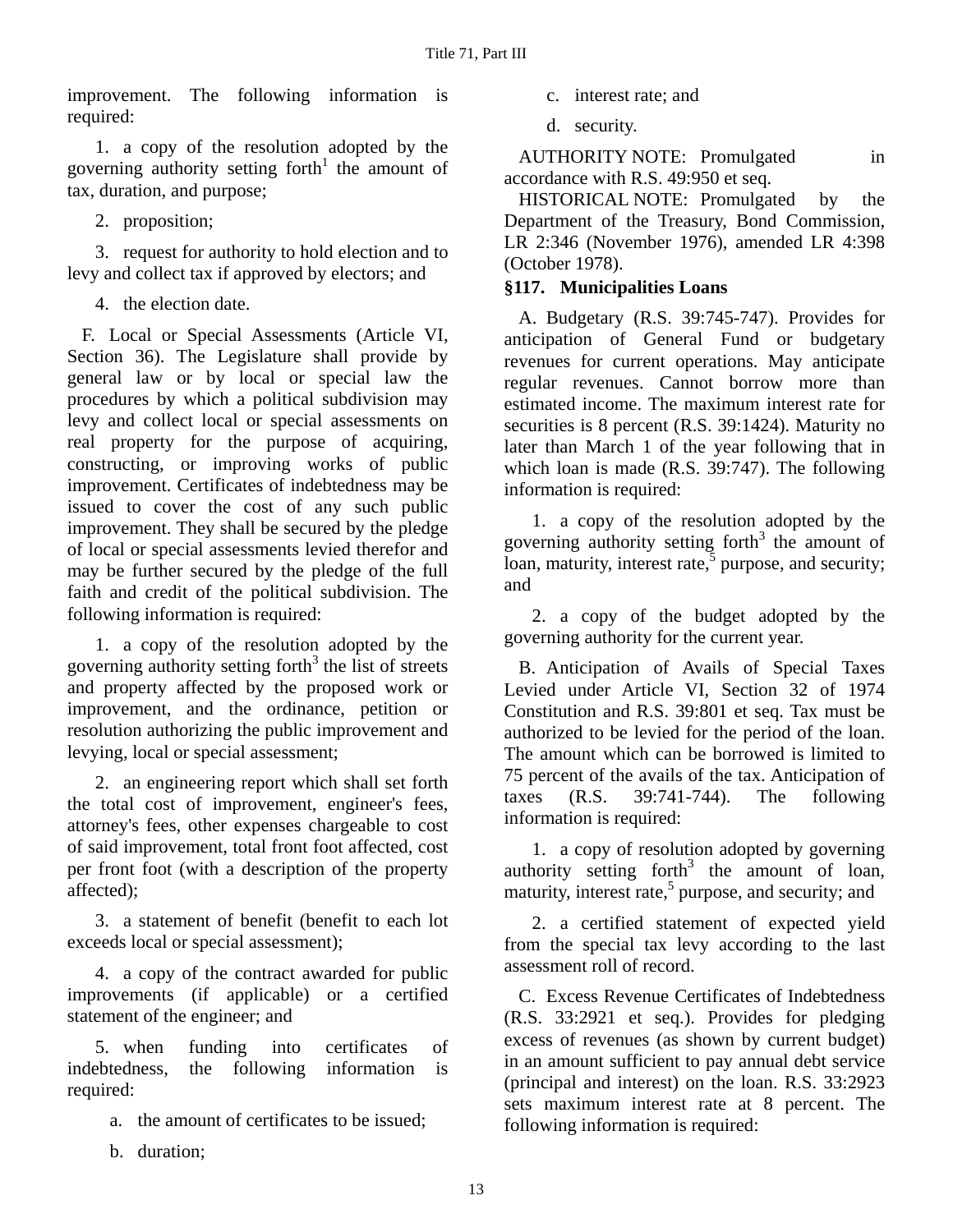improvement. The following information is required:

1. a copy of the resolution adopted by the governing authority setting forth<sup>1</sup> the amount of tax, duration, and purpose;

2. proposition;

3. request for authority to hold election and to levy and collect tax if approved by electors; and

4. the election date.

F. Local or Special Assessments (Article VI, Section 36). The Legislature shall provide by general law or by local or special law the procedures by which a political subdivision may levy and collect local or special assessments on real property for the purpose of acquiring, constructing, or improving works of public improvement. Certificates of indebtedness may be issued to cover the cost of any such public improvement. They shall be secured by the pledge of local or special assessments levied therefor and may be further secured by the pledge of the full faith and credit of the political subdivision. The following information is required:

1. a copy of the resolution adopted by the governing authority setting forth<sup>3</sup> the list of streets and property affected by the proposed work or improvement, and the ordinance, petition or resolution authorizing the public improvement and levying, local or special assessment;

2. an engineering report which shall set forth the total cost of improvement, engineer's fees, attorney's fees, other expenses chargeable to cost of said improvement, total front foot affected, cost per front foot (with a description of the property affected);

3. a statement of benefit (benefit to each lot exceeds local or special assessment);

4. a copy of the contract awarded for public improvements (if applicable) or a certified statement of the engineer; and

5. when funding into certificates of indebtedness, the following information is required:

a. the amount of certificates to be issued;

b. duration;

- c. interest rate; and
- d. security.

AUTHORITY NOTE: Promulgated in accordance with R.S. 49:950 et seq.

HISTORICAL NOTE: Promulgated by the Department of the Treasury, Bond Commission, LR 2:346 (November 1976), amended LR 4:398 (October 1978).

# **§117. Municipalities Loans**

A. Budgetary (R.S. 39:745-747). Provides for anticipation of General Fund or budgetary revenues for current operations. May anticipate regular revenues. Cannot borrow more than estimated income. The maximum interest rate for securities is 8 percent (R.S. 39:1424). Maturity no later than March 1 of the year following that in which loan is made (R.S. 39:747). The following information is required:

1. a copy of the resolution adopted by the governing authority setting forth<sup>3</sup> the amount of  $\frac{1}{2}$  loan, maturity, interest rate,  $\frac{1}{2}$  purpose, and security; and

2. a copy of the budget adopted by the governing authority for the current year.

B. Anticipation of Avails of Special Taxes Levied under Article VI, Section 32 of 1974 Constitution and R.S. 39:801 et seq. Tax must be authorized to be levied for the period of the loan. The amount which can be borrowed is limited to 75 percent of the avails of the tax. Anticipation of taxes (R.S. 39:741-744). The following information is required:

1. a copy of resolution adopted by governing authority setting forth $3$  the amount of loan, maturity, interest rate,<sup>5</sup> purpose, and security; and

2. a certified statement of expected yield from the special tax levy according to the last assessment roll of record.

C. Excess Revenue Certificates of Indebtedness (R.S. 33:2921 et seq.). Provides for pledging excess of revenues (as shown by current budget) in an amount sufficient to pay annual debt service (principal and interest) on the loan. R.S. 33:2923 sets maximum interest rate at 8 percent. The following information is required: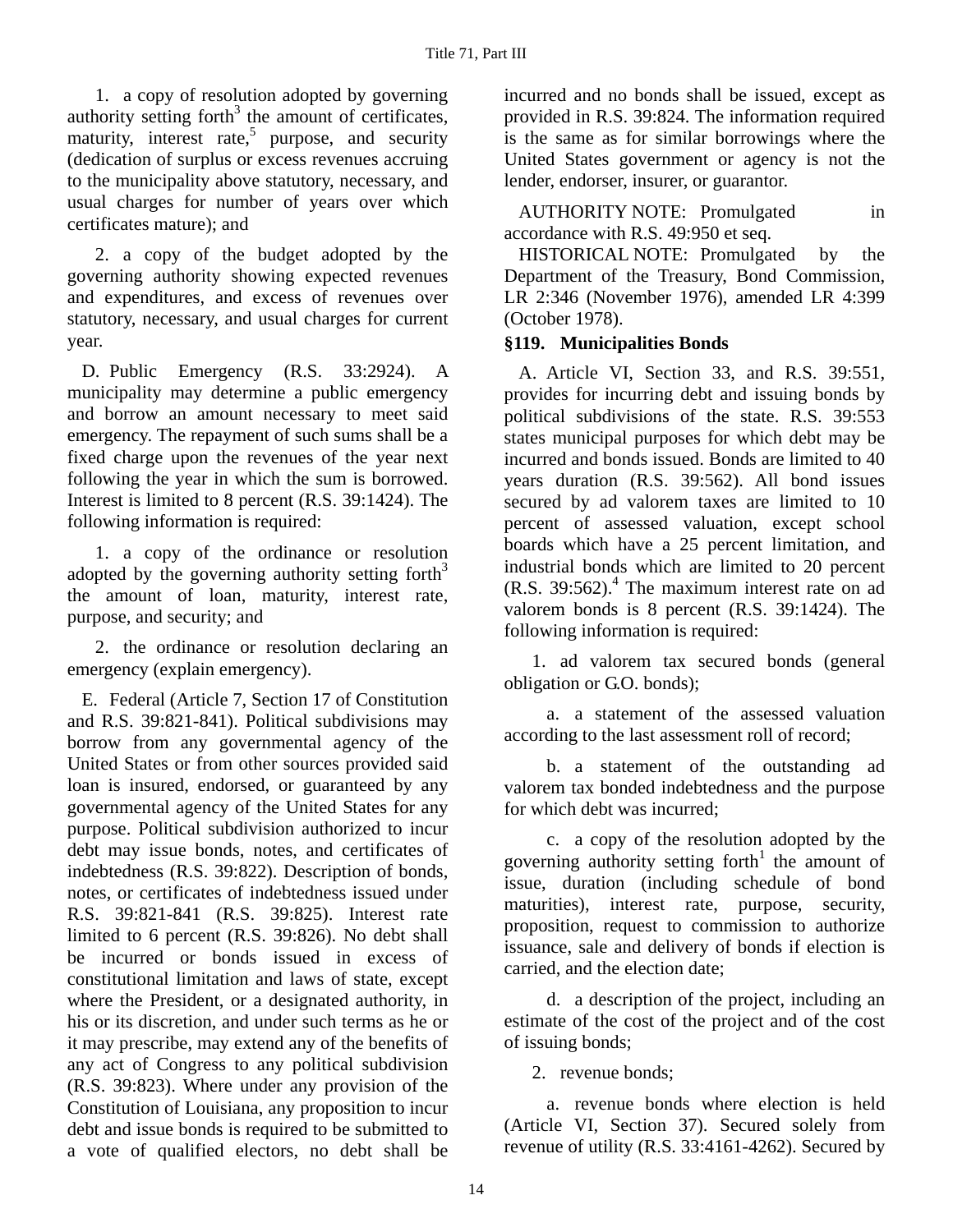1. a copy of resolution adopted by governing authority setting forth $3$  the amount of certificates, maturity, interest rate,<sup>5</sup> purpose, and security (dedication of surplus or excess revenues accruing to the municipality above statutory, necessary, and usual charges for number of years over which certificates mature); and

2. a copy of the budget adopted by the governing authority showing expected revenues and expenditures, and excess of revenues over statutory, necessary, and usual charges for current year.

D. Public Emergency (R.S. 33:2924). A municipality may determine a public emergency and borrow an amount necessary to meet said emergency. The repayment of such sums shall be a fixed charge upon the revenues of the year next following the year in which the sum is borrowed. Interest is limited to 8 percent (R.S. 39:1424). The following information is required:

1. a copy of the ordinance or resolution adopted by the governing authority setting forth $3$ the amount of loan, maturity, interest rate, purpose, and security; and

2. the ordinance or resolution declaring an emergency (explain emergency).

E. Federal (Article 7, Section 17 of Constitution and R.S. 39:821-841). Political subdivisions may borrow from any governmental agency of the United States or from other sources provided said loan is insured, endorsed, or guaranteed by any governmental agency of the United States for any purpose. Political subdivision authorized to incur debt may issue bonds, notes, and certificates of indebtedness (R.S. 39:822). Description of bonds, notes, or certificates of indebtedness issued under R.S. 39:821-841 (R.S. 39:825). Interest rate limited to 6 percent (R.S. 39:826). No debt shall be incurred or bonds issued in excess of constitutional limitation and laws of state, except where the President, or a designated authority, in his or its discretion, and under such terms as he or it may prescribe, may extend any of the benefits of any act of Congress to any political subdivision (R.S. 39:823). Where under any provision of the Constitution of Louisiana, any proposition to incur debt and issue bonds is required to be submitted to a vote of qualified electors, no debt shall be

incurred and no bonds shall be issued, except as provided in R.S. 39:824. The information required is the same as for similar borrowings where the United States government or agency is not the lender, endorser, insurer, or guarantor.

AUTHORITY NOTE: Promulgated in accordance with R.S. 49:950 et seq.

HISTORICAL NOTE: Promulgated by the Department of the Treasury, Bond Commission, LR 2:346 (November 1976), amended LR 4:399 (October 1978).

### **§119. Municipalities Bonds**

A. Article VI, Section 33, and R.S. 39:551, provides for incurring debt and issuing bonds by political subdivisions of the state. R.S. 39:553 states municipal purposes for which debt may be incurred and bonds issued. Bonds are limited to 40 years duration (R.S. 39:562). All bond issues secured by ad valorem taxes are limited to 10 percent of assessed valuation, except school boards which have a 25 percent limitation, and industrial bonds which are limited to 20 percent  $(R.S. 39:562).$ <sup>4</sup> The maximum interest rate on ad valorem bonds is 8 percent (R.S. 39:1424). The following information is required:

1. ad valorem tax secured bonds (general obligation or G.O. bonds);

a. a statement of the assessed valuation according to the last assessment roll of record;

b. a statement of the outstanding ad valorem tax bonded indebtedness and the purpose for which debt was incurred;

c. a copy of the resolution adopted by the governing authority setting forth<sup>1</sup> the amount of issue, duration (including schedule of bond maturities), interest rate, purpose, security, proposition, request to commission to authorize issuance, sale and delivery of bonds if election is carried, and the election date;

d. a description of the project, including an estimate of the cost of the project and of the cost of issuing bonds;

2. revenue bonds;

a. revenue bonds where election is held (Article VI, Section 37). Secured solely from revenue of utility (R.S. 33:4161-4262). Secured by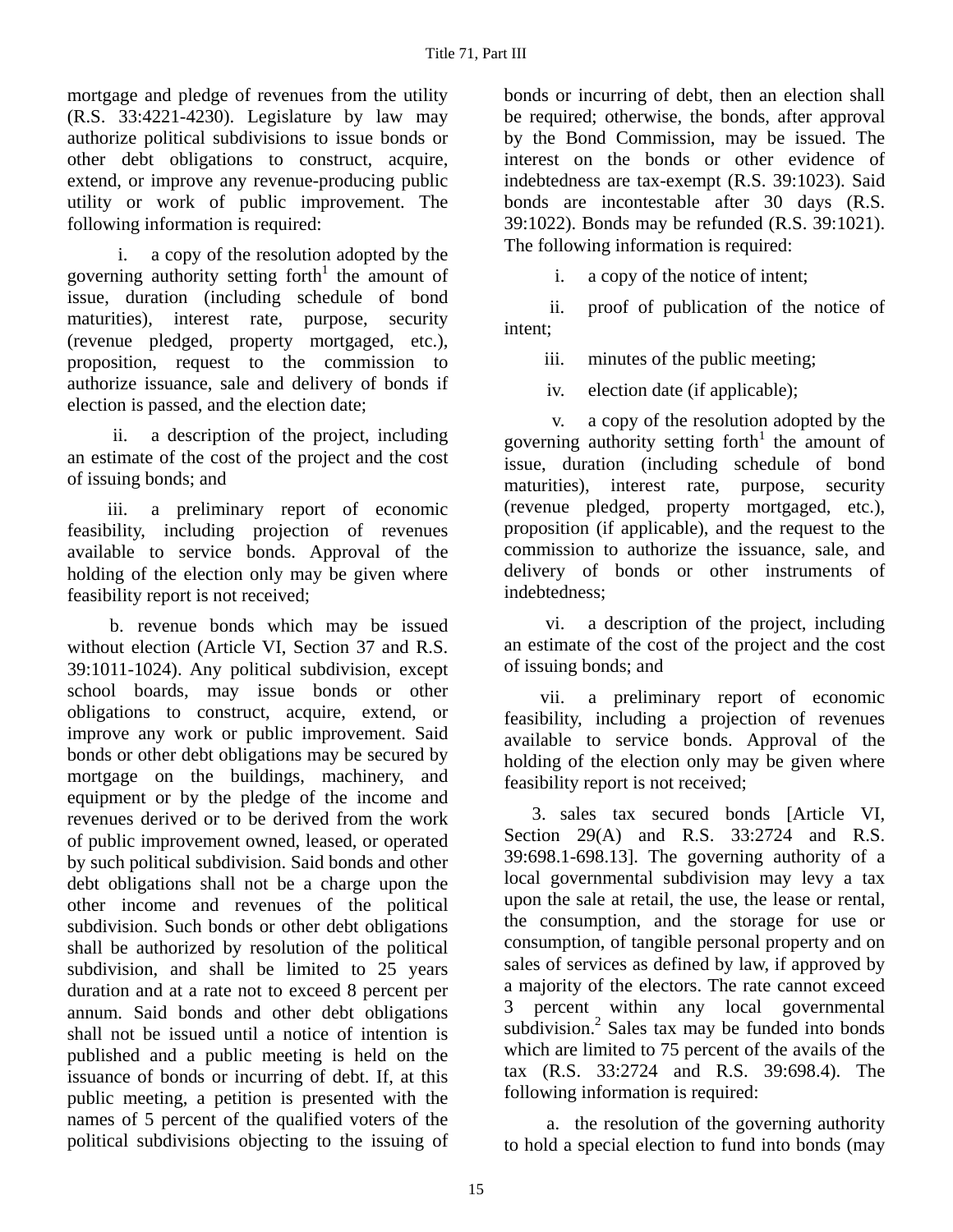mortgage and pledge of revenues from the utility (R.S. 33:4221-4230). Legislature by law may authorize political subdivisions to issue bonds or other debt obligations to construct, acquire, extend, or improve any revenue-producing public utility or work of public improvement. The following information is required:

 i. a copy of the resolution adopted by the governing authority setting forth<sup>1</sup> the amount of issue, duration (including schedule of bond maturities), interest rate, purpose, security (revenue pledged, property mortgaged, etc.), proposition, request to the commission to authorize issuance, sale and delivery of bonds if election is passed, and the election date;

 ii. a description of the project, including an estimate of the cost of the project and the cost of issuing bonds; and

 iii. a preliminary report of economic feasibility, including projection of revenues available to service bonds. Approval of the holding of the election only may be given where feasibility report is not received;

b. revenue bonds which may be issued without election (Article VI, Section 37 and R.S. 39:1011-1024). Any political subdivision, except school boards, may issue bonds or other obligations to construct, acquire, extend, or improve any work or public improvement. Said bonds or other debt obligations may be secured by mortgage on the buildings, machinery, and equipment or by the pledge of the income and revenues derived or to be derived from the work of public improvement owned, leased, or operated by such political subdivision. Said bonds and other debt obligations shall not be a charge upon the other income and revenues of the political subdivision. Such bonds or other debt obligations shall be authorized by resolution of the political subdivision, and shall be limited to 25 years duration and at a rate not to exceed 8 percent per annum. Said bonds and other debt obligations shall not be issued until a notice of intention is published and a public meeting is held on the issuance of bonds or incurring of debt. If, at this public meeting, a petition is presented with the names of 5 percent of the qualified voters of the political subdivisions objecting to the issuing of

bonds or incurring of debt, then an election shall be required; otherwise, the bonds, after approval by the Bond Commission, may be issued. The interest on the bonds or other evidence of indebtedness are tax-exempt (R.S. 39:1023). Said bonds are incontestable after 30 days (R.S. 39:1022). Bonds may be refunded (R.S. 39:1021). The following information is required:

i. a copy of the notice of intent;

 ii. proof of publication of the notice of intent;

iii. minutes of the public meeting;

iv. election date (if applicable);

 v. a copy of the resolution adopted by the governing authority setting forth<sup>1</sup> the amount of issue, duration (including schedule of bond maturities), interest rate, purpose, security (revenue pledged, property mortgaged, etc.), proposition (if applicable), and the request to the commission to authorize the issuance, sale, and delivery of bonds or other instruments of indebtedness;

 vi. a description of the project, including an estimate of the cost of the project and the cost of issuing bonds; and

 vii. a preliminary report of economic feasibility, including a projection of revenues available to service bonds. Approval of the holding of the election only may be given where feasibility report is not received;

3. sales tax secured bonds [Article VI, Section 29(A) and R.S. 33:2724 and R.S. 39:698.1-698.13]. The governing authority of a local governmental subdivision may levy a tax upon the sale at retail, the use, the lease or rental, the consumption, and the storage for use or consumption, of tangible personal property and on sales of services as defined by law, if approved by a majority of the electors. The rate cannot exceed 3 percent within any local governmental subdivision. $2$  Sales tax may be funded into bonds which are limited to 75 percent of the avails of the tax (R.S. 33:2724 and R.S. 39:698.4). The following information is required:

a. the resolution of the governing authority to hold a special election to fund into bonds (may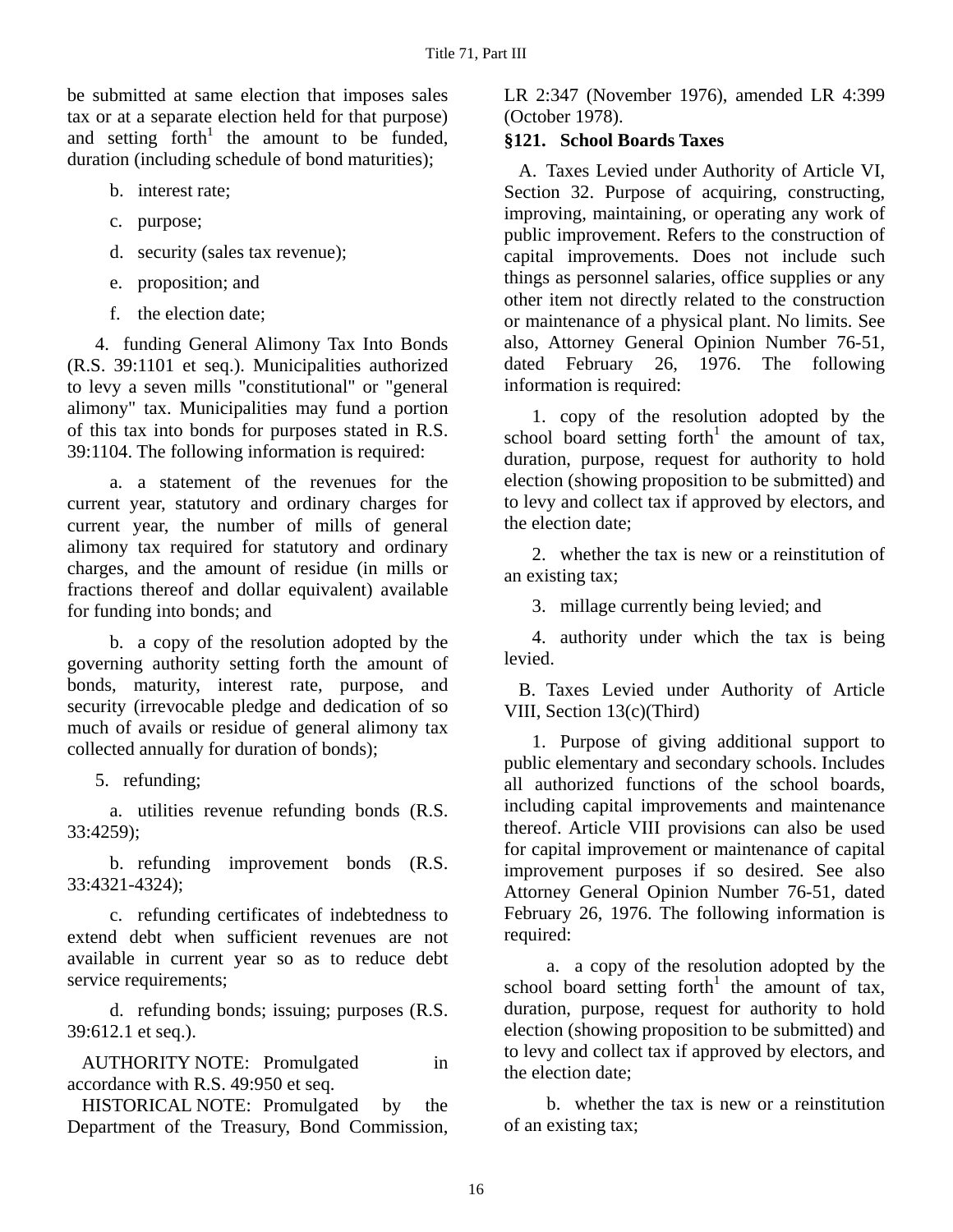be submitted at same election that imposes sales tax or at a separate election held for that purpose) and setting  $forth<sup>1</sup>$  the amount to be funded, duration (including schedule of bond maturities);

- b. interest rate;
- c. purpose;
- d. security (sales tax revenue);
- e. proposition; and
- f. the election date;

4. funding General Alimony Tax Into Bonds (R.S. 39:1101 et seq.). Municipalities authorized to levy a seven mills "constitutional" or "general alimony" tax. Municipalities may fund a portion of this tax into bonds for purposes stated in R.S. 39:1104. The following information is required:

a. a statement of the revenues for the current year, statutory and ordinary charges for current year, the number of mills of general alimony tax required for statutory and ordinary charges, and the amount of residue (in mills or fractions thereof and dollar equivalent) available for funding into bonds; and

b. a copy of the resolution adopted by the governing authority setting forth the amount of bonds, maturity, interest rate, purpose, and security (irrevocable pledge and dedication of so much of avails or residue of general alimony tax collected annually for duration of bonds);

5. refunding;

a. utilities revenue refunding bonds (R.S. 33:4259);

b. refunding improvement bonds (R.S. 33:4321-4324);

c. refunding certificates of indebtedness to extend debt when sufficient revenues are not available in current year so as to reduce debt service requirements;

d. refunding bonds; issuing; purposes (R.S. 39:612.1 et seq.).

AUTHORITY NOTE: Promulgated in accordance with R.S. 49:950 et seq.

HISTORICAL NOTE: Promulgated by the Department of the Treasury, Bond Commission,

LR 2:347 (November 1976), amended LR 4:399 (October 1978).

# **§121. School Boards Taxes**

A. Taxes Levied under Authority of Article VI, Section 32. Purpose of acquiring, constructing, improving, maintaining, or operating any work of public improvement. Refers to the construction of capital improvements. Does not include such things as personnel salaries, office supplies or any other item not directly related to the construction or maintenance of a physical plant. No limits. See also, Attorney General Opinion Number 76-51, dated February 26, 1976. The following information is required:

1. copy of the resolution adopted by the school board setting forth<sup>1</sup> the amount of tax, duration, purpose, request for authority to hold election (showing proposition to be submitted) and to levy and collect tax if approved by electors, and the election date;

2. whether the tax is new or a reinstitution of an existing tax;

3. millage currently being levied; and

4. authority under which the tax is being levied.

B. Taxes Levied under Authority of Article VIII, Section 13(c)(Third)

1. Purpose of giving additional support to public elementary and secondary schools. Includes all authorized functions of the school boards, including capital improvements and maintenance thereof. Article VIII provisions can also be used for capital improvement or maintenance of capital improvement purposes if so desired. See also Attorney General Opinion Number 76-51, dated February 26, 1976. The following information is required:

a. a copy of the resolution adopted by the school board setting forth<sup>1</sup> the amount of tax, duration, purpose, request for authority to hold election (showing proposition to be submitted) and to levy and collect tax if approved by electors, and the election date;

b. whether the tax is new or a reinstitution of an existing tax;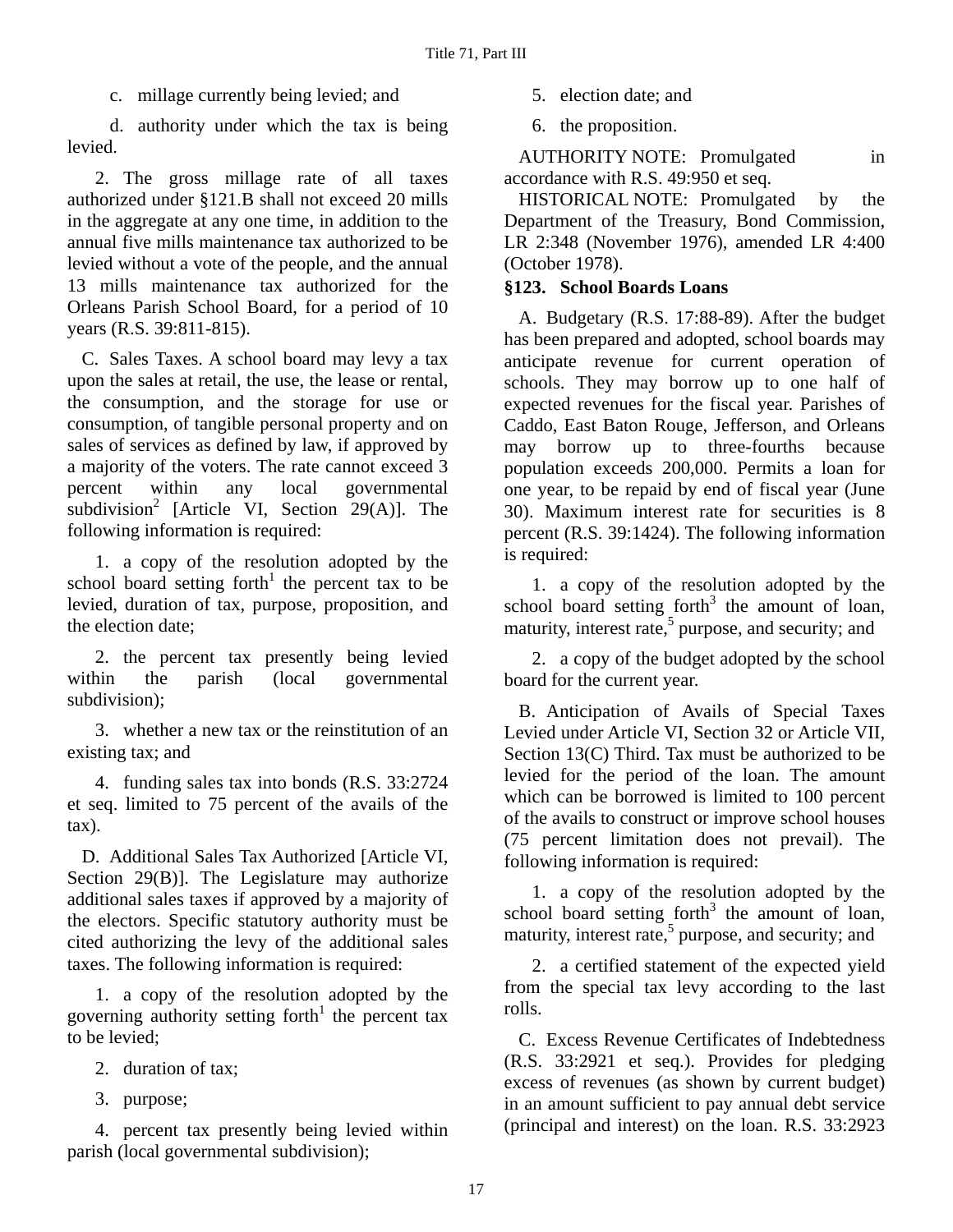c. millage currently being levied; and

d. authority under which the tax is being levied.

2. The gross millage rate of all taxes authorized under §121.B shall not exceed 20 mills in the aggregate at any one time, in addition to the annual five mills maintenance tax authorized to be levied without a vote of the people, and the annual 13 mills maintenance tax authorized for the Orleans Parish School Board, for a period of 10 years (R.S. 39:811-815).

C. Sales Taxes. A school board may levy a tax upon the sales at retail, the use, the lease or rental, the consumption, and the storage for use or consumption, of tangible personal property and on sales of services as defined by law, if approved by a majority of the voters. The rate cannot exceed 3 percent within any local governmental subdivision<sup>2</sup> [Article VI, Section 29(A)]. The following information is required:

1. a copy of the resolution adopted by the school board setting forth<sup>1</sup> the percent tax to be levied, duration of tax, purpose, proposition, and the election date;

2. the percent tax presently being levied within the parish (local governmental subdivision);

3. whether a new tax or the reinstitution of an existing tax; and

4. funding sales tax into bonds (R.S. 33:2724 et seq. limited to 75 percent of the avails of the tax).

D. Additional Sales Tax Authorized [Article VI, Section 29(B)]. The Legislature may authorize additional sales taxes if approved by a majority of the electors. Specific statutory authority must be cited authorizing the levy of the additional sales taxes. The following information is required:

1. a copy of the resolution adopted by the governing authority setting forth<sup>1</sup> the percent tax to be levied;

2. duration of tax;

3. purpose;

4. percent tax presently being levied within parish (local governmental subdivision);

5. election date; and

6. the proposition.

AUTHORITY NOTE: Promulgated in accordance with R.S. 49:950 et seq.

HISTORICAL NOTE: Promulgated by the Department of the Treasury, Bond Commission, LR 2:348 (November 1976), amended LR 4:400 (October 1978).

## **§123. School Boards Loans**

A. Budgetary (R.S. 17:88-89). After the budget has been prepared and adopted, school boards may anticipate revenue for current operation of schools. They may borrow up to one half of expected revenues for the fiscal year. Parishes of Caddo, East Baton Rouge, Jefferson, and Orleans may borrow up to three-fourths because population exceeds 200,000. Permits a loan for one year, to be repaid by end of fiscal year (June 30). Maximum interest rate for securities is 8 percent (R.S. 39:1424). The following information is required:

1. a copy of the resolution adopted by the  $s$ chool board setting forth<sup>3</sup> the amount of loan, maturity, interest rate,<sup>5</sup> purpose, and security; and

2. a copy of the budget adopted by the school board for the current year.

B. Anticipation of Avails of Special Taxes Levied under Article VI, Section 32 or Article VII, Section 13(C) Third. Tax must be authorized to be levied for the period of the loan. The amount which can be borrowed is limited to 100 percent of the avails to construct or improve school houses (75 percent limitation does not prevail). The following information is required:

1. a copy of the resolution adopted by the  $s$ chool board setting forth<sup>3</sup> the amount of loan, maturity, interest rate,<sup>5</sup> purpose, and security; and

2. a certified statement of the expected yield from the special tax levy according to the last rolls.

C. Excess Revenue Certificates of Indebtedness (R.S. 33:2921 et seq.). Provides for pledging excess of revenues (as shown by current budget) in an amount sufficient to pay annual debt service (principal and interest) on the loan. R.S. 33:2923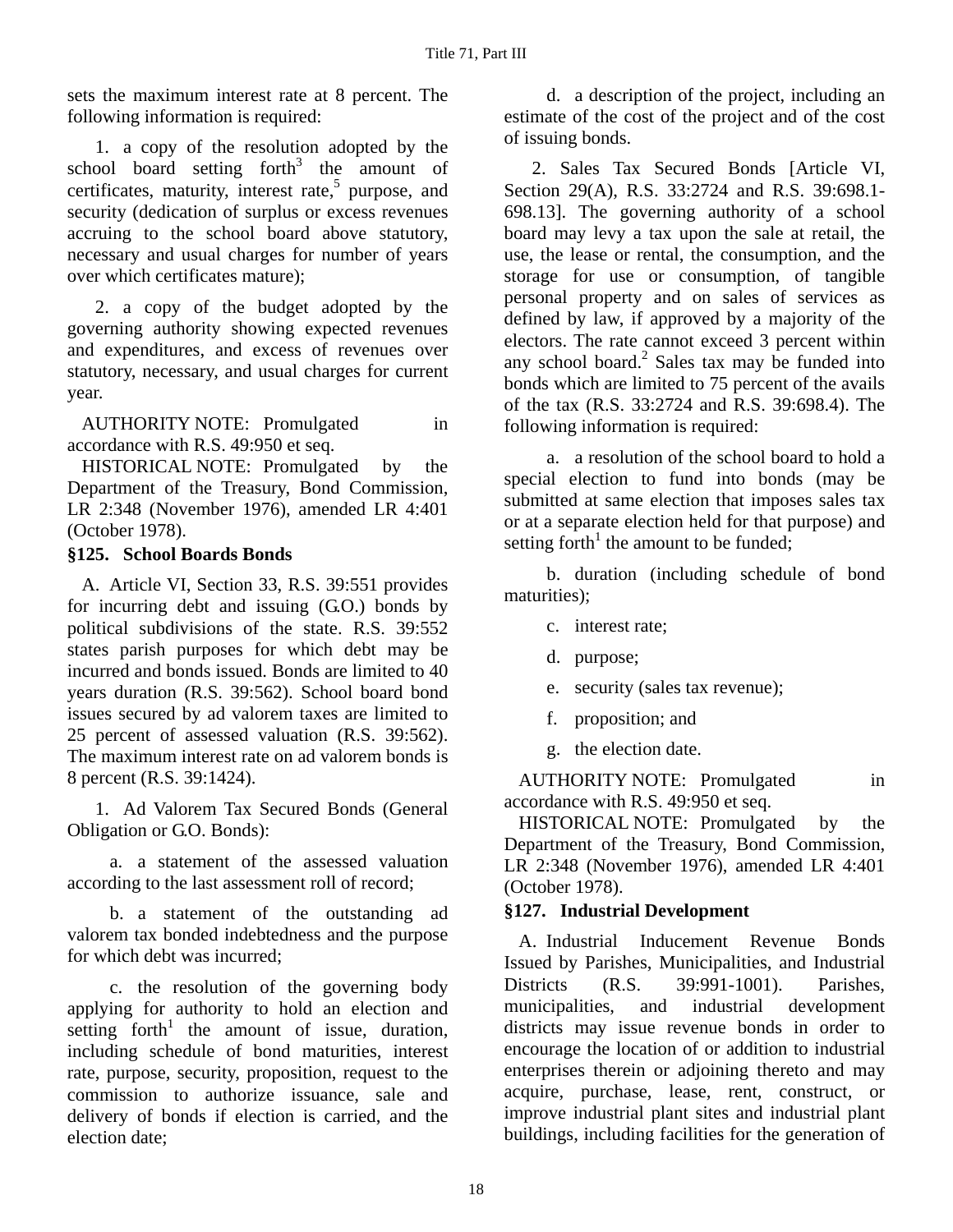sets the maximum interest rate at 8 percent. The following information is required:

1. a copy of the resolution adopted by the school board setting forth<sup>3</sup> the amount of certificates, maturity, interest rate, $5$  purpose, and security (dedication of surplus or excess revenues accruing to the school board above statutory, necessary and usual charges for number of years over which certificates mature);

2. a copy of the budget adopted by the governing authority showing expected revenues and expenditures, and excess of revenues over statutory, necessary, and usual charges for current year.

AUTHORITY NOTE: Promulgated in accordance with R.S. 49:950 et seq.

HISTORICAL NOTE: Promulgated by the Department of the Treasury, Bond Commission, LR 2:348 (November 1976), amended LR 4:401 (October 1978).

### **§125. School Boards Bonds**

A. Article VI, Section 33, R.S. 39:551 provides for incurring debt and issuing (G.O.) bonds by political subdivisions of the state. R.S. 39:552 states parish purposes for which debt may be incurred and bonds issued. Bonds are limited to 40 years duration (R.S. 39:562). School board bond issues secured by ad valorem taxes are limited to 25 percent of assessed valuation (R.S. 39:562). The maximum interest rate on ad valorem bonds is 8 percent (R.S. 39:1424).

1. Ad Valorem Tax Secured Bonds (General Obligation or G.O. Bonds):

a. a statement of the assessed valuation according to the last assessment roll of record;

b. a statement of the outstanding ad valorem tax bonded indebtedness and the purpose for which debt was incurred;

c. the resolution of the governing body applying for authority to hold an election and setting  $forth<sup>1</sup>$  the amount of issue, duration, including schedule of bond maturities, interest rate, purpose, security, proposition, request to the commission to authorize issuance, sale and delivery of bonds if election is carried, and the election date;

d. a description of the project, including an estimate of the cost of the project and of the cost of issuing bonds.

2. Sales Tax Secured Bonds [Article VI, Section 29(A), R.S. 33:2724 and R.S. 39:698.1- 698.13]. The governing authority of a school board may levy a tax upon the sale at retail, the use, the lease or rental, the consumption, and the storage for use or consumption, of tangible personal property and on sales of services as defined by law, if approved by a majority of the electors. The rate cannot exceed 3 percent within any school board. $2$  Sales tax may be funded into bonds which are limited to 75 percent of the avails of the tax (R.S. 33:2724 and R.S. 39:698.4). The following information is required:

a. a resolution of the school board to hold a special election to fund into bonds (may be submitted at same election that imposes sales tax or at a separate election held for that purpose) and setting forth<sup>1</sup> the amount to be funded;

b. duration (including schedule of bond maturities);

- c. interest rate;
- d. purpose;
- e. security (sales tax revenue);
- f. proposition; and
- g. the election date.

AUTHORITY NOTE: Promulgated in accordance with R.S. 49:950 et seq.

HISTORICAL NOTE: Promulgated by the Department of the Treasury, Bond Commission, LR 2:348 (November 1976), amended LR 4:401 (October 1978).

### **§127. Industrial Development**

A. Industrial Inducement Revenue Bonds Issued by Parishes, Municipalities, and Industrial Districts (R.S. 39:991-1001). Parishes, municipalities, and industrial development districts may issue revenue bonds in order to encourage the location of or addition to industrial enterprises therein or adjoining thereto and may acquire, purchase, lease, rent, construct, or improve industrial plant sites and industrial plant buildings, including facilities for the generation of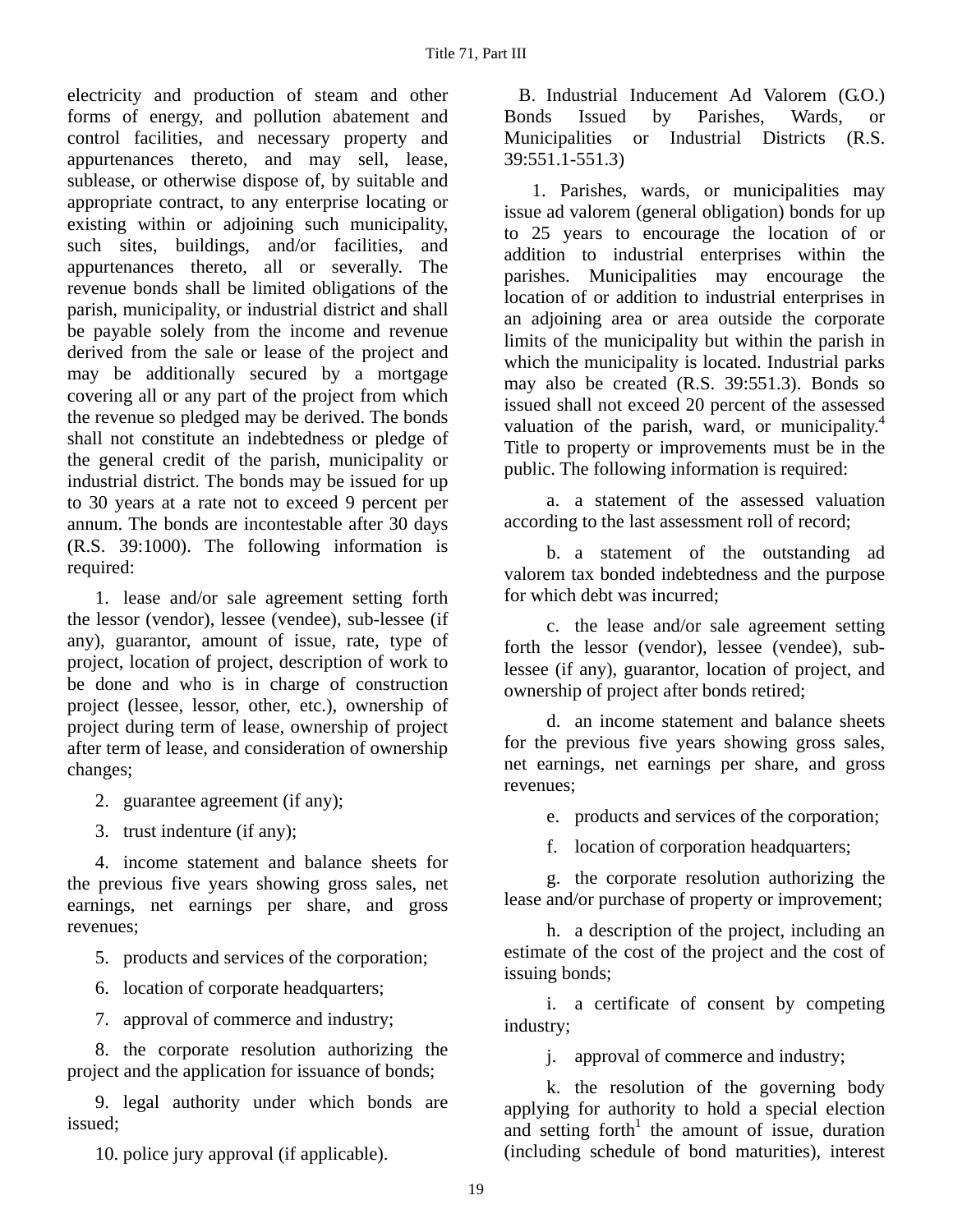electricity and production of steam and other forms of energy, and pollution abatement and control facilities, and necessary property and appurtenances thereto, and may sell, lease, sublease, or otherwise dispose of, by suitable and appropriate contract, to any enterprise locating or existing within or adjoining such municipality, such sites, buildings, and/or facilities, and appurtenances thereto, all or severally. The revenue bonds shall be limited obligations of the parish, municipality, or industrial district and shall be payable solely from the income and revenue derived from the sale or lease of the project and may be additionally secured by a mortgage covering all or any part of the project from which the revenue so pledged may be derived. The bonds shall not constitute an indebtedness or pledge of the general credit of the parish, municipality or industrial district. The bonds may be issued for up to 30 years at a rate not to exceed 9 percent per annum. The bonds are incontestable after 30 days (R.S. 39:1000). The following information is required:

1. lease and/or sale agreement setting forth the lessor (vendor), lessee (vendee), sub-lessee (if any), guarantor, amount of issue, rate, type of project, location of project, description of work to be done and who is in charge of construction project (lessee, lessor, other, etc.), ownership of project during term of lease, ownership of project after term of lease, and consideration of ownership changes;

- 2. guarantee agreement (if any);
- 3. trust indenture (if any);

4. income statement and balance sheets for the previous five years showing gross sales, net earnings, net earnings per share, and gross revenues;

- 5. products and services of the corporation;
- 6. location of corporate headquarters;
- 7. approval of commerce and industry;

8. the corporate resolution authorizing the project and the application for issuance of bonds;

9. legal authority under which bonds are issued;

10. police jury approval (if applicable).

B. Industrial Inducement Ad Valorem (G.O.) Bonds Issued by Parishes, Wards, or Municipalities or Industrial Districts (R.S. 39:551.1-551.3)

1. Parishes, wards, or municipalities may issue ad valorem (general obligation) bonds for up to 25 years to encourage the location of or addition to industrial enterprises within the parishes. Municipalities may encourage the location of or addition to industrial enterprises in an adjoining area or area outside the corporate limits of the municipality but within the parish in which the municipality is located. Industrial parks may also be created (R.S. 39:551.3). Bonds so issued shall not exceed 20 percent of the assessed valuation of the parish, ward, or municipality.<sup>4</sup> Title to property or improvements must be in the public. The following information is required:

a. a statement of the assessed valuation according to the last assessment roll of record;

b. a statement of the outstanding ad valorem tax bonded indebtedness and the purpose for which debt was incurred;

c. the lease and/or sale agreement setting forth the lessor (vendor), lessee (vendee), sublessee (if any), guarantor, location of project, and ownership of project after bonds retired;

d. an income statement and balance sheets for the previous five years showing gross sales, net earnings, net earnings per share, and gross revenues;

e. products and services of the corporation;

f. location of corporation headquarters;

g. the corporate resolution authorizing the lease and/or purchase of property or improvement;

h. a description of the project, including an estimate of the cost of the project and the cost of issuing bonds;

i. a certificate of consent by competing industry;

j. approval of commerce and industry;

k. the resolution of the governing body applying for authority to hold a special election and setting forth<sup>1</sup> the amount of issue, duration (including schedule of bond maturities), interest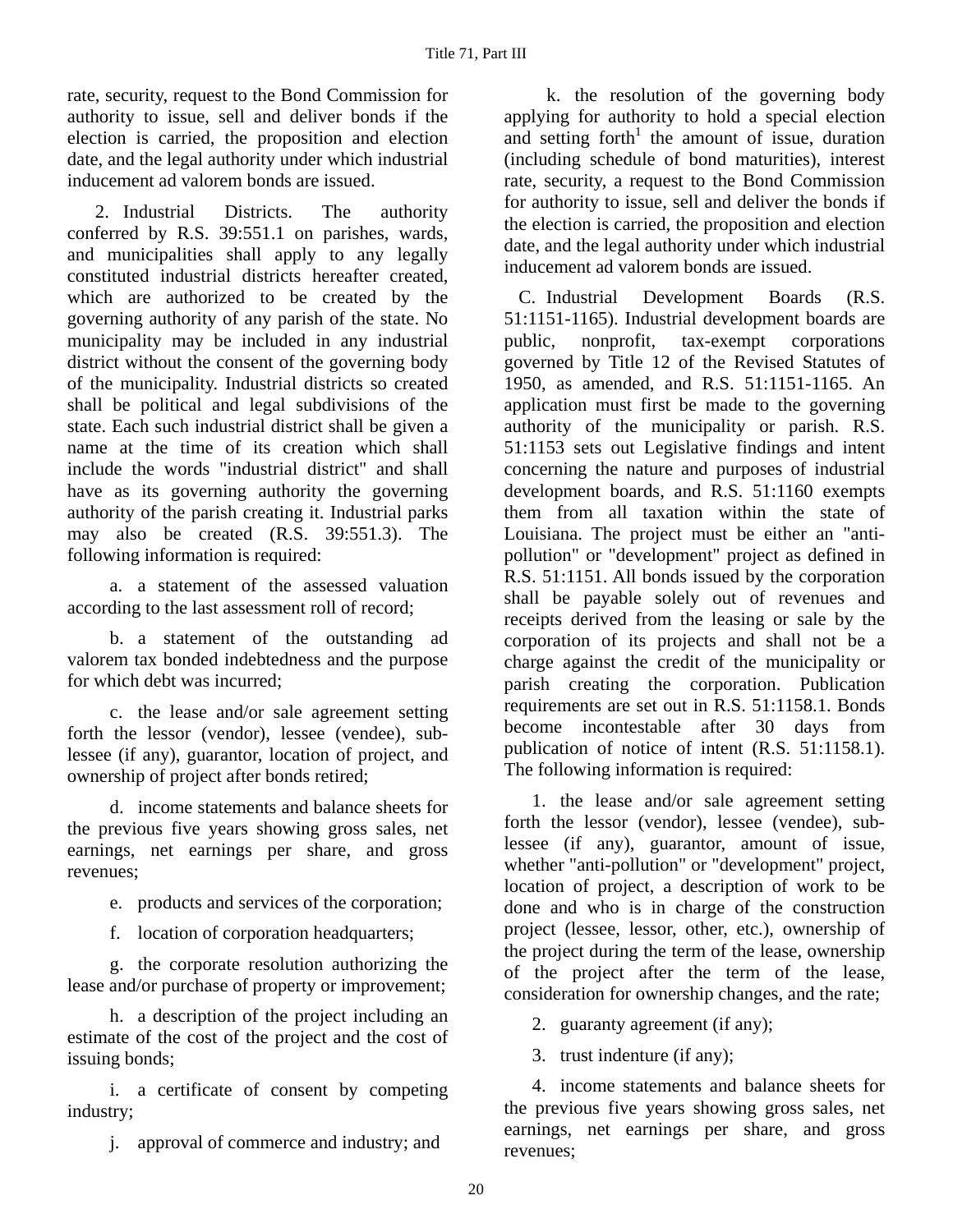rate, security, request to the Bond Commission for authority to issue, sell and deliver bonds if the election is carried, the proposition and election date, and the legal authority under which industrial inducement ad valorem bonds are issued.

2. Industrial Districts. The authority conferred by R.S. 39:551.1 on parishes, wards, and municipalities shall apply to any legally constituted industrial districts hereafter created, which are authorized to be created by the governing authority of any parish of the state. No municipality may be included in any industrial district without the consent of the governing body of the municipality. Industrial districts so created shall be political and legal subdivisions of the state. Each such industrial district shall be given a name at the time of its creation which shall include the words "industrial district" and shall have as its governing authority the governing authority of the parish creating it. Industrial parks may also be created (R.S. 39:551.3). The following information is required:

a. a statement of the assessed valuation according to the last assessment roll of record;

b. a statement of the outstanding ad valorem tax bonded indebtedness and the purpose for which debt was incurred;

c. the lease and/or sale agreement setting forth the lessor (vendor), lessee (vendee), sublessee (if any), guarantor, location of project, and ownership of project after bonds retired;

d. income statements and balance sheets for the previous five years showing gross sales, net earnings, net earnings per share, and gross revenues;

- e. products and services of the corporation;
- f. location of corporation headquarters;

g. the corporate resolution authorizing the lease and/or purchase of property or improvement;

h. a description of the project including an estimate of the cost of the project and the cost of issuing bonds;

i. a certificate of consent by competing industry;

j. approval of commerce and industry; and

k. the resolution of the governing body applying for authority to hold a special election and setting forth<sup>1</sup> the amount of issue, duration (including schedule of bond maturities), interest rate, security, a request to the Bond Commission for authority to issue, sell and deliver the bonds if the election is carried, the proposition and election date, and the legal authority under which industrial inducement ad valorem bonds are issued.

C. Industrial Development Boards (R.S. 51:1151-1165). Industrial development boards are public, nonprofit, tax-exempt corporations governed by Title 12 of the Revised Statutes of 1950, as amended, and R.S. 51:1151-1165. An application must first be made to the governing authority of the municipality or parish. R.S. 51:1153 sets out Legislative findings and intent concerning the nature and purposes of industrial development boards, and R.S. 51:1160 exempts them from all taxation within the state of Louisiana. The project must be either an "antipollution" or "development" project as defined in R.S. 51:1151. All bonds issued by the corporation shall be payable solely out of revenues and receipts derived from the leasing or sale by the corporation of its projects and shall not be a charge against the credit of the municipality or parish creating the corporation. Publication requirements are set out in R.S. 51:1158.1. Bonds become incontestable after 30 days from publication of notice of intent (R.S. 51:1158.1). The following information is required:

1. the lease and/or sale agreement setting forth the lessor (vendor), lessee (vendee), sublessee (if any), guarantor, amount of issue, whether "anti-pollution" or "development" project, location of project, a description of work to be done and who is in charge of the construction project (lessee, lessor, other, etc.), ownership of the project during the term of the lease, ownership of the project after the term of the lease, consideration for ownership changes, and the rate;

2. guaranty agreement (if any);

3. trust indenture (if any);

4. income statements and balance sheets for the previous five years showing gross sales, net earnings, net earnings per share, and gross revenues;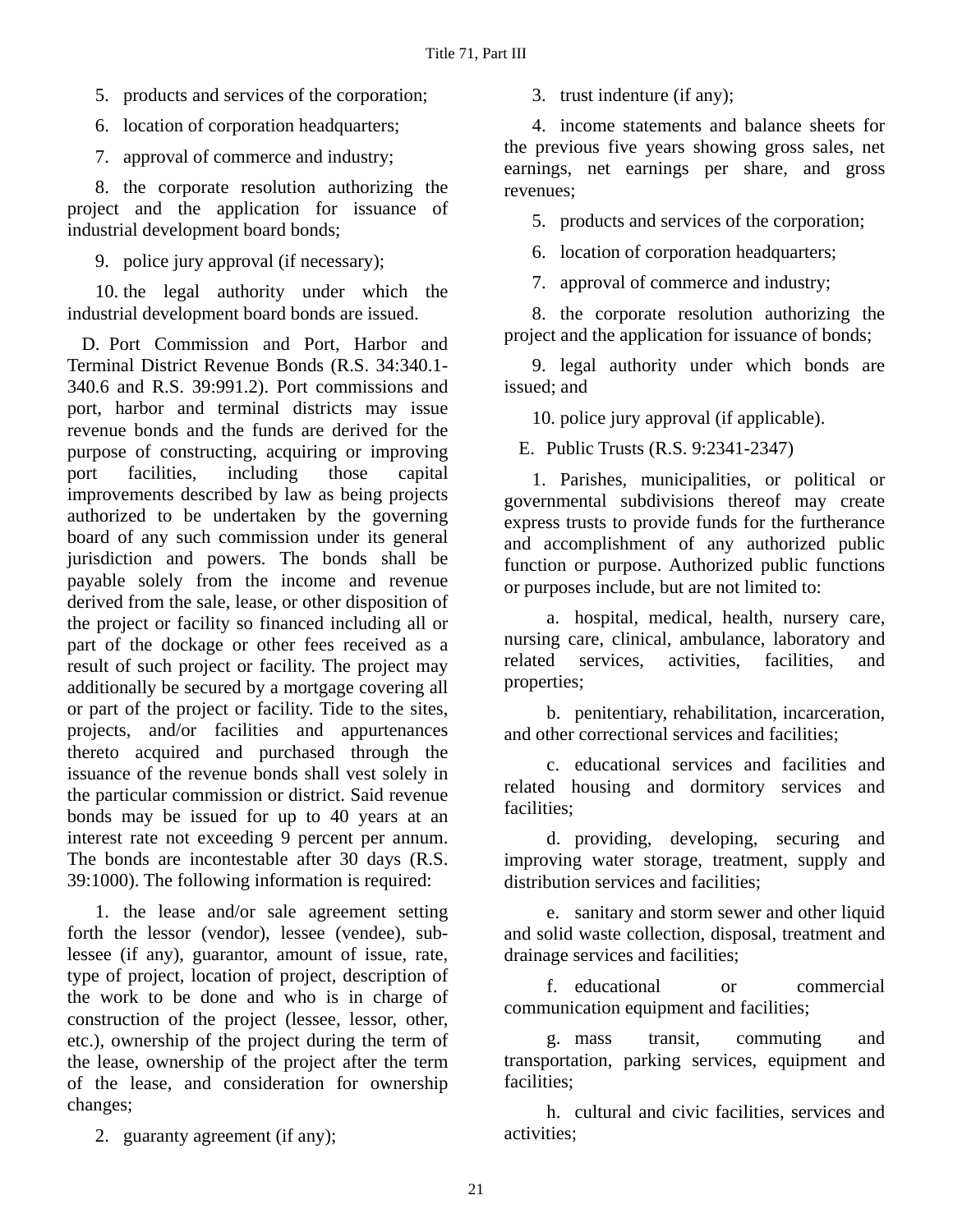- 5. products and services of the corporation;
- 6. location of corporation headquarters;

7. approval of commerce and industry;

8. the corporate resolution authorizing the project and the application for issuance of industrial development board bonds;

9. police jury approval (if necessary);

10. the legal authority under which the industrial development board bonds are issued.

D. Port Commission and Port, Harbor and Terminal District Revenue Bonds (R.S. 34:340.1- 340.6 and R.S. 39:991.2). Port commissions and port, harbor and terminal districts may issue revenue bonds and the funds are derived for the purpose of constructing, acquiring or improving port facilities, including those capital improvements described by law as being projects authorized to be undertaken by the governing board of any such commission under its general jurisdiction and powers. The bonds shall be payable solely from the income and revenue derived from the sale, lease, or other disposition of the project or facility so financed including all or part of the dockage or other fees received as a result of such project or facility. The project may additionally be secured by a mortgage covering all or part of the project or facility. Tide to the sites, projects, and/or facilities and appurtenances thereto acquired and purchased through the issuance of the revenue bonds shall vest solely in the particular commission or district. Said revenue bonds may be issued for up to 40 years at an interest rate not exceeding 9 percent per annum. The bonds are incontestable after 30 days (R.S. 39:1000). The following information is required:

1. the lease and/or sale agreement setting forth the lessor (vendor), lessee (vendee), sublessee (if any), guarantor, amount of issue, rate, type of project, location of project, description of the work to be done and who is in charge of construction of the project (lessee, lessor, other, etc.), ownership of the project during the term of the lease, ownership of the project after the term of the lease, and consideration for ownership changes;

2. guaranty agreement (if any);

3. trust indenture (if any);

4. income statements and balance sheets for the previous five years showing gross sales, net earnings, net earnings per share, and gross revenues;

5. products and services of the corporation;

6. location of corporation headquarters;

7. approval of commerce and industry;

8. the corporate resolution authorizing the project and the application for issuance of bonds;

9. legal authority under which bonds are issued; and

10. police jury approval (if applicable).

E. Public Trusts (R.S. 9:2341-2347)

1. Parishes, municipalities, or political or governmental subdivisions thereof may create express trusts to provide funds for the furtherance and accomplishment of any authorized public function or purpose. Authorized public functions or purposes include, but are not limited to:

a. hospital, medical, health, nursery care, nursing care, clinical, ambulance, laboratory and related services, activities, facilities, and properties;

b. penitentiary, rehabilitation, incarceration, and other correctional services and facilities;

c. educational services and facilities and related housing and dormitory services and facilities;

d. providing, developing, securing and improving water storage, treatment, supply and distribution services and facilities;

e. sanitary and storm sewer and other liquid and solid waste collection, disposal, treatment and drainage services and facilities;

f. educational or commercial communication equipment and facilities;

g. mass transit, commuting and transportation, parking services, equipment and facilities;

h. cultural and civic facilities, services and activities;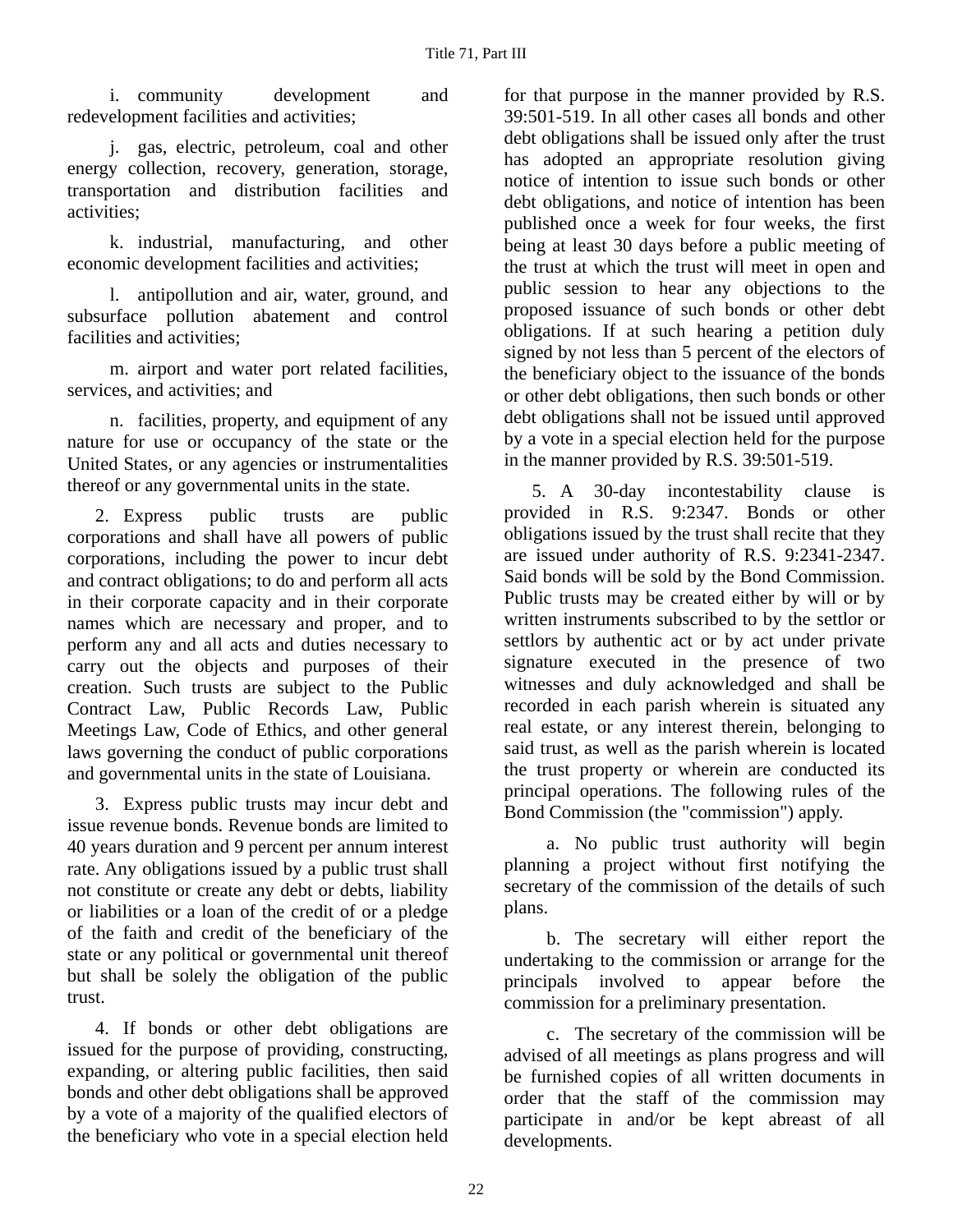i. community development and redevelopment facilities and activities;

j. gas, electric, petroleum, coal and other energy collection, recovery, generation, storage, transportation and distribution facilities and activities;

k. industrial, manufacturing, and other economic development facilities and activities;

l. antipollution and air, water, ground, and subsurface pollution abatement and control facilities and activities;

m. airport and water port related facilities, services, and activities; and

n. facilities, property, and equipment of any nature for use or occupancy of the state or the United States, or any agencies or instrumentalities thereof or any governmental units in the state.

2. Express public trusts are public corporations and shall have all powers of public corporations, including the power to incur debt and contract obligations; to do and perform all acts in their corporate capacity and in their corporate names which are necessary and proper, and to perform any and all acts and duties necessary to carry out the objects and purposes of their creation. Such trusts are subject to the Public Contract Law, Public Records Law, Public Meetings Law, Code of Ethics, and other general laws governing the conduct of public corporations and governmental units in the state of Louisiana.

3. Express public trusts may incur debt and issue revenue bonds. Revenue bonds are limited to 40 years duration and 9 percent per annum interest rate. Any obligations issued by a public trust shall not constitute or create any debt or debts, liability or liabilities or a loan of the credit of or a pledge of the faith and credit of the beneficiary of the state or any political or governmental unit thereof but shall be solely the obligation of the public trust.

4. If bonds or other debt obligations are issued for the purpose of providing, constructing, expanding, or altering public facilities, then said bonds and other debt obligations shall be approved by a vote of a majority of the qualified electors of the beneficiary who vote in a special election held for that purpose in the manner provided by R.S. 39:501-519. In all other cases all bonds and other debt obligations shall be issued only after the trust has adopted an appropriate resolution giving notice of intention to issue such bonds or other debt obligations, and notice of intention has been published once a week for four weeks, the first being at least 30 days before a public meeting of the trust at which the trust will meet in open and public session to hear any objections to the proposed issuance of such bonds or other debt obligations. If at such hearing a petition duly signed by not less than 5 percent of the electors of the beneficiary object to the issuance of the bonds or other debt obligations, then such bonds or other debt obligations shall not be issued until approved by a vote in a special election held for the purpose in the manner provided by R.S. 39:501-519.

5. A 30-day incontestability clause is provided in R.S. 9:2347. Bonds or other obligations issued by the trust shall recite that they are issued under authority of R.S. 9:2341-2347. Said bonds will be sold by the Bond Commission. Public trusts may be created either by will or by written instruments subscribed to by the settlor or settlors by authentic act or by act under private signature executed in the presence of two witnesses and duly acknowledged and shall be recorded in each parish wherein is situated any real estate, or any interest therein, belonging to said trust, as well as the parish wherein is located the trust property or wherein are conducted its principal operations. The following rules of the Bond Commission (the "commission") apply.

a. No public trust authority will begin planning a project without first notifying the secretary of the commission of the details of such plans.

b. The secretary will either report the undertaking to the commission or arrange for the principals involved to appear before the commission for a preliminary presentation.

c. The secretary of the commission will be advised of all meetings as plans progress and will be furnished copies of all written documents in order that the staff of the commission may participate in and/or be kept abreast of all developments.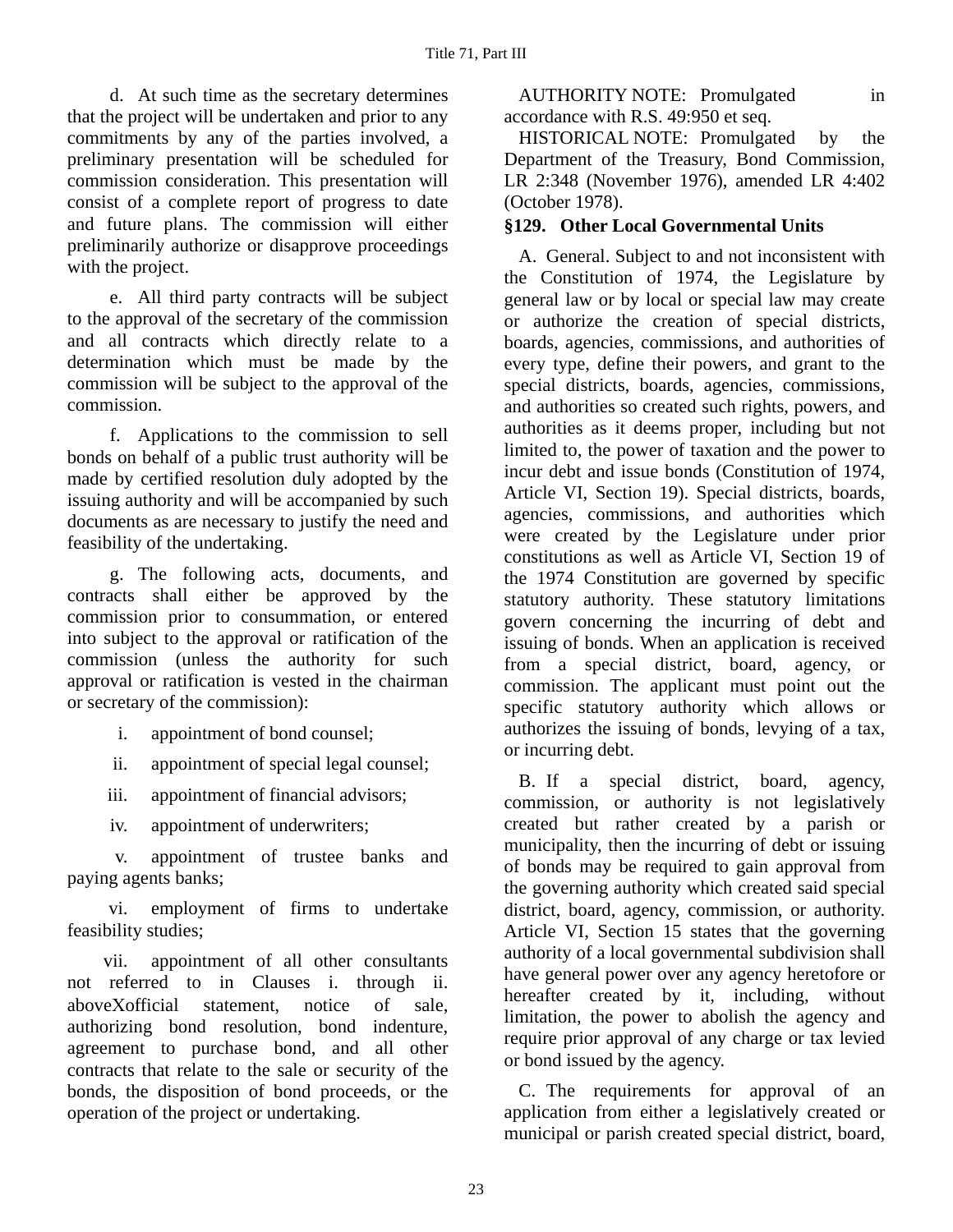d. At such time as the secretary determines that the project will be undertaken and prior to any commitments by any of the parties involved, a preliminary presentation will be scheduled for commission consideration. This presentation will consist of a complete report of progress to date and future plans. The commission will either preliminarily authorize or disapprove proceedings with the project.

e. All third party contracts will be subject to the approval of the secretary of the commission and all contracts which directly relate to a determination which must be made by the commission will be subject to the approval of the commission.

f. Applications to the commission to sell bonds on behalf of a public trust authority will be made by certified resolution duly adopted by the issuing authority and will be accompanied by such documents as are necessary to justify the need and feasibility of the undertaking.

g. The following acts, documents, and contracts shall either be approved by the commission prior to consummation, or entered into subject to the approval or ratification of the commission (unless the authority for such approval or ratification is vested in the chairman or secretary of the commission):

i. appointment of bond counsel;

ii. appointment of special legal counsel;

iii. appointment of financial advisors;

iv. appointment of underwriters;

 v. appointment of trustee banks and paying agents banks;

 vi. employment of firms to undertake feasibility studies;

 vii. appointment of all other consultants not referred to in Clauses i. through ii. aboveΧofficial statement, notice of sale, authorizing bond resolution, bond indenture, agreement to purchase bond, and all other contracts that relate to the sale or security of the bonds, the disposition of bond proceeds, or the operation of the project or undertaking.

AUTHORITY NOTE: Promulgated in accordance with R.S. 49:950 et seq.

HISTORICAL NOTE: Promulgated by the Department of the Treasury, Bond Commission, LR 2:348 (November 1976), amended LR 4:402 (October 1978).

# **§129. Other Local Governmental Units**

A. General. Subject to and not inconsistent with the Constitution of 1974, the Legislature by general law or by local or special law may create or authorize the creation of special districts, boards, agencies, commissions, and authorities of every type, define their powers, and grant to the special districts, boards, agencies, commissions, and authorities so created such rights, powers, and authorities as it deems proper, including but not limited to, the power of taxation and the power to incur debt and issue bonds (Constitution of 1974, Article VI, Section 19). Special districts, boards, agencies, commissions, and authorities which were created by the Legislature under prior constitutions as well as Article VI, Section 19 of the 1974 Constitution are governed by specific statutory authority. These statutory limitations govern concerning the incurring of debt and issuing of bonds. When an application is received from a special district, board, agency, or commission. The applicant must point out the specific statutory authority which allows or authorizes the issuing of bonds, levying of a tax, or incurring debt.

B. If a special district, board, agency, commission, or authority is not legislatively created but rather created by a parish or municipality, then the incurring of debt or issuing of bonds may be required to gain approval from the governing authority which created said special district, board, agency, commission, or authority. Article VI, Section 15 states that the governing authority of a local governmental subdivision shall have general power over any agency heretofore or hereafter created by it, including, without limitation, the power to abolish the agency and require prior approval of any charge or tax levied or bond issued by the agency.

C. The requirements for approval of an application from either a legislatively created or municipal or parish created special district, board,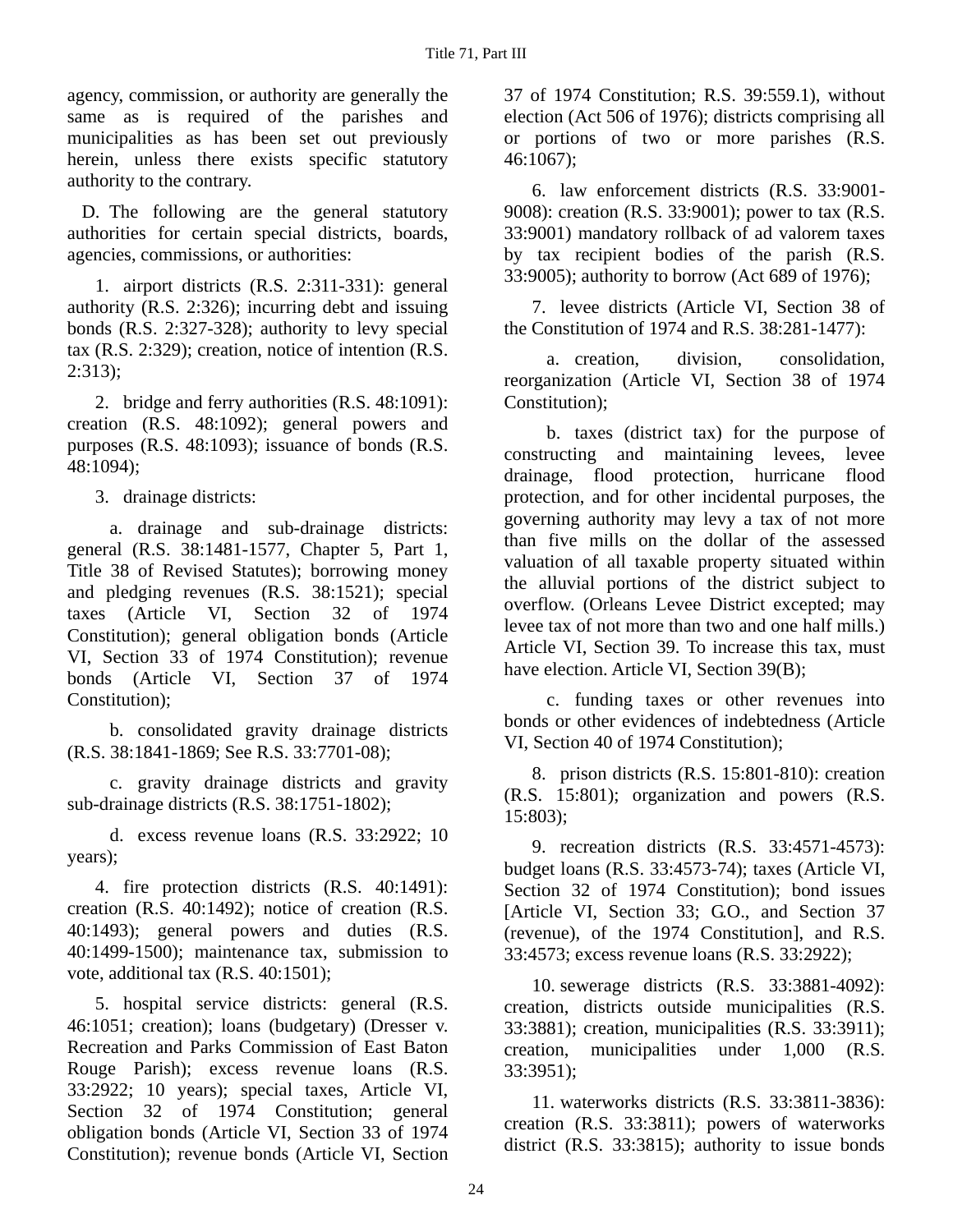agency, commission, or authority are generally the same as is required of the parishes and municipalities as has been set out previously herein, unless there exists specific statutory authority to the contrary.

D. The following are the general statutory authorities for certain special districts, boards, agencies, commissions, or authorities:

1. airport districts (R.S. 2:311-331): general authority (R.S. 2:326); incurring debt and issuing bonds (R.S. 2:327-328); authority to levy special tax (R.S. 2:329); creation, notice of intention (R.S. 2:313);

2. bridge and ferry authorities (R.S. 48:1091): creation (R.S. 48:1092); general powers and purposes (R.S. 48:1093); issuance of bonds (R.S. 48:1094);

3. drainage districts:

a. drainage and sub-drainage districts: general (R.S. 38:1481-1577, Chapter 5, Part 1, Title 38 of Revised Statutes); borrowing money and pledging revenues (R.S. 38:1521); special taxes (Article VI, Section 32 of 1974 Constitution); general obligation bonds (Article VI, Section 33 of 1974 Constitution); revenue bonds (Article VI, Section 37 of 1974 Constitution);

b. consolidated gravity drainage districts (R.S. 38:1841-1869; See R.S. 33:7701-08);

c. gravity drainage districts and gravity sub-drainage districts (R.S. 38:1751-1802);

d. excess revenue loans (R.S. 33:2922; 10 years);

4. fire protection districts (R.S. 40:1491): creation (R.S. 40:1492); notice of creation (R.S. 40:1493); general powers and duties (R.S. 40:1499-1500); maintenance tax, submission to vote, additional tax (R.S. 40:1501);

5. hospital service districts: general (R.S. 46:1051; creation); loans (budgetary) (Dresser v. Recreation and Parks Commission of East Baton Rouge Parish); excess revenue loans (R.S. 33:2922; 10 years); special taxes, Article VI, Section 32 of 1974 Constitution; general obligation bonds (Article VI, Section 33 of 1974 Constitution); revenue bonds (Article VI, Section

37 of 1974 Constitution; R.S. 39:559.1), without election (Act 506 of 1976); districts comprising all or portions of two or more parishes (R.S. 46:1067);

6. law enforcement districts (R.S. 33:9001- 9008): creation (R.S. 33:9001); power to tax (R.S. 33:9001) mandatory rollback of ad valorem taxes by tax recipient bodies of the parish (R.S. 33:9005); authority to borrow (Act 689 of 1976);

7. levee districts (Article VI, Section 38 of the Constitution of 1974 and R.S. 38:281-1477):

a. creation, division, consolidation, reorganization (Article VI, Section 38 of 1974 Constitution);

b. taxes (district tax) for the purpose of constructing and maintaining levees, levee drainage, flood protection, hurricane flood protection, and for other incidental purposes, the governing authority may levy a tax of not more than five mills on the dollar of the assessed valuation of all taxable property situated within the alluvial portions of the district subject to overflow. (Orleans Levee District excepted; may levee tax of not more than two and one half mills.) Article VI, Section 39. To increase this tax, must have election. Article VI, Section 39(B);

c. funding taxes or other revenues into bonds or other evidences of indebtedness (Article VI, Section 40 of 1974 Constitution);

8. prison districts (R.S. 15:801-810): creation (R.S. 15:801); organization and powers (R.S. 15:803);

9. recreation districts (R.S. 33:4571-4573): budget loans (R.S. 33:4573-74); taxes (Article VI, Section 32 of 1974 Constitution); bond issues [Article VI, Section 33; G.O., and Section 37 (revenue), of the 1974 Constitution], and R.S. 33:4573; excess revenue loans (R.S. 33:2922);

10. sewerage districts (R.S. 33:3881-4092): creation, districts outside municipalities (R.S. 33:3881); creation, municipalities (R.S. 33:3911); creation, municipalities under 1,000 (R.S. 33:3951);

11. waterworks districts (R.S. 33:3811-3836): creation (R.S. 33:3811); powers of waterworks district (R.S. 33:3815); authority to issue bonds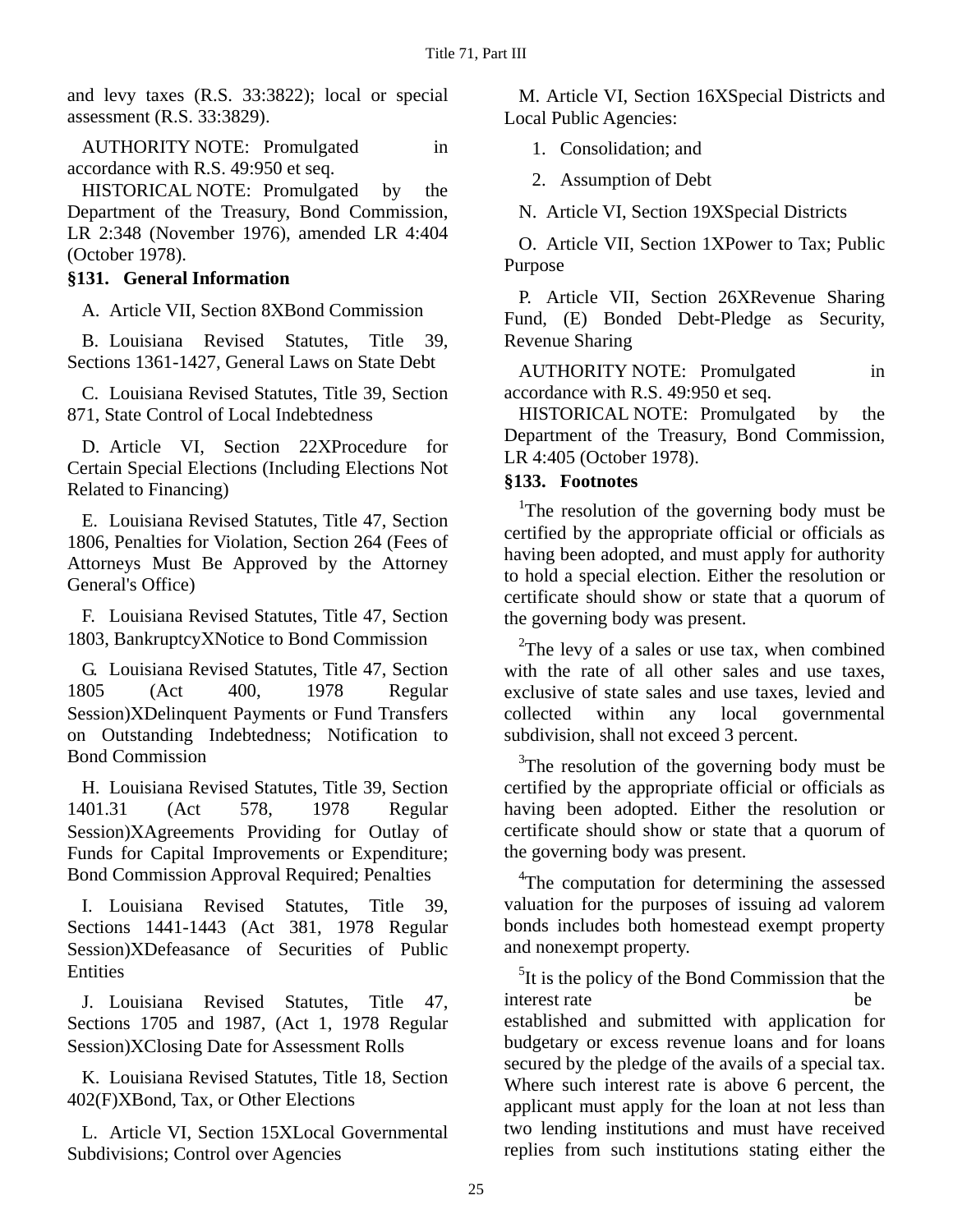and levy taxes (R.S. 33:3822); local or special assessment (R.S. 33:3829).

AUTHORITY NOTE: Promulgated in accordance with R.S. 49:950 et seq.

HISTORICAL NOTE: Promulgated by the Department of the Treasury, Bond Commission, LR 2:348 (November 1976), amended LR 4:404 (October 1978).

### **§131. General Information**

A. Article VII, Section 8ΧBond Commission

B. Louisiana Revised Statutes, Title 39, Sections 1361-1427, General Laws on State Debt

C. Louisiana Revised Statutes, Title 39, Section 871, State Control of Local Indebtedness

D. Article VI, Section 22ΧProcedure for Certain Special Elections (Including Elections Not Related to Financing)

E. Louisiana Revised Statutes, Title 47, Section 1806, Penalties for Violation, Section 264 (Fees of Attorneys Must Be Approved by the Attorney General's Office)

F. Louisiana Revised Statutes, Title 47, Section 1803, BankruptcyΧNotice to Bond Commission

G. Louisiana Revised Statutes, Title 47, Section 1805 (Act 400, 1978 Regular Session)ΧDelinquent Payments or Fund Transfers on Outstanding Indebtedness; Notification to Bond Commission

H. Louisiana Revised Statutes, Title 39, Section 1401.31 (Act 578, 1978 Regular Session)ΧAgreements Providing for Outlay of Funds for Capital Improvements or Expenditure; Bond Commission Approval Required; Penalties

I. Louisiana Revised Statutes, Title 39, Sections 1441-1443 (Act 381, 1978 Regular Session) XDefeasance of Securities of Public **Entities** 

J. Louisiana Revised Statutes, Title 47, Sections 1705 and 1987, (Act 1, 1978 Regular Session)ΧClosing Date for Assessment Rolls

K. Louisiana Revised Statutes, Title 18, Section 402(F)ΧBond, Tax, or Other Elections

L. Article VI, Section 15ΧLocal Governmental Subdivisions; Control over Agencies

M. Article VI, Section 16ΧSpecial Districts and Local Public Agencies:

1. Consolidation; and

2. Assumption of Debt

N. Article VI, Section 19ΧSpecial Districts

O. Article VII, Section 1ΧPower to Tax; Public Purpose

P. Article VII, Section 26ΧRevenue Sharing Fund, (E) Bonded Debt-Pledge as Security, Revenue Sharing

AUTHORITY NOTE: Promulgated in accordance with R.S. 49:950 et seq.

HISTORICAL NOTE: Promulgated by the Department of the Treasury, Bond Commission, LR 4:405 (October 1978).

### **§133. Footnotes**

<sup>1</sup>The resolution of the governing body must be certified by the appropriate official or officials as having been adopted, and must apply for authority to hold a special election. Either the resolution or certificate should show or state that a quorum of the governing body was present.

 $2$ The levy of a sales or use tax, when combined with the rate of all other sales and use taxes, exclusive of state sales and use taxes, levied and collected within any local governmental subdivision, shall not exceed 3 percent.

<sup>3</sup>The resolution of the governing body must be certified by the appropriate official or officials as having been adopted. Either the resolution or certificate should show or state that a quorum of the governing body was present.

<sup>4</sup>The computation for determining the assessed valuation for the purposes of issuing ad valorem bonds includes both homestead exempt property and nonexempt property.

<sup>5</sup>It is the policy of the Bond Commission that the interest rate be established and submitted with application for budgetary or excess revenue loans and for loans secured by the pledge of the avails of a special tax. Where such interest rate is above 6 percent, the applicant must apply for the loan at not less than two lending institutions and must have received replies from such institutions stating either the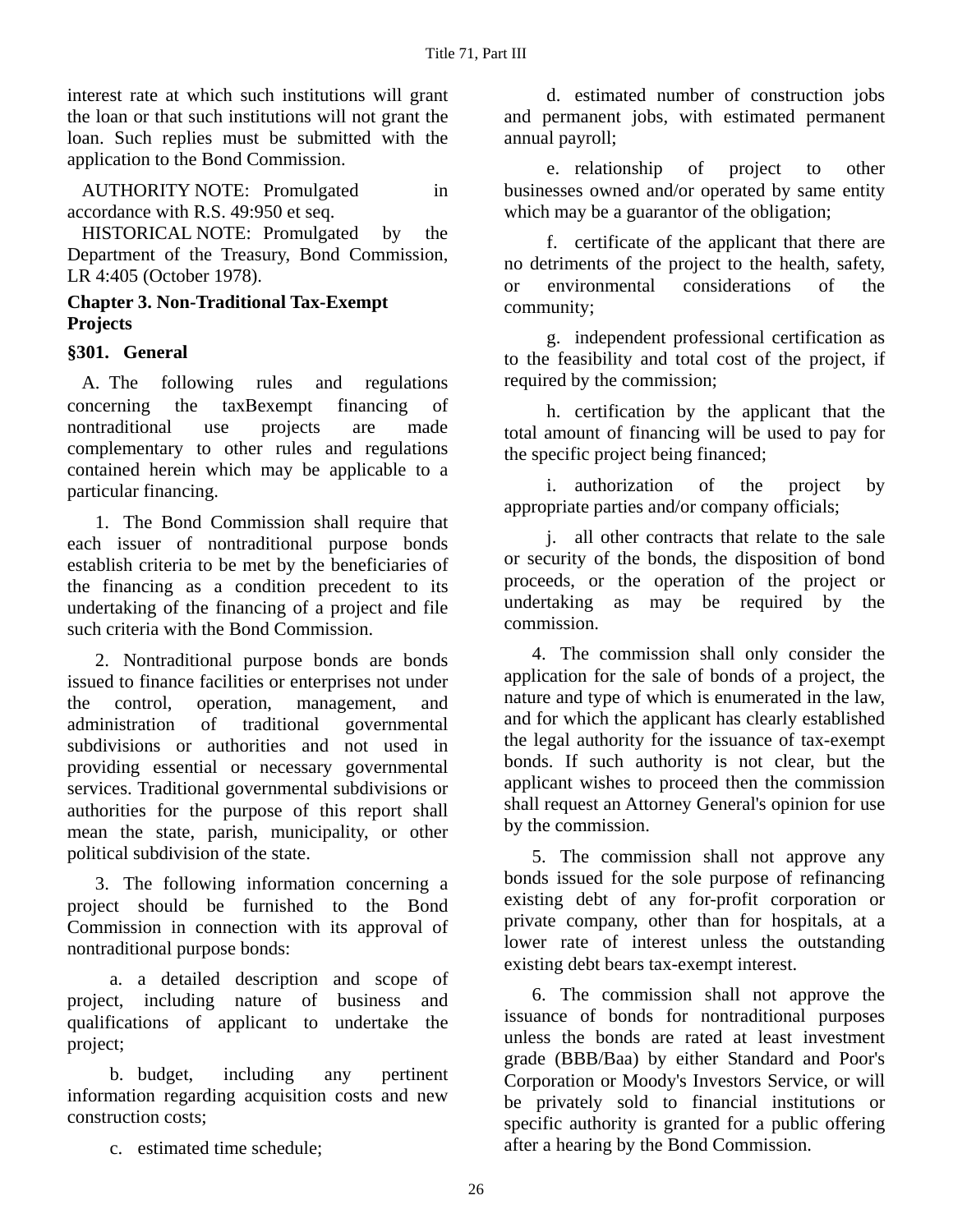interest rate at which such institutions will grant the loan or that such institutions will not grant the loan. Such replies must be submitted with the application to the Bond Commission.

AUTHORITY NOTE: Promulgated in accordance with R.S. 49:950 et seq.

HISTORICAL NOTE: Promulgated by the Department of the Treasury, Bond Commission, LR 4:405 (October 1978).

### **Chapter 3. Non-Traditional Tax-Exempt Projects**

### **§301. General**

A. The following rules and regulations concerning the taxΒexempt financing of nontraditional use projects are made complementary to other rules and regulations contained herein which may be applicable to a particular financing.

1. The Bond Commission shall require that each issuer of nontraditional purpose bonds establish criteria to be met by the beneficiaries of the financing as a condition precedent to its undertaking of the financing of a project and file such criteria with the Bond Commission.

2. Nontraditional purpose bonds are bonds issued to finance facilities or enterprises not under the control, operation, management, and administration of traditional governmental subdivisions or authorities and not used in providing essential or necessary governmental services. Traditional governmental subdivisions or authorities for the purpose of this report shall mean the state, parish, municipality, or other political subdivision of the state.

3. The following information concerning a project should be furnished to the Bond Commission in connection with its approval of nontraditional purpose bonds:

a. a detailed description and scope of project, including nature of business and qualifications of applicant to undertake the project;

b. budget, including any pertinent information regarding acquisition costs and new construction costs;

c. estimated time schedule;

d. estimated number of construction jobs and permanent jobs, with estimated permanent annual payroll;

e. relationship of project to other businesses owned and/or operated by same entity which may be a guarantor of the obligation;

f. certificate of the applicant that there are no detriments of the project to the health, safety, or environmental considerations of the community;

g. independent professional certification as to the feasibility and total cost of the project, if required by the commission;

h. certification by the applicant that the total amount of financing will be used to pay for the specific project being financed;

i. authorization of the project by appropriate parties and/or company officials;

j. all other contracts that relate to the sale or security of the bonds, the disposition of bond proceeds, or the operation of the project or undertaking as may be required by the commission.

4. The commission shall only consider the application for the sale of bonds of a project, the nature and type of which is enumerated in the law, and for which the applicant has clearly established the legal authority for the issuance of tax-exempt bonds. If such authority is not clear, but the applicant wishes to proceed then the commission shall request an Attorney General's opinion for use by the commission.

5. The commission shall not approve any bonds issued for the sole purpose of refinancing existing debt of any for-profit corporation or private company, other than for hospitals, at a lower rate of interest unless the outstanding existing debt bears tax-exempt interest.

6. The commission shall not approve the issuance of bonds for nontraditional purposes unless the bonds are rated at least investment grade (BBB/Baa) by either Standard and Poor's Corporation or Moody's Investors Service, or will be privately sold to financial institutions or specific authority is granted for a public offering after a hearing by the Bond Commission.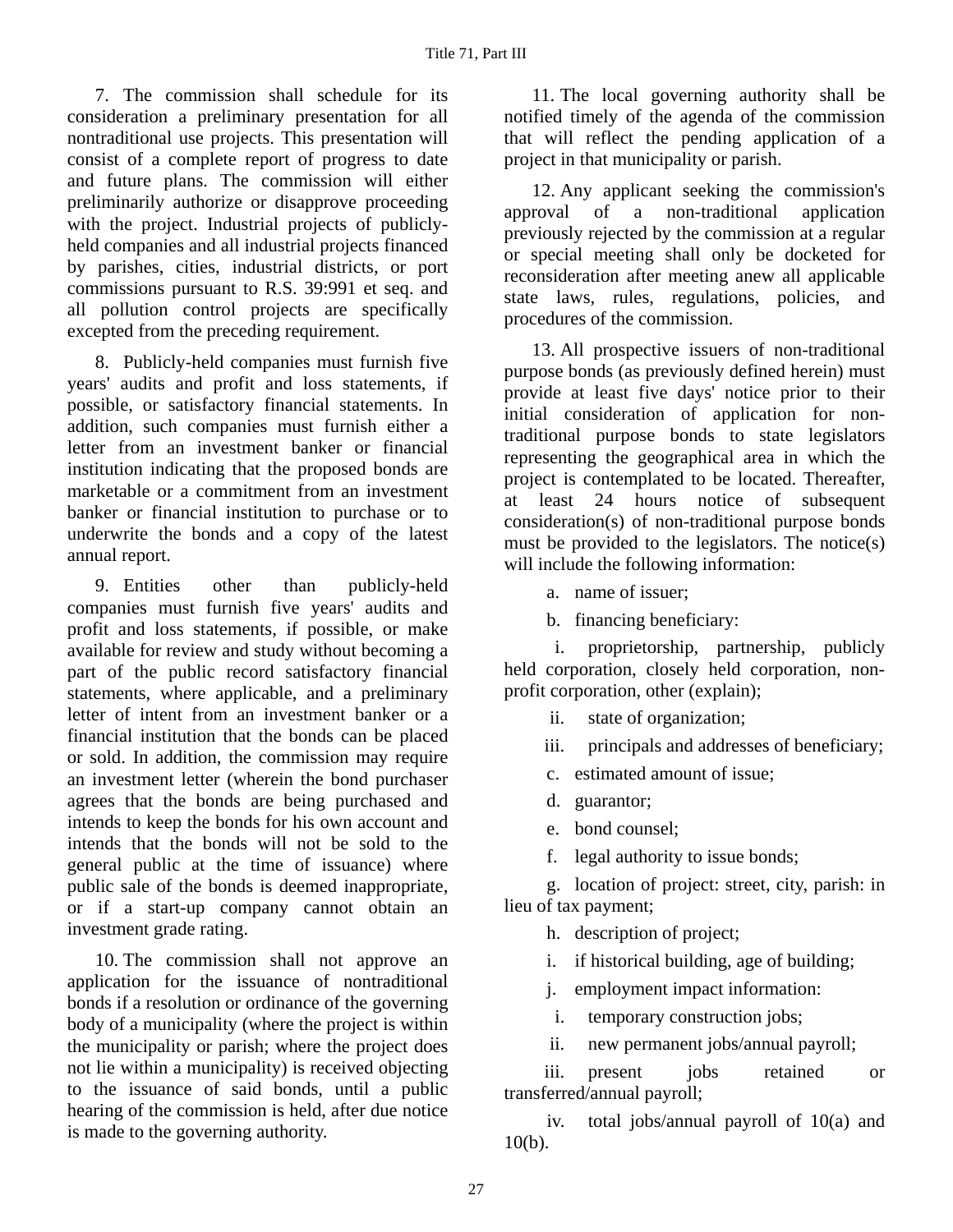7. The commission shall schedule for its consideration a preliminary presentation for all nontraditional use projects. This presentation will consist of a complete report of progress to date and future plans. The commission will either preliminarily authorize or disapprove proceeding with the project. Industrial projects of publiclyheld companies and all industrial projects financed by parishes, cities, industrial districts, or port commissions pursuant to R.S. 39:991 et seq. and all pollution control projects are specifically excepted from the preceding requirement.

8. Publicly-held companies must furnish five years' audits and profit and loss statements, if possible, or satisfactory financial statements. In addition, such companies must furnish either a letter from an investment banker or financial institution indicating that the proposed bonds are marketable or a commitment from an investment banker or financial institution to purchase or to underwrite the bonds and a copy of the latest annual report.

9. Entities other than publicly-held companies must furnish five years' audits and profit and loss statements, if possible, or make available for review and study without becoming a part of the public record satisfactory financial statements, where applicable, and a preliminary letter of intent from an investment banker or a financial institution that the bonds can be placed or sold. In addition, the commission may require an investment letter (wherein the bond purchaser agrees that the bonds are being purchased and intends to keep the bonds for his own account and intends that the bonds will not be sold to the general public at the time of issuance) where public sale of the bonds is deemed inappropriate, or if a start-up company cannot obtain an investment grade rating.

10. The commission shall not approve an application for the issuance of nontraditional bonds if a resolution or ordinance of the governing body of a municipality (where the project is within the municipality or parish; where the project does not lie within a municipality) is received objecting to the issuance of said bonds, until a public hearing of the commission is held, after due notice is made to the governing authority.

11. The local governing authority shall be notified timely of the agenda of the commission that will reflect the pending application of a project in that municipality or parish.

12. Any applicant seeking the commission's approval of a non-traditional application previously rejected by the commission at a regular or special meeting shall only be docketed for reconsideration after meeting anew all applicable state laws, rules, regulations, policies, and procedures of the commission.

13. All prospective issuers of non-traditional purpose bonds (as previously defined herein) must provide at least five days' notice prior to their initial consideration of application for nontraditional purpose bonds to state legislators representing the geographical area in which the project is contemplated to be located. Thereafter, at least 24 hours notice of subsequent consideration(s) of non-traditional purpose bonds must be provided to the legislators. The notice(s) will include the following information:

a. name of issuer;

b. financing beneficiary:

 i. proprietorship, partnership, publicly held corporation, closely held corporation, nonprofit corporation, other (explain);

ii. state of organization;

iii. principals and addresses of beneficiary;

c. estimated amount of issue;

d. guarantor;

e. bond counsel;

f. legal authority to issue bonds;

g. location of project: street, city, parish: in lieu of tax payment;

h. description of project;

i. if historical building, age of building;

j. employment impact information:

i. temporary construction jobs;

ii. new permanent jobs/annual payroll;

iii. present iobs retained or transferred/annual payroll;

 iv. total jobs/annual payroll of 10(a) and 10(b).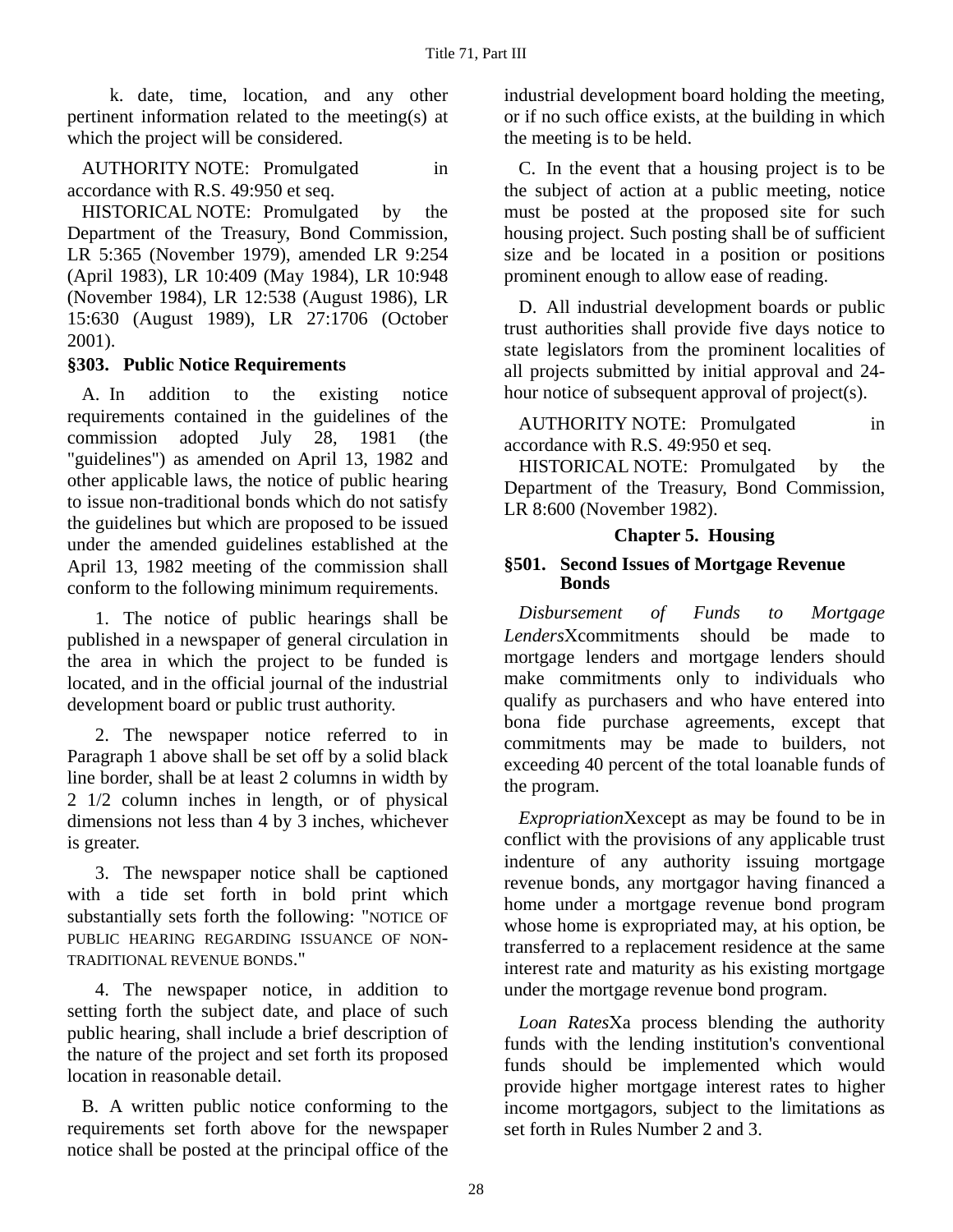k. date, time, location, and any other pertinent information related to the meeting(s) at which the project will be considered.

AUTHORITY NOTE: Promulgated in accordance with R.S. 49:950 et seq.

HISTORICAL NOTE: Promulgated by the Department of the Treasury, Bond Commission, LR 5:365 (November 1979), amended LR 9:254 (April 1983), LR 10:409 (May 1984), LR 10:948 (November 1984), LR 12:538 (August 1986), LR 15:630 (August 1989), LR 27:1706 (October 2001).

### **§303. Public Notice Requirements**

A. In addition to the existing notice requirements contained in the guidelines of the commission adopted July 28, 1981 (the "guidelines") as amended on April 13, 1982 and other applicable laws, the notice of public hearing to issue non-traditional bonds which do not satisfy the guidelines but which are proposed to be issued under the amended guidelines established at the April 13, 1982 meeting of the commission shall conform to the following minimum requirements.

1. The notice of public hearings shall be published in a newspaper of general circulation in the area in which the project to be funded is located, and in the official journal of the industrial development board or public trust authority.

2. The newspaper notice referred to in Paragraph 1 above shall be set off by a solid black line border, shall be at least 2 columns in width by 2 1/2 column inches in length, or of physical dimensions not less than 4 by 3 inches, whichever is greater.

3. The newspaper notice shall be captioned with a tide set forth in bold print which substantially sets forth the following: "NOTICE OF PUBLIC HEARING REGARDING ISSUANCE OF NON-TRADITIONAL REVENUE BONDS."

4. The newspaper notice, in addition to setting forth the subject date, and place of such public hearing, shall include a brief description of the nature of the project and set forth its proposed location in reasonable detail.

B. A written public notice conforming to the requirements set forth above for the newspaper notice shall be posted at the principal office of the industrial development board holding the meeting, or if no such office exists, at the building in which the meeting is to be held.

C. In the event that a housing project is to be the subject of action at a public meeting, notice must be posted at the proposed site for such housing project. Such posting shall be of sufficient size and be located in a position or positions prominent enough to allow ease of reading.

D. All industrial development boards or public trust authorities shall provide five days notice to state legislators from the prominent localities of all projects submitted by initial approval and 24 hour notice of subsequent approval of project(s).

AUTHORITY NOTE: Promulgated in accordance with R.S. 49:950 et seq.

HISTORICAL NOTE: Promulgated by the Department of the Treasury, Bond Commission, LR 8:600 (November 1982).

### **Chapter 5. Housing**

#### **§501. Second Issues of Mortgage Revenue Bonds**

*Disbursement of Funds to Mortgage Lenders*Χcommitments should be made to mortgage lenders and mortgage lenders should make commitments only to individuals who qualify as purchasers and who have entered into bona fide purchase agreements, except that commitments may be made to builders, not exceeding 40 percent of the total loanable funds of the program.

*Expropriation*Χexcept as may be found to be in conflict with the provisions of any applicable trust indenture of any authority issuing mortgage revenue bonds, any mortgagor having financed a home under a mortgage revenue bond program whose home is expropriated may, at his option, be transferred to a replacement residence at the same interest rate and maturity as his existing mortgage under the mortgage revenue bond program.

*Loan Rates*Χa process blending the authority funds with the lending institution's conventional funds should be implemented which would provide higher mortgage interest rates to higher income mortgagors, subject to the limitations as set forth in Rules Number 2 and 3.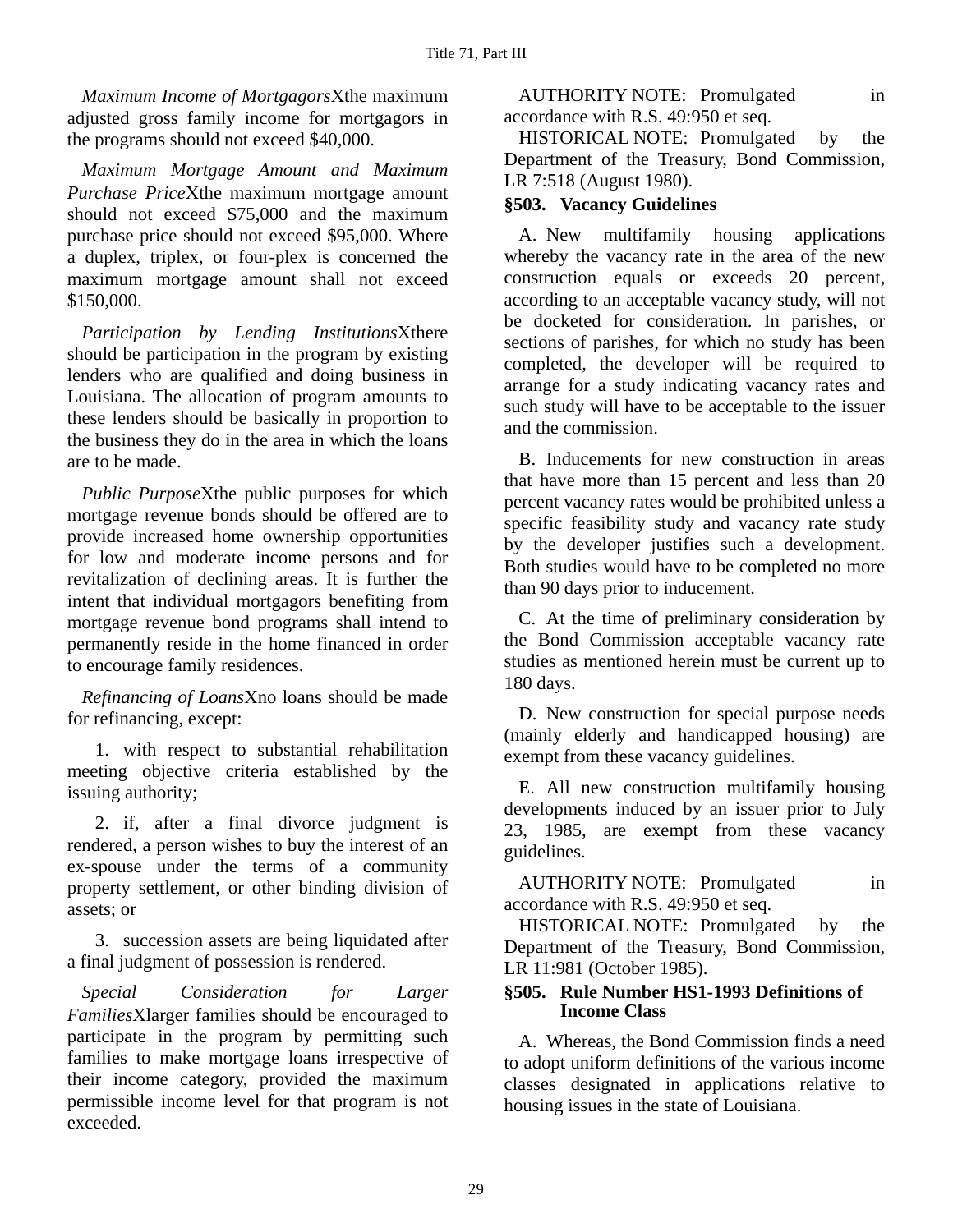*Maximum Income of Mortgagors*Χthe maximum adjusted gross family income for mortgagors in the programs should not exceed \$40,000.

*Maximum Mortgage Amount and Maximum Purchase Price*Χthe maximum mortgage amount should not exceed \$75,000 and the maximum purchase price should not exceed \$95,000. Where a duplex, triplex, or four-plex is concerned the maximum mortgage amount shall not exceed \$150,000.

*Participation by Lending Institutions*Χthere should be participation in the program by existing lenders who are qualified and doing business in Louisiana. The allocation of program amounts to these lenders should be basically in proportion to the business they do in the area in which the loans are to be made.

*Public Purpose*Χthe public purposes for which mortgage revenue bonds should be offered are to provide increased home ownership opportunities for low and moderate income persons and for revitalization of declining areas. It is further the intent that individual mortgagors benefiting from mortgage revenue bond programs shall intend to permanently reside in the home financed in order to encourage family residences.

*Refinancing of Loans*Χno loans should be made for refinancing, except:

1. with respect to substantial rehabilitation meeting objective criteria established by the issuing authority;

2. if, after a final divorce judgment is rendered, a person wishes to buy the interest of an ex-spouse under the terms of a community property settlement, or other binding division of assets; or

3. succession assets are being liquidated after a final judgment of possession is rendered.

*Special Consideration for Larger Families*Χlarger families should be encouraged to participate in the program by permitting such families to make mortgage loans irrespective of their income category, provided the maximum permissible income level for that program is not exceeded.

AUTHORITY NOTE: Promulgated in accordance with R.S. 49:950 et seq.

HISTORICAL NOTE: Promulgated by the Department of the Treasury, Bond Commission, LR 7:518 (August 1980).

### **§503. Vacancy Guidelines**

A. New multifamily housing applications whereby the vacancy rate in the area of the new construction equals or exceeds 20 percent, according to an acceptable vacancy study, will not be docketed for consideration. In parishes, or sections of parishes, for which no study has been completed, the developer will be required to arrange for a study indicating vacancy rates and such study will have to be acceptable to the issuer and the commission.

B. Inducements for new construction in areas that have more than 15 percent and less than 20 percent vacancy rates would be prohibited unless a specific feasibility study and vacancy rate study by the developer justifies such a development. Both studies would have to be completed no more than 90 days prior to inducement.

C. At the time of preliminary consideration by the Bond Commission acceptable vacancy rate studies as mentioned herein must be current up to 180 days.

D. New construction for special purpose needs (mainly elderly and handicapped housing) are exempt from these vacancy guidelines.

E. All new construction multifamily housing developments induced by an issuer prior to July 23, 1985, are exempt from these vacancy guidelines.

AUTHORITY NOTE: Promulgated in accordance with R.S. 49:950 et seq.

HISTORICAL NOTE: Promulgated by the Department of the Treasury, Bond Commission, LR 11:981 (October 1985).

#### **§505. Rule Number HS1-1993 Definitions of Income Class**

A. Whereas, the Bond Commission finds a need to adopt uniform definitions of the various income classes designated in applications relative to housing issues in the state of Louisiana.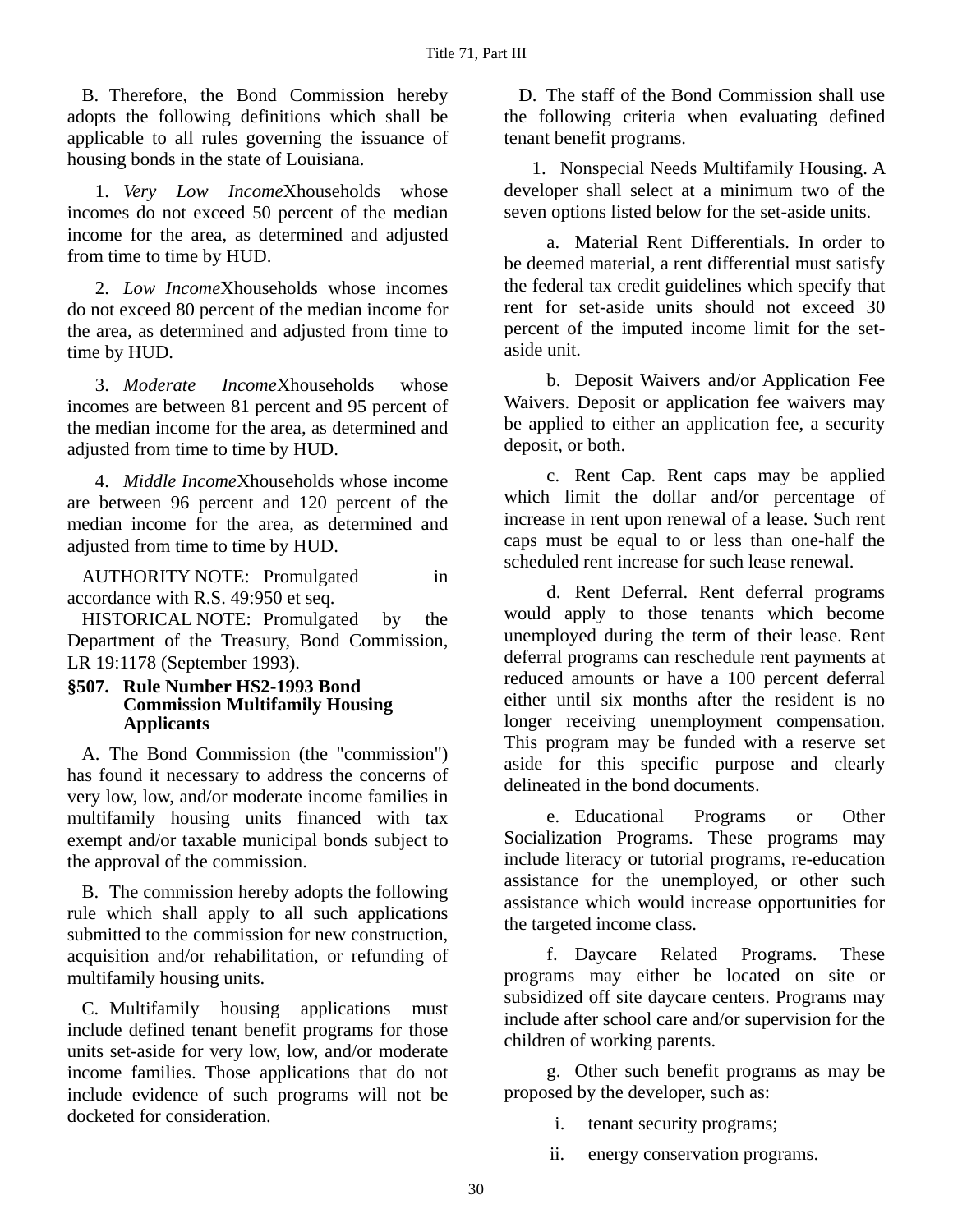B. Therefore, the Bond Commission hereby adopts the following definitions which shall be applicable to all rules governing the issuance of housing bonds in the state of Louisiana.

1. *Very Low Income*Χhouseholds whose incomes do not exceed 50 percent of the median income for the area, as determined and adjusted from time to time by HUD.

2. *Low Income*Χhouseholds whose incomes do not exceed 80 percent of the median income for the area, as determined and adjusted from time to time by HUD.

3. *Moderate Income*Χhouseholds whose incomes are between 81 percent and 95 percent of the median income for the area, as determined and adjusted from time to time by HUD.

4. *Middle Income*Χhouseholds whose income are between 96 percent and 120 percent of the median income for the area, as determined and adjusted from time to time by HUD.

AUTHORITY NOTE: Promulgated in accordance with R.S. 49:950 et seq.

HISTORICAL NOTE: Promulgated by the Department of the Treasury, Bond Commission, LR 19:1178 (September 1993).

#### **§507. Rule Number HS2-1993 Bond Commission Multifamily Housing Applicants**

A. The Bond Commission (the "commission") has found it necessary to address the concerns of very low, low, and/or moderate income families in multifamily housing units financed with tax exempt and/or taxable municipal bonds subject to the approval of the commission.

B. The commission hereby adopts the following rule which shall apply to all such applications submitted to the commission for new construction, acquisition and/or rehabilitation, or refunding of multifamily housing units.

C. Multifamily housing applications must include defined tenant benefit programs for those units set-aside for very low, low, and/or moderate income families. Those applications that do not include evidence of such programs will not be docketed for consideration.

D. The staff of the Bond Commission shall use the following criteria when evaluating defined tenant benefit programs.

1. Nonspecial Needs Multifamily Housing. A developer shall select at a minimum two of the seven options listed below for the set-aside units.

a. Material Rent Differentials. In order to be deemed material, a rent differential must satisfy the federal tax credit guidelines which specify that rent for set-aside units should not exceed 30 percent of the imputed income limit for the setaside unit.

b. Deposit Waivers and/or Application Fee Waivers. Deposit or application fee waivers may be applied to either an application fee, a security deposit, or both.

c. Rent Cap. Rent caps may be applied which limit the dollar and/or percentage of increase in rent upon renewal of a lease. Such rent caps must be equal to or less than one-half the scheduled rent increase for such lease renewal.

d. Rent Deferral. Rent deferral programs would apply to those tenants which become unemployed during the term of their lease. Rent deferral programs can reschedule rent payments at reduced amounts or have a 100 percent deferral either until six months after the resident is no longer receiving unemployment compensation. This program may be funded with a reserve set aside for this specific purpose and clearly delineated in the bond documents.

e. Educational Programs or Other Socialization Programs. These programs may include literacy or tutorial programs, re-education assistance for the unemployed, or other such assistance which would increase opportunities for the targeted income class.

f. Daycare Related Programs. These programs may either be located on site or subsidized off site daycare centers. Programs may include after school care and/or supervision for the children of working parents.

g. Other such benefit programs as may be proposed by the developer, such as:

i. tenant security programs;

ii. energy conservation programs.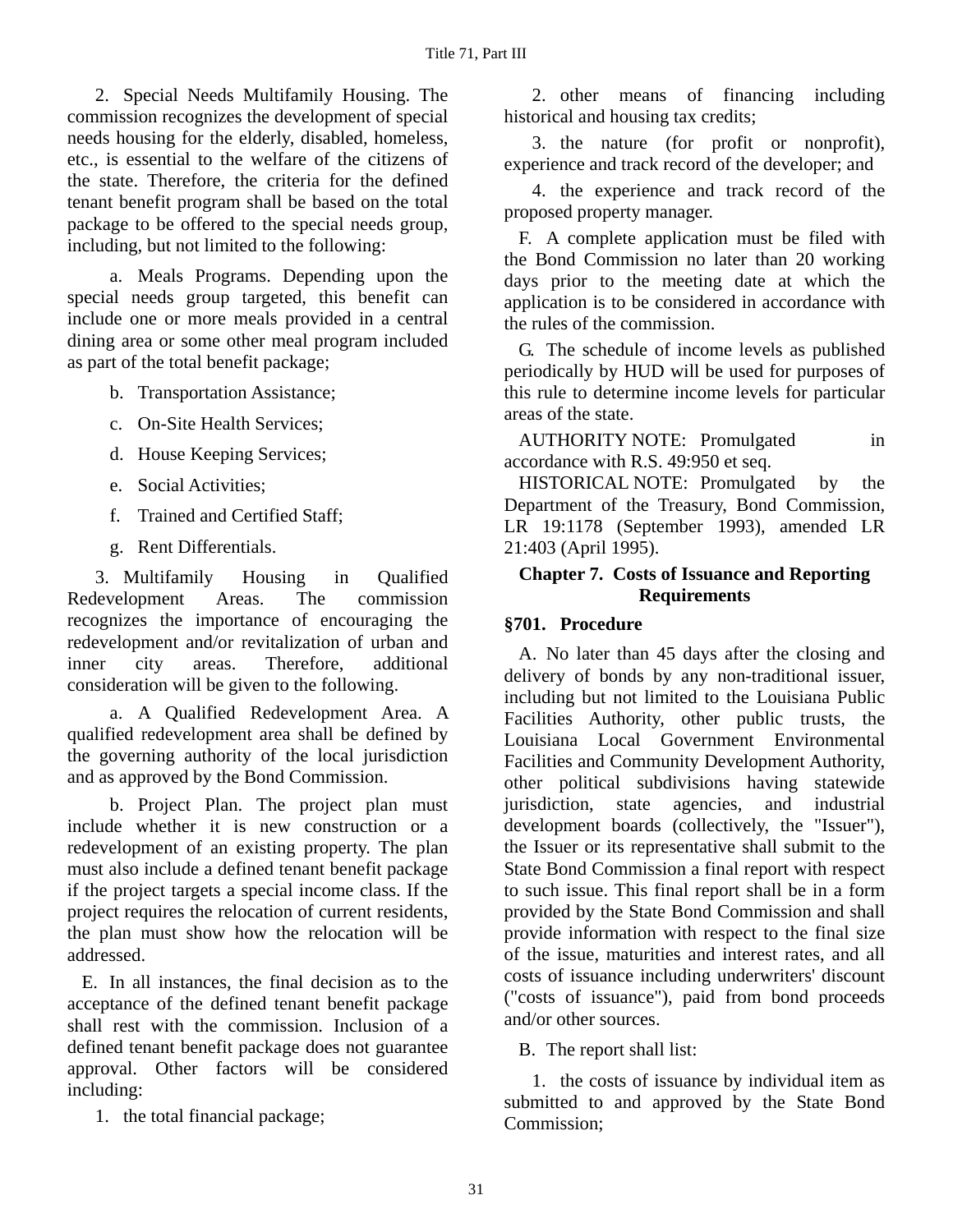2. Special Needs Multifamily Housing. The commission recognizes the development of special needs housing for the elderly, disabled, homeless, etc., is essential to the welfare of the citizens of the state. Therefore, the criteria for the defined tenant benefit program shall be based on the total package to be offered to the special needs group, including, but not limited to the following:

a. Meals Programs. Depending upon the special needs group targeted, this benefit can include one or more meals provided in a central dining area or some other meal program included as part of the total benefit package;

- b. Transportation Assistance;
- c. On-Site Health Services;
- d. House Keeping Services;
- e. Social Activities;
- f. Trained and Certified Staff;
- g. Rent Differentials.

3. Multifamily Housing in Qualified Redevelopment Areas. The commission recognizes the importance of encouraging the redevelopment and/or revitalization of urban and inner city areas. Therefore, additional consideration will be given to the following.

a. A Qualified Redevelopment Area. A qualified redevelopment area shall be defined by the governing authority of the local jurisdiction and as approved by the Bond Commission.

b. Project Plan. The project plan must include whether it is new construction or a redevelopment of an existing property. The plan must also include a defined tenant benefit package if the project targets a special income class. If the project requires the relocation of current residents, the plan must show how the relocation will be addressed.

E. In all instances, the final decision as to the acceptance of the defined tenant benefit package shall rest with the commission. Inclusion of a defined tenant benefit package does not guarantee approval. Other factors will be considered including:

1. the total financial package;

2. other means of financing including historical and housing tax credits;

3. the nature (for profit or nonprofit), experience and track record of the developer; and

4. the experience and track record of the proposed property manager.

F. A complete application must be filed with the Bond Commission no later than 20 working days prior to the meeting date at which the application is to be considered in accordance with the rules of the commission.

G. The schedule of income levels as published periodically by HUD will be used for purposes of this rule to determine income levels for particular areas of the state.

AUTHORITY NOTE: Promulgated in accordance with R.S. 49:950 et seq.

HISTORICAL NOTE: Promulgated by the Department of the Treasury, Bond Commission, LR 19:1178 (September 1993), amended LR 21:403 (April 1995).

### **Chapter 7. Costs of Issuance and Reporting Requirements**

### **§701. Procedure**

A. No later than 45 days after the closing and delivery of bonds by any non-traditional issuer, including but not limited to the Louisiana Public Facilities Authority, other public trusts, the Louisiana Local Government Environmental Facilities and Community Development Authority, other political subdivisions having statewide jurisdiction, state agencies, and industrial development boards (collectively, the "Issuer"), the Issuer or its representative shall submit to the State Bond Commission a final report with respect to such issue. This final report shall be in a form provided by the State Bond Commission and shall provide information with respect to the final size of the issue, maturities and interest rates, and all costs of issuance including underwriters' discount ("costs of issuance"), paid from bond proceeds and/or other sources.

B. The report shall list:

1. the costs of issuance by individual item as submitted to and approved by the State Bond Commission;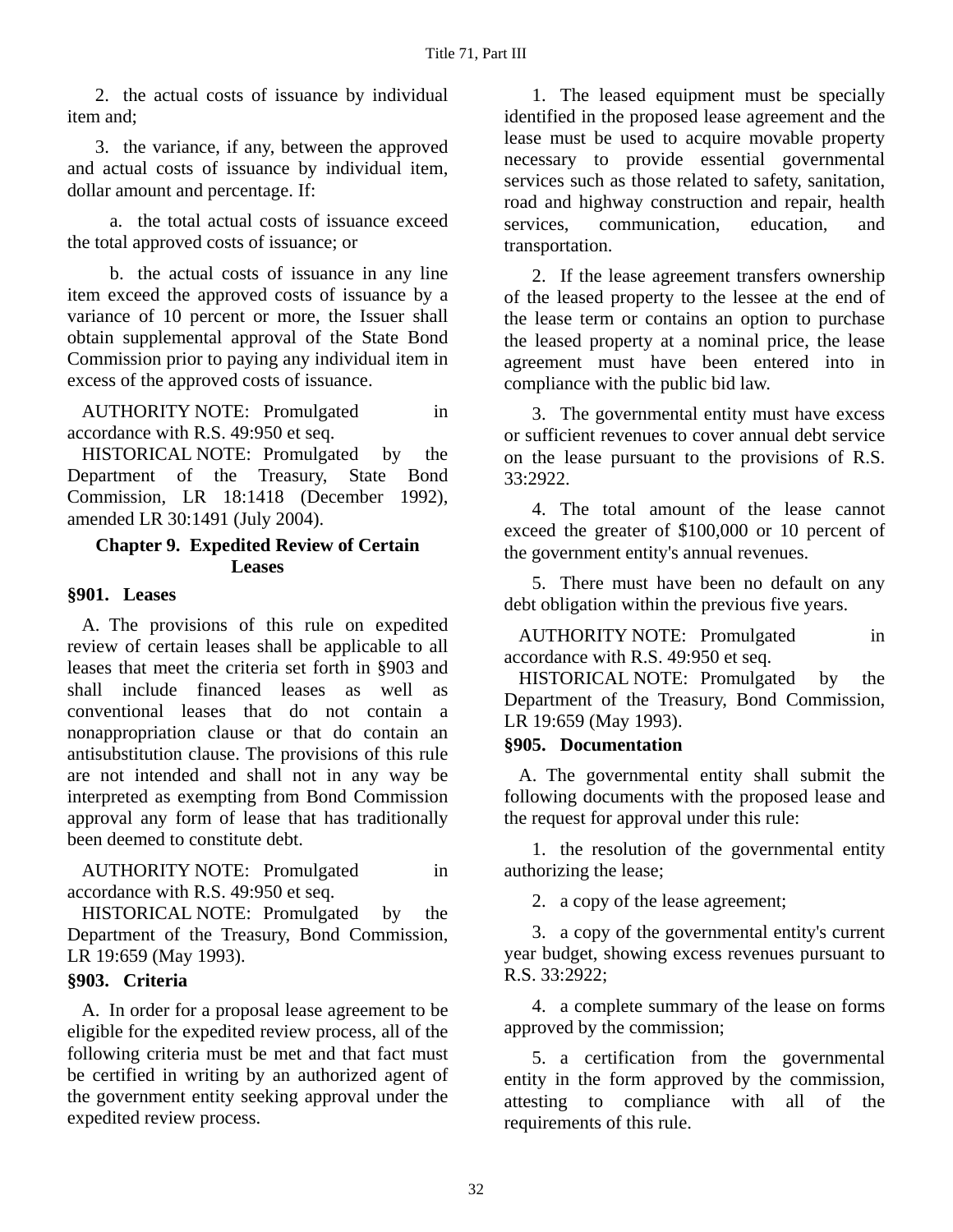2. the actual costs of issuance by individual item and;

3. the variance, if any, between the approved and actual costs of issuance by individual item, dollar amount and percentage. If:

a. the total actual costs of issuance exceed the total approved costs of issuance; or

b. the actual costs of issuance in any line item exceed the approved costs of issuance by a variance of 10 percent or more, the Issuer shall obtain supplemental approval of the State Bond Commission prior to paying any individual item in excess of the approved costs of issuance.

AUTHORITY NOTE: Promulgated in accordance with R.S. 49:950 et seq.

HISTORICAL NOTE: Promulgated by the Department of the Treasury, State Bond Commission, LR 18:1418 (December 1992), amended LR 30:1491 (July 2004).

### **Chapter 9. Expedited Review of Certain Leases**

### **§901. Leases**

A. The provisions of this rule on expedited review of certain leases shall be applicable to all leases that meet the criteria set forth in §903 and shall include financed leases as well as conventional leases that do not contain a nonappropriation clause or that do contain an antisubstitution clause. The provisions of this rule are not intended and shall not in any way be interpreted as exempting from Bond Commission approval any form of lease that has traditionally been deemed to constitute debt.

AUTHORITY NOTE: Promulgated in accordance with R.S. 49:950 et seq.

HISTORICAL NOTE: Promulgated by the Department of the Treasury, Bond Commission, LR 19:659 (May 1993).

#### **§903. Criteria**

A. In order for a proposal lease agreement to be eligible for the expedited review process, all of the following criteria must be met and that fact must be certified in writing by an authorized agent of the government entity seeking approval under the expedited review process.

1. The leased equipment must be specially identified in the proposed lease agreement and the lease must be used to acquire movable property necessary to provide essential governmental services such as those related to safety, sanitation, road and highway construction and repair, health services, communication, education, and transportation.

2. If the lease agreement transfers ownership of the leased property to the lessee at the end of the lease term or contains an option to purchase the leased property at a nominal price, the lease agreement must have been entered into in compliance with the public bid law.

3. The governmental entity must have excess or sufficient revenues to cover annual debt service on the lease pursuant to the provisions of R.S. 33:2922.

4. The total amount of the lease cannot exceed the greater of \$100,000 or 10 percent of the government entity's annual revenues.

5. There must have been no default on any debt obligation within the previous five years.

AUTHORITY NOTE: Promulgated in accordance with R.S. 49:950 et seq.

HISTORICAL NOTE: Promulgated by the Department of the Treasury, Bond Commission, LR 19:659 (May 1993).

#### **§905. Documentation**

A. The governmental entity shall submit the following documents with the proposed lease and the request for approval under this rule:

1. the resolution of the governmental entity authorizing the lease;

2. a copy of the lease agreement;

3. a copy of the governmental entity's current year budget, showing excess revenues pursuant to R.S. 33:2922;

4. a complete summary of the lease on forms approved by the commission;

5. a certification from the governmental entity in the form approved by the commission, attesting to compliance with all of the requirements of this rule.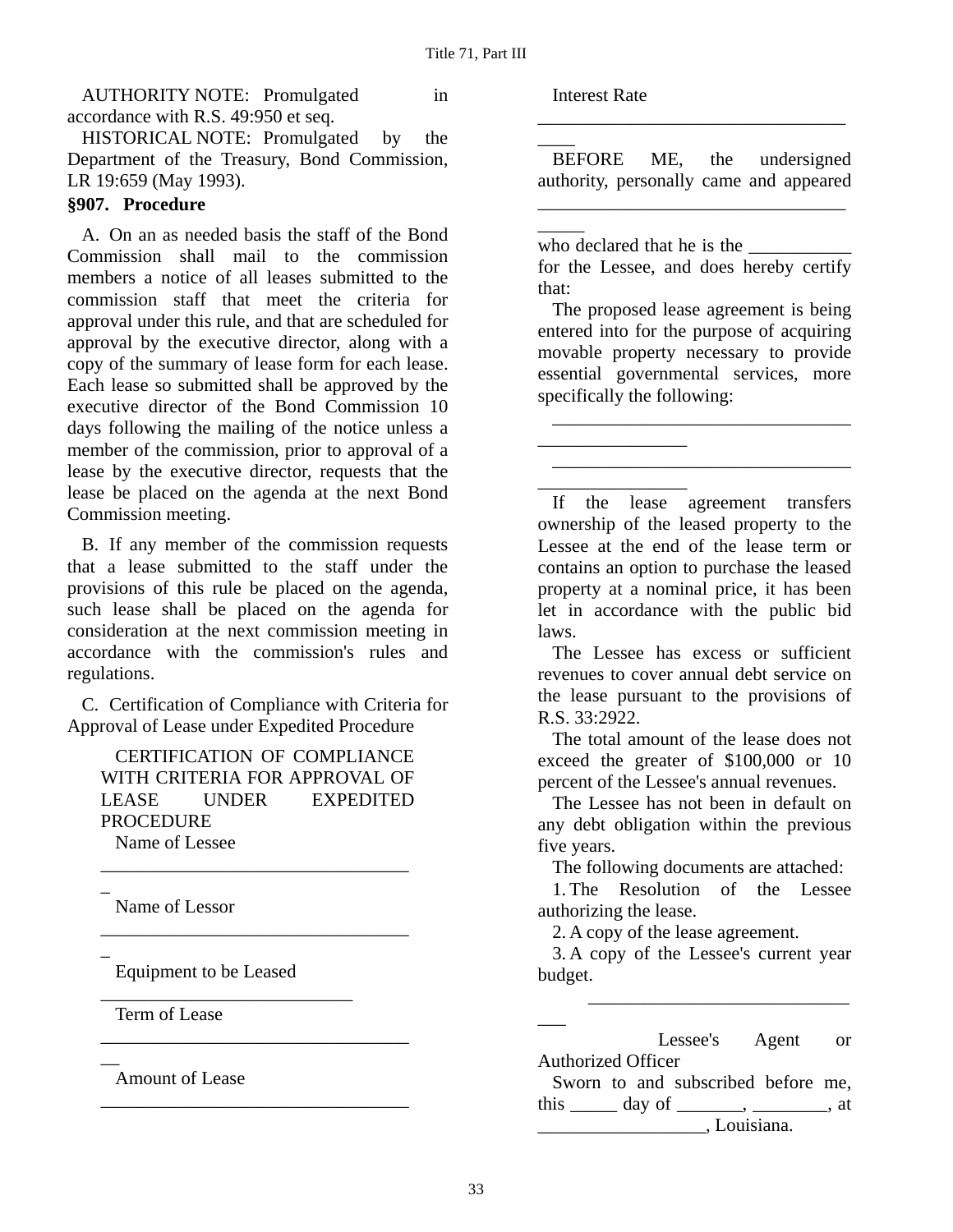AUTHORITY NOTE: Promulgated in accordance with R.S. 49:950 et seq.

HISTORICAL NOTE: Promulgated by the Department of the Treasury, Bond Commission, LR 19:659 (May 1993).

### **§907. Procedure**

A. On an as needed basis the staff of the Bond Commission shall mail to the commission members a notice of all leases submitted to the commission staff that meet the criteria for approval under this rule, and that are scheduled for approval by the executive director, along with a copy of the summary of lease form for each lease. Each lease so submitted shall be approved by the executive director of the Bond Commission 10 days following the mailing of the notice unless a member of the commission, prior to approval of a lease by the executive director, requests that the lease be placed on the agenda at the next Bond Commission meeting.

B. If any member of the commission requests that a lease submitted to the staff under the provisions of this rule be placed on the agenda, such lease shall be placed on the agenda for consideration at the next commission meeting in accordance with the commission's rules and regulations.

C. Certification of Compliance with Criteria for Approval of Lease under Expedited Procedure

CERTIFICATION OF COMPLIANCE WITH CRITERIA FOR APPROVAL OF LEASE UNDER EXPEDITED PROCEDURE Name of Lessee

\_\_\_\_\_\_\_\_\_\_\_\_\_\_\_\_\_\_\_\_\_\_\_\_\_\_\_\_\_\_\_\_\_

\_\_\_\_\_\_\_\_\_\_\_\_\_\_\_\_\_\_\_\_\_\_\_\_\_\_\_\_\_\_\_\_\_

\_\_\_\_\_\_\_\_\_\_\_\_\_\_\_\_\_\_\_\_\_\_\_\_\_\_\_\_\_\_\_\_\_

\_\_\_\_\_\_\_\_\_\_\_\_\_\_\_\_\_\_\_\_\_\_\_\_\_\_\_\_\_\_\_\_\_

 $\overline{a}$ Name of Lessor

 $\overline{a}$ 

 $\overline{\phantom{a}}$ 

Equipment to be Leased

\_\_\_\_\_\_\_\_\_\_\_\_\_\_\_\_\_\_\_\_\_\_\_\_\_\_\_

Term of Lease

Amount of Lease

Interest Rate

 $\overline{\phantom{a}}$ 

 $\overline{\phantom{a}}$ 

BEFORE ME, the undersigned authority, personally came and appeared

\_\_\_\_\_\_\_\_\_\_\_\_\_\_\_\_\_\_\_\_\_\_\_\_\_\_\_\_\_\_\_\_\_

\_\_\_\_\_\_\_\_\_\_\_\_\_\_\_\_\_\_\_\_\_\_\_\_\_\_\_\_\_\_\_\_\_

who declared that he is the \_\_\_\_\_\_\_\_\_\_\_

\_\_\_\_\_\_\_\_\_\_\_\_\_\_\_\_

\_\_\_\_\_\_\_\_\_\_\_\_\_\_\_\_

for the Lessee, and does hereby certify that:

The proposed lease agreement is being entered into for the purpose of acquiring movable property necessary to provide essential governmental services, more specifically the following:

\_\_\_\_\_\_\_\_\_\_\_\_\_\_\_\_\_\_\_\_\_\_\_\_\_\_\_\_\_\_\_\_

\_\_\_\_\_\_\_\_\_\_\_\_\_\_\_\_\_\_\_\_\_\_\_\_\_\_\_\_\_\_\_\_

If the lease agreement transfers ownership of the leased property to the Lessee at the end of the lease term or contains an option to purchase the leased property at a nominal price, it has been let in accordance with the public bid laws.

The Lessee has excess or sufficient revenues to cover annual debt service on the lease pursuant to the provisions of R.S. 33:2922.

The total amount of the lease does not exceed the greater of \$100,000 or 10 percent of the Lessee's annual revenues.

The Lessee has not been in default on any debt obligation within the previous five years.

The following documents are attached:

1. The Resolution of the Lessee authorizing the lease.

2. A copy of the lease agreement.

3. A copy of the Lessee's current year budget.

 $\overline{\phantom{a}}$  , which is a set of the set of the set of the set of the set of the set of the set of the set of the set of the set of the set of the set of the set of the set of the set of the set of the set of the set of th

\_\_\_ Lessee's Agent or Authorized Officer

Sworn to and subscribed before me, this  $day \text{ of }$ ,  $\qquad \ldots$ , at \_\_\_\_\_\_\_\_\_\_\_\_\_\_\_\_\_\_, Louisiana.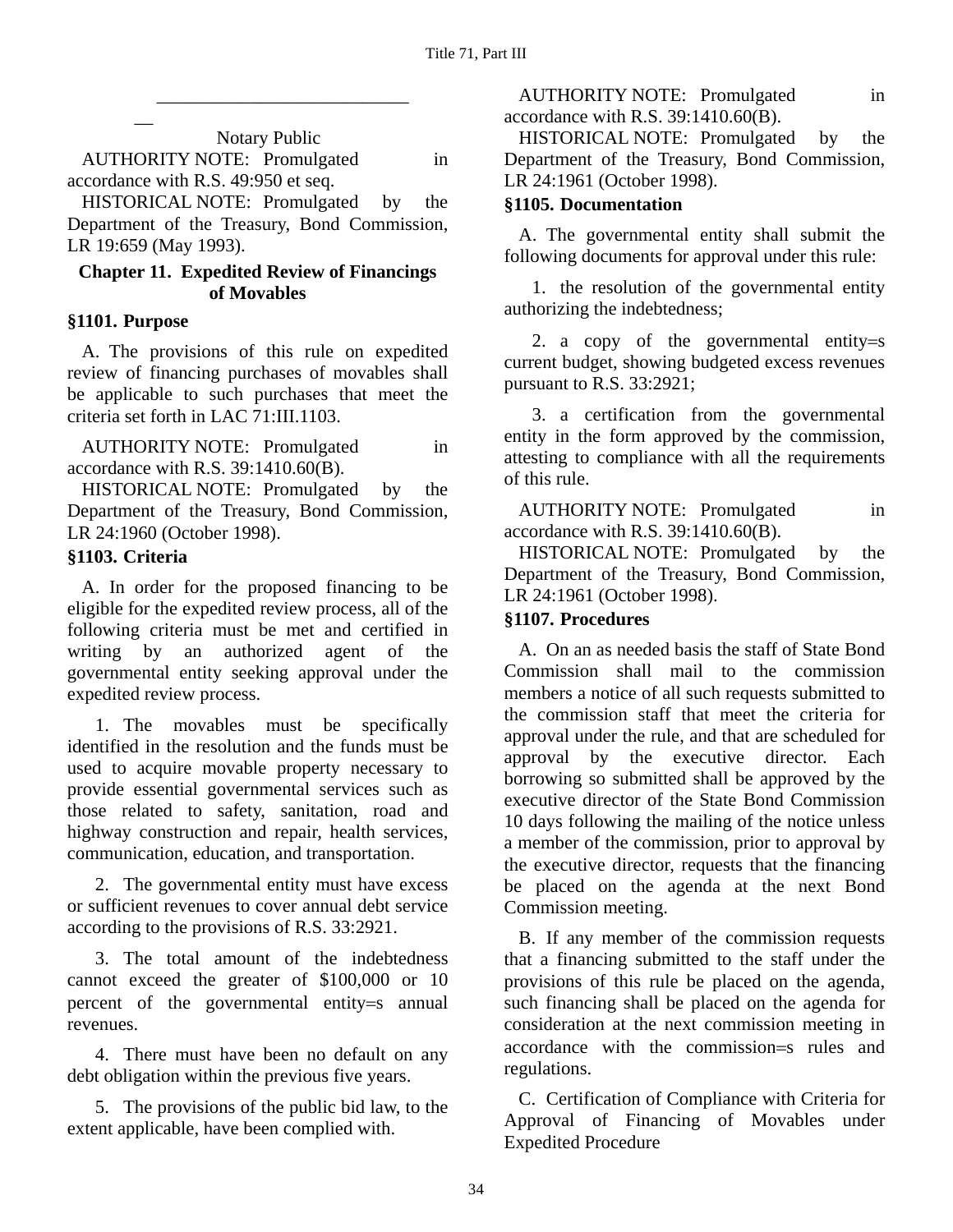Notary Public AUTHORITY NOTE: Promulgated in accordance with R.S. 49:950 et seq.

\_\_\_\_\_\_\_\_\_\_\_\_\_\_\_\_\_\_\_\_\_\_\_\_\_\_\_

HISTORICAL NOTE: Promulgated by the Department of the Treasury, Bond Commission, LR 19:659 (May 1993).

#### **Chapter 11. Expedited Review of Financings of Movables**

#### **§1101. Purpose**

 $\overline{\phantom{a}}$ 

A. The provisions of this rule on expedited review of financing purchases of movables shall be applicable to such purchases that meet the criteria set forth in LAC 71:III.1103.

AUTHORITY NOTE: Promulgated in accordance with R.S. 39:1410.60(B).

HISTORICAL NOTE: Promulgated by the Department of the Treasury, Bond Commission, LR 24:1960 (October 1998).

### **§1103. Criteria**

A. In order for the proposed financing to be eligible for the expedited review process, all of the following criteria must be met and certified in writing by an authorized agent of the governmental entity seeking approval under the expedited review process.

1. The movables must be specifically identified in the resolution and the funds must be used to acquire movable property necessary to provide essential governmental services such as those related to safety, sanitation, road and highway construction and repair, health services, communication, education, and transportation.

2. The governmental entity must have excess or sufficient revenues to cover annual debt service according to the provisions of R.S. 33:2921.

3. The total amount of the indebtedness cannot exceed the greater of \$100,000 or 10 percent of the governmental entity=s annual revenues.

4. There must have been no default on any debt obligation within the previous five years.

5. The provisions of the public bid law, to the extent applicable, have been complied with.

AUTHORITY NOTE: Promulgated in accordance with R.S. 39:1410.60(B).

HISTORICAL NOTE: Promulgated by the Department of the Treasury, Bond Commission, LR 24:1961 (October 1998).

### **§1105. Documentation**

A. The governmental entity shall submit the following documents for approval under this rule:

1. the resolution of the governmental entity authorizing the indebtedness;

2. a copy of the governmental entity=s current budget, showing budgeted excess revenues pursuant to R.S. 33:2921;

3. a certification from the governmental entity in the form approved by the commission, attesting to compliance with all the requirements of this rule.

AUTHORITY NOTE: Promulgated in accordance with R.S. 39:1410.60(B).

HISTORICAL NOTE: Promulgated by the Department of the Treasury, Bond Commission, LR 24:1961 (October 1998).

### **§1107. Procedures**

A. On an as needed basis the staff of State Bond Commission shall mail to the commission members a notice of all such requests submitted to the commission staff that meet the criteria for approval under the rule, and that are scheduled for approval by the executive director. Each borrowing so submitted shall be approved by the executive director of the State Bond Commission 10 days following the mailing of the notice unless a member of the commission, prior to approval by the executive director, requests that the financing be placed on the agenda at the next Bond Commission meeting.

B. If any member of the commission requests that a financing submitted to the staff under the provisions of this rule be placed on the agenda, such financing shall be placed on the agenda for consideration at the next commission meeting in accordance with the commission=s rules and regulations.

C. Certification of Compliance with Criteria for Approval of Financing of Movables under Expedited Procedure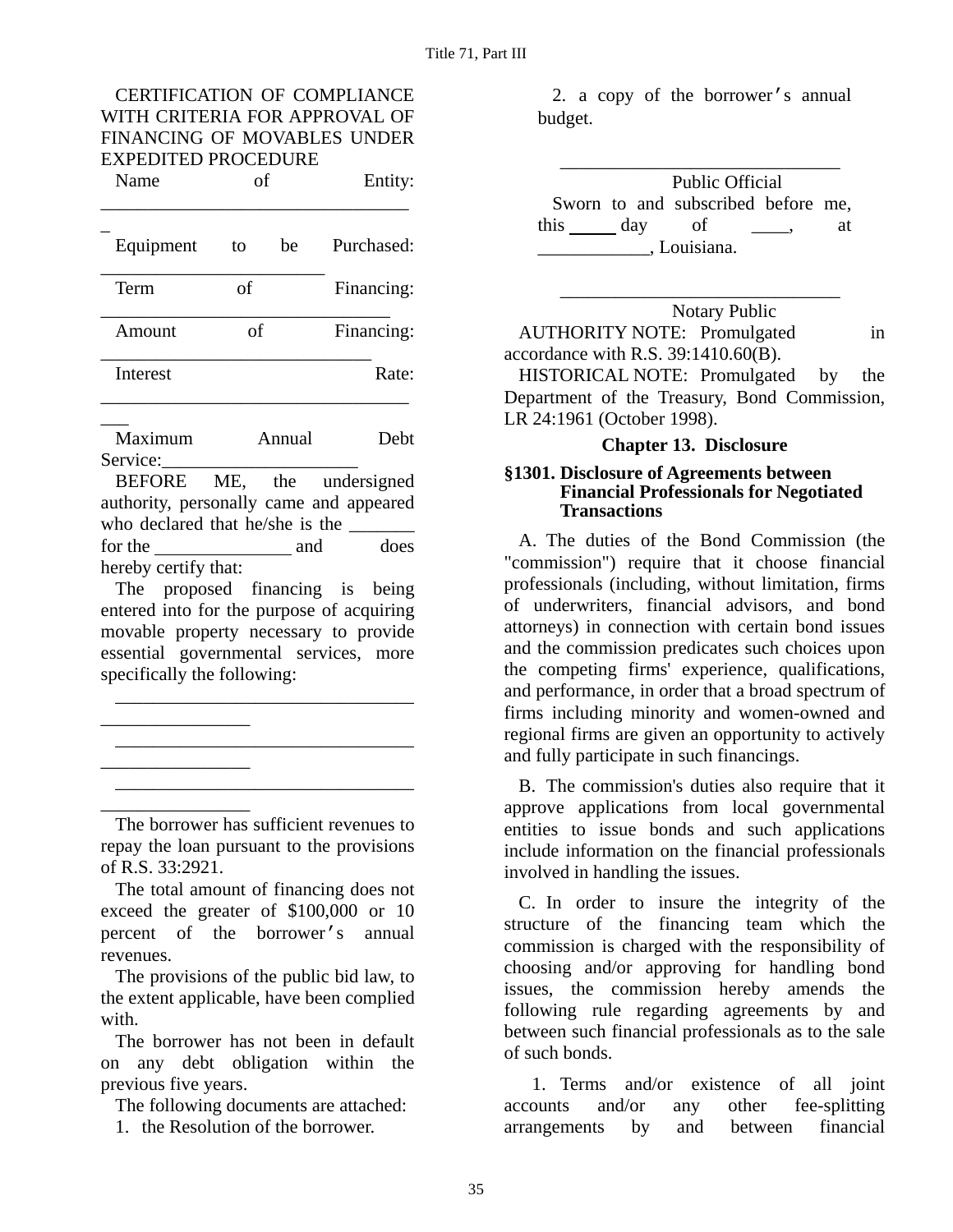#### CERTIFICATION OF COMPLIANCE WITH CRITERIA FOR APPROVAL OF FINANCING OF MOVABLES UNDER EXPEDITED PROCEDURE

Name of Entity:

| Equipment | to | be | Purchased: |
|-----------|----|----|------------|
| Term      | of |    | Financing: |
| Amount    | of |    | Financing: |
| Interest  |    |    | Rate:      |

 $\overline{\phantom{a}}$ Maximum Annual Debt Service:

BEFORE ME, the undersigned authority, personally came and appeared who declared that he/she is the for the and does hereby certify that:

The proposed financing is being entered into for the purpose of acquiring movable property necessary to provide essential governmental services, more specifically the following:

\_\_\_\_\_\_\_\_\_\_\_\_\_\_\_\_\_\_\_\_\_\_\_\_\_\_\_\_\_\_\_\_

\_\_\_\_\_\_\_\_\_\_\_\_\_\_\_\_\_\_\_\_\_\_\_\_\_\_\_\_\_\_\_\_

\_\_\_\_\_\_\_\_\_\_\_\_\_\_\_\_\_\_\_\_\_\_\_\_\_\_\_\_\_\_\_\_

\_\_\_\_\_\_\_\_\_\_\_\_\_\_\_\_

\_\_\_\_\_\_\_\_\_\_\_\_\_\_\_\_

\_\_\_\_\_\_\_\_\_\_\_\_\_\_\_\_

The borrower has sufficient revenues to repay the loan pursuant to the provisions of R.S. 33:2921.

The total amount of financing does not exceed the greater of \$100,000 or 10 percent of the borrower's annual revenues.

The provisions of the public bid law, to the extent applicable, have been complied with.

The borrower has not been in default on any debt obligation within the previous five years.

The following documents are attached:

1. the Resolution of the borrower.

2. a copy of the borrower's annual budget.

|              |  |     | <b>Public Official</b>             |  |    |
|--------------|--|-----|------------------------------------|--|----|
|              |  |     | Sworn to and subscribed before me, |  |    |
| this         |  | day | -of                                |  | at |
| , Louisiana. |  |     |                                    |  |    |

Notary Public AUTHORITY NOTE: Promulgated in accordance with R.S. 39:1410.60(B).

 $\overline{\phantom{a}}$  ,  $\overline{\phantom{a}}$  ,  $\overline{\phantom{a}}$  ,  $\overline{\phantom{a}}$  ,  $\overline{\phantom{a}}$  ,  $\overline{\phantom{a}}$  ,  $\overline{\phantom{a}}$  ,  $\overline{\phantom{a}}$  ,  $\overline{\phantom{a}}$  ,  $\overline{\phantom{a}}$  ,  $\overline{\phantom{a}}$  ,  $\overline{\phantom{a}}$  ,  $\overline{\phantom{a}}$  ,  $\overline{\phantom{a}}$  ,  $\overline{\phantom{a}}$  ,  $\overline{\phantom{a}}$ 

HISTORICAL NOTE: Promulgated by the Department of the Treasury, Bond Commission, LR 24:1961 (October 1998).

### **Chapter 13. Disclosure**

#### **§1301. Disclosure of Agreements between Financial Professionals for Negotiated Transactions**

A. The duties of the Bond Commission (the "commission") require that it choose financial professionals (including, without limitation, firms of underwriters, financial advisors, and bond attorneys) in connection with certain bond issues and the commission predicates such choices upon the competing firms' experience, qualifications, and performance, in order that a broad spectrum of firms including minority and women-owned and regional firms are given an opportunity to actively and fully participate in such financings.

B. The commission's duties also require that it approve applications from local governmental entities to issue bonds and such applications include information on the financial professionals involved in handling the issues.

C. In order to insure the integrity of the structure of the financing team which the commission is charged with the responsibility of choosing and/or approving for handling bond issues, the commission hereby amends the following rule regarding agreements by and between such financial professionals as to the sale of such bonds.

1. Terms and/or existence of all joint accounts and/or any other fee-splitting arrangements by and between financial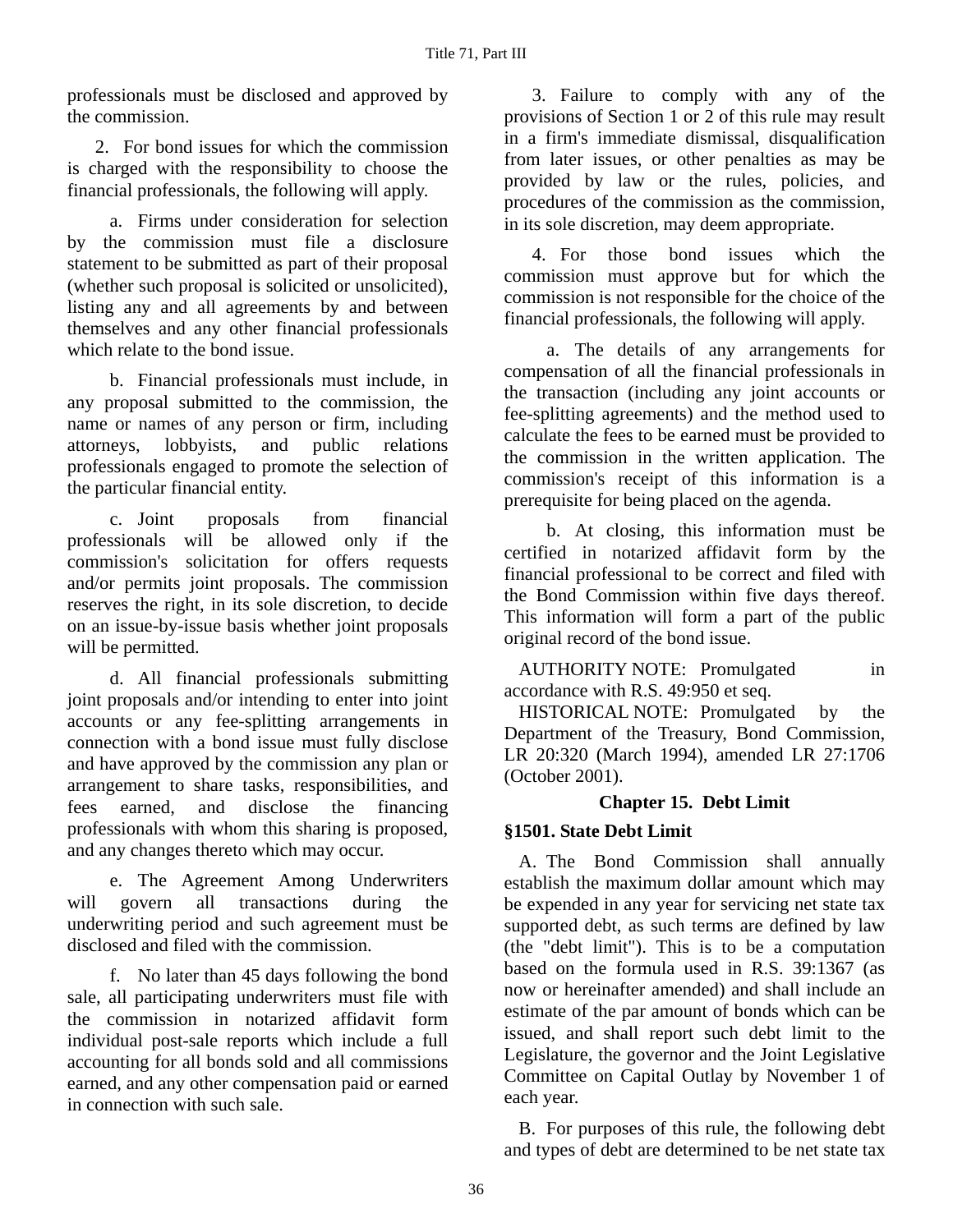professionals must be disclosed and approved by the commission.

2. For bond issues for which the commission is charged with the responsibility to choose the financial professionals, the following will apply.

a. Firms under consideration for selection by the commission must file a disclosure statement to be submitted as part of their proposal (whether such proposal is solicited or unsolicited), listing any and all agreements by and between themselves and any other financial professionals which relate to the bond issue.

b. Financial professionals must include, in any proposal submitted to the commission, the name or names of any person or firm, including attorneys, lobbyists, and public relations professionals engaged to promote the selection of the particular financial entity.

c. Joint proposals from financial professionals will be allowed only if the commission's solicitation for offers requests and/or permits joint proposals. The commission reserves the right, in its sole discretion, to decide on an issue-by-issue basis whether joint proposals will be permitted.

d. All financial professionals submitting joint proposals and/or intending to enter into joint accounts or any fee-splitting arrangements in connection with a bond issue must fully disclose and have approved by the commission any plan or arrangement to share tasks, responsibilities, and fees earned, and disclose the financing professionals with whom this sharing is proposed, and any changes thereto which may occur.

e. The Agreement Among Underwriters will govern all transactions during the underwriting period and such agreement must be disclosed and filed with the commission.

f. No later than 45 days following the bond sale, all participating underwriters must file with the commission in notarized affidavit form individual post-sale reports which include a full accounting for all bonds sold and all commissions earned, and any other compensation paid or earned in connection with such sale.

3. Failure to comply with any of the provisions of Section 1 or 2 of this rule may result in a firm's immediate dismissal, disqualification from later issues, or other penalties as may be provided by law or the rules, policies, and procedures of the commission as the commission, in its sole discretion, may deem appropriate.

4. For those bond issues which the commission must approve but for which the commission is not responsible for the choice of the financial professionals, the following will apply.

a. The details of any arrangements for compensation of all the financial professionals in the transaction (including any joint accounts or fee-splitting agreements) and the method used to calculate the fees to be earned must be provided to the commission in the written application. The commission's receipt of this information is a prerequisite for being placed on the agenda.

b. At closing, this information must be certified in notarized affidavit form by the financial professional to be correct and filed with the Bond Commission within five days thereof. This information will form a part of the public original record of the bond issue.

AUTHORITY NOTE: Promulgated in accordance with R.S. 49:950 et seq.

HISTORICAL NOTE: Promulgated by the Department of the Treasury, Bond Commission, LR 20:320 (March 1994), amended LR 27:1706 (October 2001).

### **Chapter 15. Debt Limit**

### **§1501. State Debt Limit**

A. The Bond Commission shall annually establish the maximum dollar amount which may be expended in any year for servicing net state tax supported debt, as such terms are defined by law (the "debt limit"). This is to be a computation based on the formula used in R.S. 39:1367 (as now or hereinafter amended) and shall include an estimate of the par amount of bonds which can be issued, and shall report such debt limit to the Legislature, the governor and the Joint Legislative Committee on Capital Outlay by November 1 of each year.

B. For purposes of this rule, the following debt and types of debt are determined to be net state tax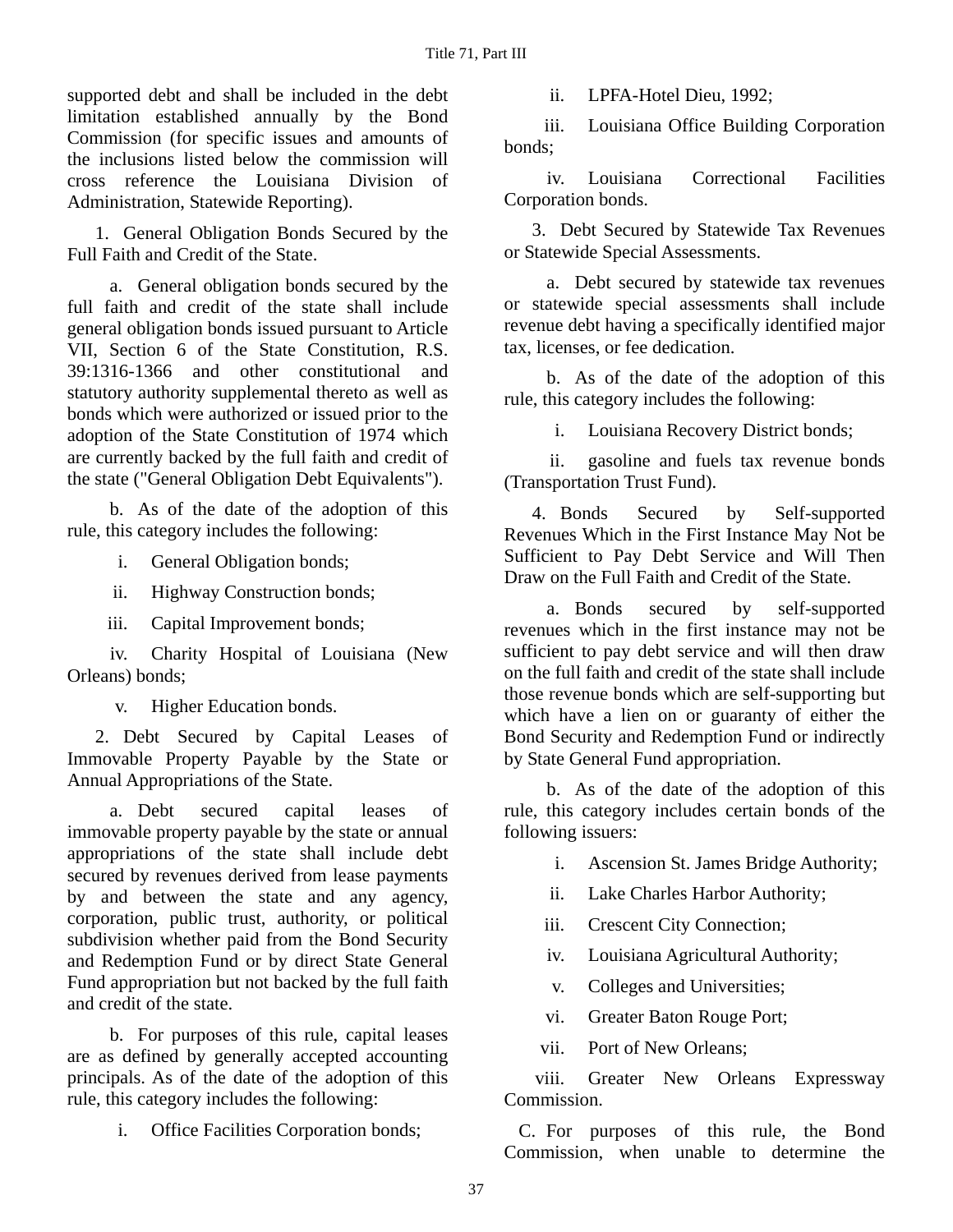supported debt and shall be included in the debt limitation established annually by the Bond Commission (for specific issues and amounts of the inclusions listed below the commission will cross reference the Louisiana Division of Administration, Statewide Reporting).

1. General Obligation Bonds Secured by the Full Faith and Credit of the State.

a. General obligation bonds secured by the full faith and credit of the state shall include general obligation bonds issued pursuant to Article VII, Section 6 of the State Constitution, R.S. 39:1316-1366 and other constitutional and statutory authority supplemental thereto as well as bonds which were authorized or issued prior to the adoption of the State Constitution of 1974 which are currently backed by the full faith and credit of the state ("General Obligation Debt Equivalents").

b. As of the date of the adoption of this rule, this category includes the following:

i. General Obligation bonds;

ii. Highway Construction bonds;

iii. Capital Improvement bonds;

 iv. Charity Hospital of Louisiana (New Orleans) bonds;

v. Higher Education bonds.

2. Debt Secured by Capital Leases of Immovable Property Payable by the State or Annual Appropriations of the State.

a. Debt secured capital leases of immovable property payable by the state or annual appropriations of the state shall include debt secured by revenues derived from lease payments by and between the state and any agency, corporation, public trust, authority, or political subdivision whether paid from the Bond Security and Redemption Fund or by direct State General Fund appropriation but not backed by the full faith and credit of the state.

b. For purposes of this rule, capital leases are as defined by generally accepted accounting principals. As of the date of the adoption of this rule, this category includes the following:

i. Office Facilities Corporation bonds;

ii. LPFA-Hotel Dieu, 1992;

 iii. Louisiana Office Building Corporation bonds;

 iv. Louisiana Correctional Facilities Corporation bonds.

3. Debt Secured by Statewide Tax Revenues or Statewide Special Assessments.

a. Debt secured by statewide tax revenues or statewide special assessments shall include revenue debt having a specifically identified major tax, licenses, or fee dedication.

b. As of the date of the adoption of this rule, this category includes the following:

i. Louisiana Recovery District bonds;

 ii. gasoline and fuels tax revenue bonds (Transportation Trust Fund).

4. Bonds Secured by Self-supported Revenues Which in the First Instance May Not be Sufficient to Pay Debt Service and Will Then Draw on the Full Faith and Credit of the State.

a. Bonds secured by self-supported revenues which in the first instance may not be sufficient to pay debt service and will then draw on the full faith and credit of the state shall include those revenue bonds which are self-supporting but which have a lien on or guaranty of either the Bond Security and Redemption Fund or indirectly by State General Fund appropriation.

b. As of the date of the adoption of this rule, this category includes certain bonds of the following issuers:

- i. Ascension St. James Bridge Authority;
- ii. Lake Charles Harbor Authority;
- iii. Crescent City Connection;
- iv. Louisiana Agricultural Authority;
- v. Colleges and Universities;
- vi. Greater Baton Rouge Port;
- vii. Port of New Orleans;

 viii. Greater New Orleans Expressway Commission.

C. For purposes of this rule, the Bond Commission, when unable to determine the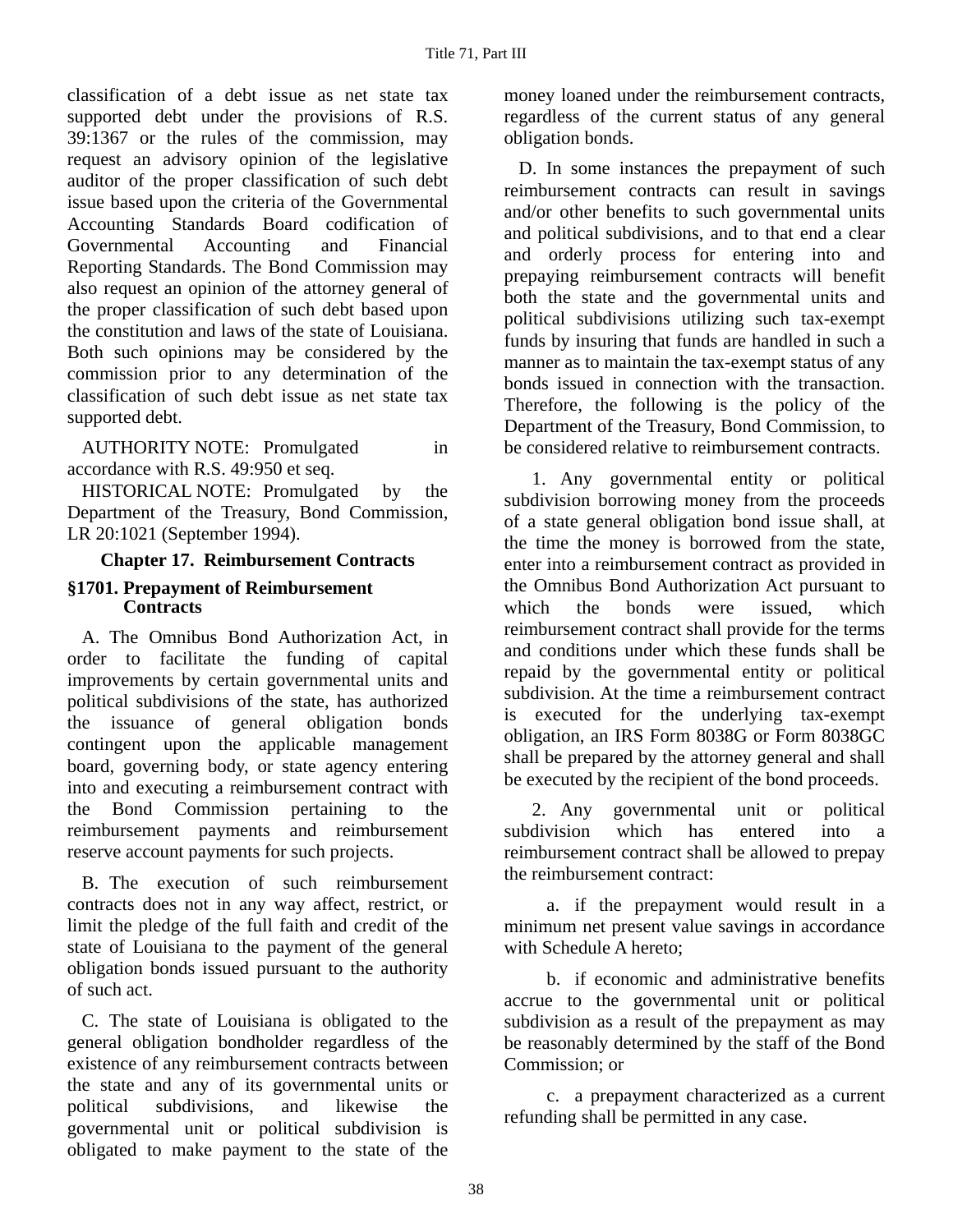classification of a debt issue as net state tax supported debt under the provisions of R.S. 39:1367 or the rules of the commission, may request an advisory opinion of the legislative auditor of the proper classification of such debt issue based upon the criteria of the Governmental Accounting Standards Board codification of Governmental Accounting and Financial Reporting Standards. The Bond Commission may also request an opinion of the attorney general of the proper classification of such debt based upon the constitution and laws of the state of Louisiana. Both such opinions may be considered by the commission prior to any determination of the classification of such debt issue as net state tax supported debt.

AUTHORITY NOTE: Promulgated in accordance with R.S. 49:950 et seq.

HISTORICAL NOTE: Promulgated by the Department of the Treasury, Bond Commission, LR 20:1021 (September 1994).

### **Chapter 17. Reimbursement Contracts**

#### **§1701. Prepayment of Reimbursement Contracts**

A. The Omnibus Bond Authorization Act, in order to facilitate the funding of capital improvements by certain governmental units and political subdivisions of the state, has authorized the issuance of general obligation bonds contingent upon the applicable management board, governing body, or state agency entering into and executing a reimbursement contract with the Bond Commission pertaining to the reimbursement payments and reimbursement reserve account payments for such projects.

B. The execution of such reimbursement contracts does not in any way affect, restrict, or limit the pledge of the full faith and credit of the state of Louisiana to the payment of the general obligation bonds issued pursuant to the authority of such act.

C. The state of Louisiana is obligated to the general obligation bondholder regardless of the existence of any reimbursement contracts between the state and any of its governmental units or political subdivisions, and likewise the governmental unit or political subdivision is obligated to make payment to the state of the

money loaned under the reimbursement contracts, regardless of the current status of any general obligation bonds.

D. In some instances the prepayment of such reimbursement contracts can result in savings and/or other benefits to such governmental units and political subdivisions, and to that end a clear and orderly process for entering into and prepaying reimbursement contracts will benefit both the state and the governmental units and political subdivisions utilizing such tax-exempt funds by insuring that funds are handled in such a manner as to maintain the tax-exempt status of any bonds issued in connection with the transaction. Therefore, the following is the policy of the Department of the Treasury, Bond Commission, to be considered relative to reimbursement contracts.

1. Any governmental entity or political subdivision borrowing money from the proceeds of a state general obligation bond issue shall, at the time the money is borrowed from the state, enter into a reimbursement contract as provided in the Omnibus Bond Authorization Act pursuant to which the bonds were issued, which reimbursement contract shall provide for the terms and conditions under which these funds shall be repaid by the governmental entity or political subdivision. At the time a reimbursement contract is executed for the underlying tax-exempt obligation, an IRS Form 8038G or Form 8038GC shall be prepared by the attorney general and shall be executed by the recipient of the bond proceeds.

2. Any governmental unit or political subdivision which has entered into a reimbursement contract shall be allowed to prepay the reimbursement contract:

a. if the prepayment would result in a minimum net present value savings in accordance with Schedule A hereto;

b. if economic and administrative benefits accrue to the governmental unit or political subdivision as a result of the prepayment as may be reasonably determined by the staff of the Bond Commission; or

c. a prepayment characterized as a current refunding shall be permitted in any case.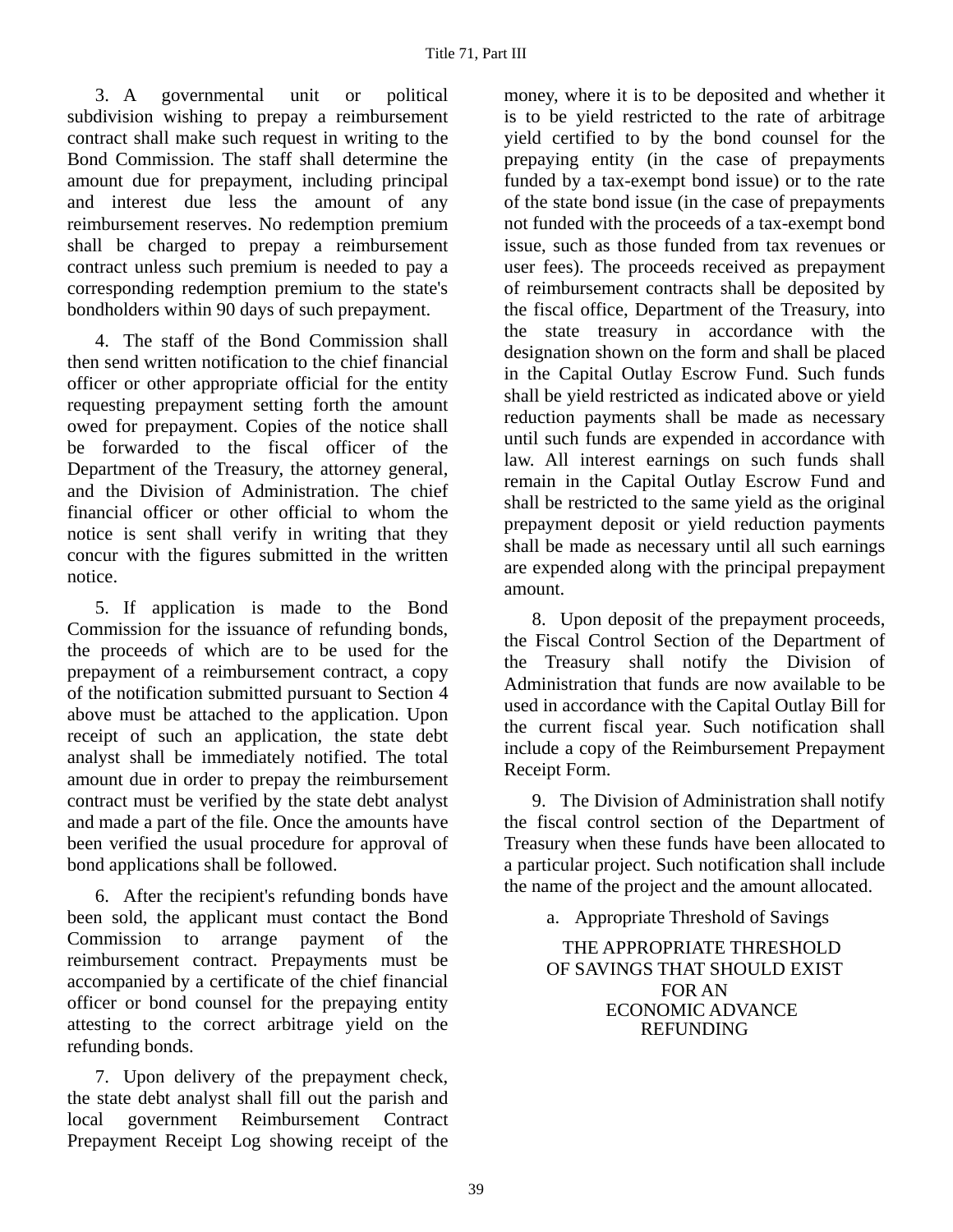3. A governmental unit or political subdivision wishing to prepay a reimbursement contract shall make such request in writing to the Bond Commission. The staff shall determine the amount due for prepayment, including principal and interest due less the amount of any reimbursement reserves. No redemption premium shall be charged to prepay a reimbursement contract unless such premium is needed to pay a corresponding redemption premium to the state's bondholders within 90 days of such prepayment.

4. The staff of the Bond Commission shall then send written notification to the chief financial officer or other appropriate official for the entity requesting prepayment setting forth the amount owed for prepayment. Copies of the notice shall be forwarded to the fiscal officer of the Department of the Treasury, the attorney general, and the Division of Administration. The chief financial officer or other official to whom the notice is sent shall verify in writing that they concur with the figures submitted in the written notice.

5. If application is made to the Bond Commission for the issuance of refunding bonds, the proceeds of which are to be used for the prepayment of a reimbursement contract, a copy of the notification submitted pursuant to Section 4 above must be attached to the application. Upon receipt of such an application, the state debt analyst shall be immediately notified. The total amount due in order to prepay the reimbursement contract must be verified by the state debt analyst and made a part of the file. Once the amounts have been verified the usual procedure for approval of bond applications shall be followed.

6. After the recipient's refunding bonds have been sold, the applicant must contact the Bond Commission to arrange payment of the reimbursement contract. Prepayments must be accompanied by a certificate of the chief financial officer or bond counsel for the prepaying entity attesting to the correct arbitrage yield on the refunding bonds.

7. Upon delivery of the prepayment check, the state debt analyst shall fill out the parish and local government Reimbursement Contract Prepayment Receipt Log showing receipt of the

money, where it is to be deposited and whether it is to be yield restricted to the rate of arbitrage yield certified to by the bond counsel for the prepaying entity (in the case of prepayments funded by a tax-exempt bond issue) or to the rate of the state bond issue (in the case of prepayments not funded with the proceeds of a tax-exempt bond issue, such as those funded from tax revenues or user fees). The proceeds received as prepayment of reimbursement contracts shall be deposited by the fiscal office, Department of the Treasury, into the state treasury in accordance with the designation shown on the form and shall be placed in the Capital Outlay Escrow Fund. Such funds shall be yield restricted as indicated above or yield reduction payments shall be made as necessary until such funds are expended in accordance with law. All interest earnings on such funds shall remain in the Capital Outlay Escrow Fund and shall be restricted to the same yield as the original prepayment deposit or yield reduction payments shall be made as necessary until all such earnings are expended along with the principal prepayment amount.

8. Upon deposit of the prepayment proceeds, the Fiscal Control Section of the Department of the Treasury shall notify the Division of Administration that funds are now available to be used in accordance with the Capital Outlay Bill for the current fiscal year. Such notification shall include a copy of the Reimbursement Prepayment Receipt Form.

9. The Division of Administration shall notify the fiscal control section of the Department of Treasury when these funds have been allocated to a particular project. Such notification shall include the name of the project and the amount allocated.

a. Appropriate Threshold of Savings

THE APPROPRIATE THRESHOLD OF SAVINGS THAT SHOULD EXIST FOR AN ECONOMIC ADVANCE REFUNDING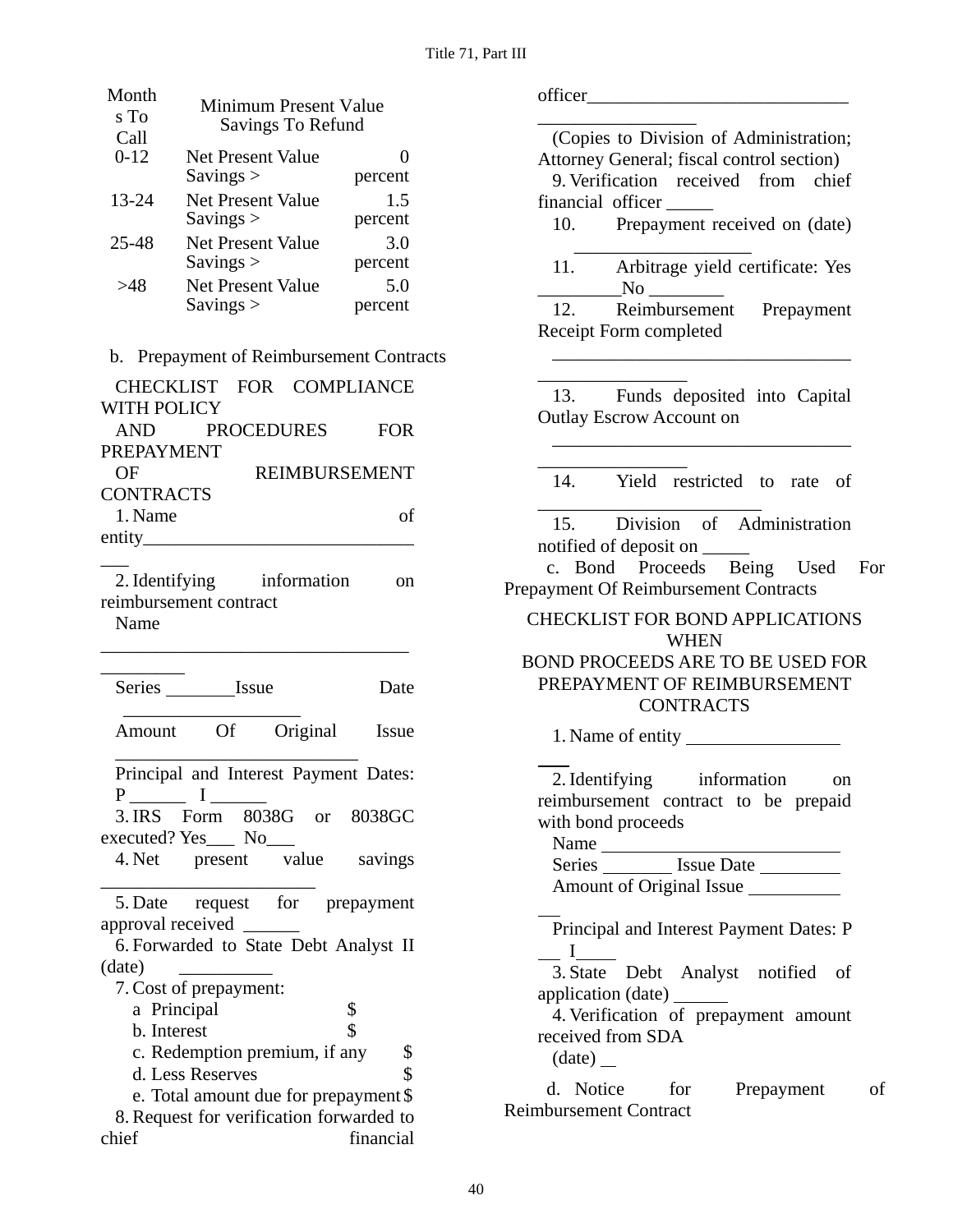| Month<br>s To<br>Call                       | Minimum Present Value<br>Savings To Refund |                   |  |
|---------------------------------------------|--------------------------------------------|-------------------|--|
| $0 - 12$                                    | Net Present Value                          | 0                 |  |
|                                             | Savings $>$                                | percent           |  |
| 13-24                                       | <b>Net Present Value</b>                   | 1.5               |  |
|                                             | Savings $>$                                | percent           |  |
| 25-48                                       | Net Present Value                          | 3.0               |  |
|                                             | Savings $>$                                | percent           |  |
| >48                                         | Net Present Value                          | 5.0               |  |
|                                             | Savings >                                  | percent           |  |
|                                             |                                            |                   |  |
| Prepayment of Reimbursement Contracts<br>b. |                                            |                   |  |
|                                             | IECKLIST<br><b>FOR</b>                     | <b>COMPLIANCE</b> |  |

| <b>WITH POLICY</b> |                      |            |
|--------------------|----------------------|------------|
|                    | AND PROCEDURES       | <b>FOR</b> |
| PREPAYMENT         |                      |            |
| OF                 | <b>REIMBURSEMENT</b> |            |
| <b>CONTRACTS</b>   |                      |            |
| 1. Name            |                      | οf         |
| entity__________   |                      |            |

2. Identifying information on reimbursement contract

\_\_\_\_\_\_\_\_\_\_\_\_\_\_\_\_\_\_\_\_\_\_\_\_\_\_\_\_\_\_\_\_\_

Name

\_\_\_

| Series Issue              |                               |             | Date                                     |
|---------------------------|-------------------------------|-------------|------------------------------------------|
| Amount                    |                               | Of Original | Issue                                    |
|                           |                               |             | Principal and Interest Payment Dates:    |
|                           | $\mathbf{I}$                  |             |                                          |
|                           |                               |             | 3. IRS Form 8038G or 8038GC              |
| executed? $Yes$ No $\_\_$ |                               |             |                                          |
| 4. Net present value      |                               |             | savings                                  |
|                           |                               |             | 5. Date request for prepayment           |
| approval received         |                               |             |                                          |
|                           |                               |             | 6. Forwarded to State Debt Analyst II    |
| (date)                    |                               |             |                                          |
| 7. Cost of prepayment:    |                               |             |                                          |
| a Principal               |                               |             | \$                                       |
| b. Interest               |                               |             | \$                                       |
|                           | c. Redemption premium, if any |             | \$                                       |
|                           | d. Less Reserves              |             | \$                                       |
|                           |                               |             | e. Total amount due for prepayment \$    |
|                           |                               |             | 8. Request for verification forwarded to |
| chief                     |                               |             | financial                                |

officer\_\_\_\_\_\_\_\_\_\_\_\_\_\_\_\_\_\_\_\_\_\_\_\_\_\_\_\_ \_\_\_\_\_\_\_\_\_\_\_\_\_\_\_\_\_ (Copies to Division of Administration; Attorney General; fiscal control section) 9. Verification received from chief financial officer \_\_\_\_\_ 10. Prepayment received on (date)  $\overline{\phantom{a}}$  ,  $\overline{\phantom{a}}$  ,  $\overline{\phantom{a}}$  ,  $\overline{\phantom{a}}$  ,  $\overline{\phantom{a}}$  ,  $\overline{\phantom{a}}$  ,  $\overline{\phantom{a}}$  ,  $\overline{\phantom{a}}$  ,  $\overline{\phantom{a}}$  ,  $\overline{\phantom{a}}$  ,  $\overline{\phantom{a}}$  ,  $\overline{\phantom{a}}$  ,  $\overline{\phantom{a}}$  ,  $\overline{\phantom{a}}$  ,  $\overline{\phantom{a}}$  ,  $\overline{\phantom{a}}$ 11. Arbitrage yield certificate: Yes  $\rm No$ 12. Reimbursement Prepayment Receipt Form completed \_\_\_\_\_\_\_\_\_\_\_\_\_\_\_\_\_\_\_\_\_\_\_\_\_\_\_\_\_\_\_\_ \_\_\_\_\_\_\_\_\_\_\_\_\_\_\_\_ 13. Funds deposited into Capital Outlay Escrow Account on \_\_\_\_\_\_\_\_\_\_\_\_\_\_\_\_\_\_\_\_\_\_\_\_\_\_\_\_\_\_\_\_ \_\_\_\_\_\_\_\_\_\_\_\_\_\_\_\_ 14. Yield restricted to rate of \_\_\_\_\_\_\_\_\_\_\_\_\_\_\_\_\_\_\_\_\_\_\_\_ 15. Division of Administration notified of deposit on \_\_\_\_\_ c. Bond Proceeds Being Used For Prepayment Of Reimbursement Contracts CHECKLIST FOR BOND APPLICATIONS WHEN BOND PROCEEDS ARE TO BE USED FOR PREPAYMENT OF REIMBURSEMENT CONTRACTS 1. Name of entity 2. Identifying information on reimbursement contract to be prepaid with bond proceeds Name Series Issue Date Amount of Original Issue Principal and Interest Payment Dates: P I 3. State Debt Analyst notified of application (date) 4. Verification of prepayment amount

received from SDA

(date)

d. Notice for Prepayment of Reimbursement Contract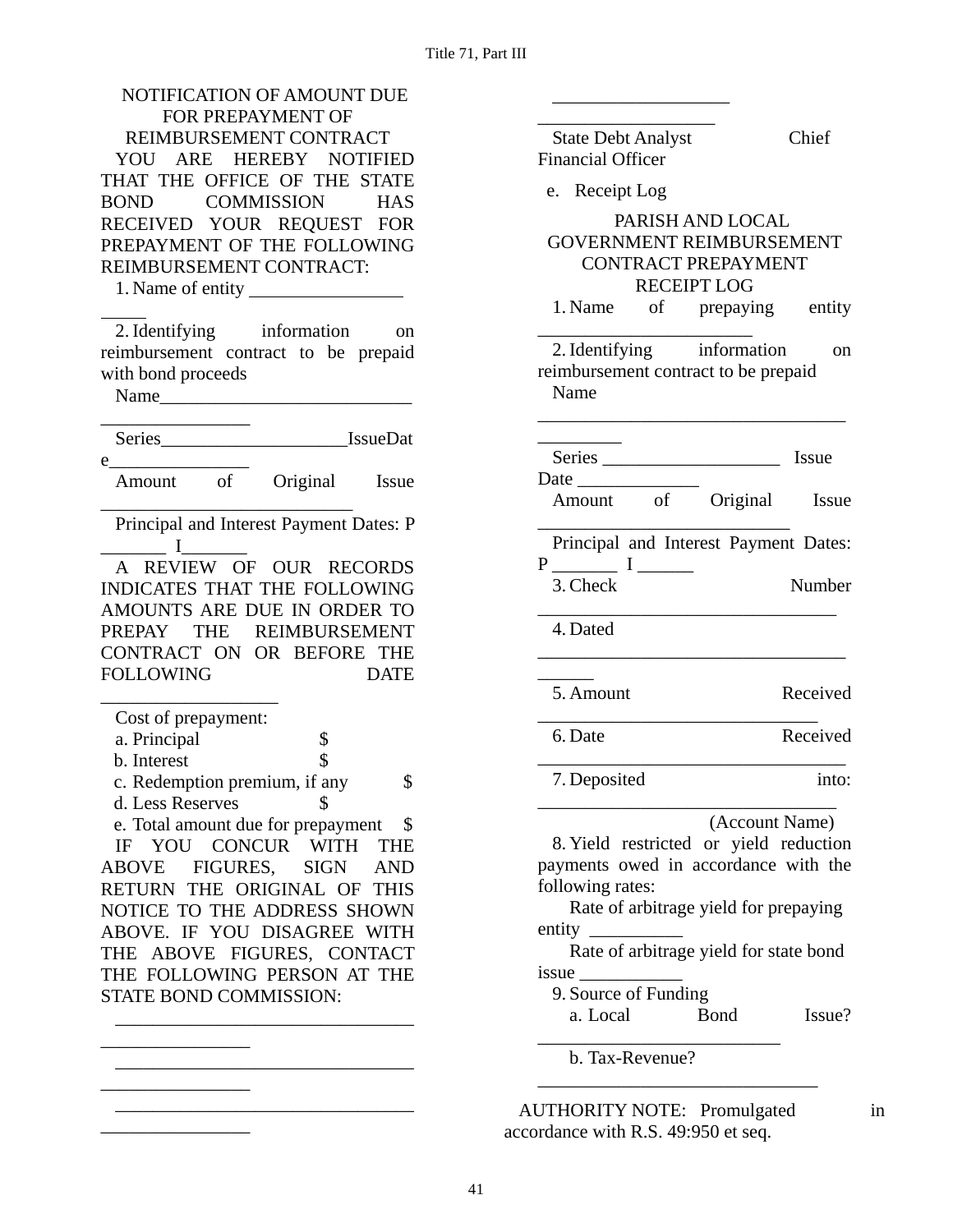| NOTIFICATION OF AMOUNT DUE                            |                                                                                                                      |                     |
|-------------------------------------------------------|----------------------------------------------------------------------------------------------------------------------|---------------------|
| FOR PREPAYMENT OF                                     |                                                                                                                      |                     |
| REIMBURSEMENT CONTRACT                                | <b>State Debt Analyst</b>                                                                                            | Chief               |
| YOU ARE HEREBY NOTIFIED                               | <b>Financial Officer</b>                                                                                             |                     |
| THAT THE OFFICE OF THE STATE                          | e. Receipt Log                                                                                                       |                     |
| <b>COMMISSION</b><br><b>BOND</b><br><b>HAS</b>        |                                                                                                                      |                     |
| RECEIVED YOUR REQUEST FOR                             | PARISH AND LOCAL                                                                                                     |                     |
| PREPAYMENT OF THE FOLLOWING                           | GOVERNMENT REIMBURSEMENT                                                                                             |                     |
| REIMBURSEMENT CONTRACT:                               | <b>CONTRACT PREPAYMENT</b>                                                                                           |                     |
|                                                       | <b>RECEIPT LOG</b>                                                                                                   |                     |
|                                                       | 1. Name                                                                                                              | of prepaying entity |
| 2. Identifying information<br>on                      |                                                                                                                      |                     |
| reimbursement contract to be prepaid                  | 2. Identifying information                                                                                           | on                  |
| with bond proceeds                                    | reimbursement contract to be prepaid                                                                                 |                     |
|                                                       | Name                                                                                                                 |                     |
|                                                       |                                                                                                                      |                     |
|                                                       |                                                                                                                      |                     |
|                                                       | Series                                                                                                               | Issue               |
| Amount of Original Issue                              |                                                                                                                      |                     |
|                                                       | Amount of Original Issue                                                                                             |                     |
| Principal and Interest Payment Dates: P               |                                                                                                                      |                     |
| $\mathbf I$                                           | Principal and Interest Payment Dates:                                                                                |                     |
| A REVIEW OF OUR RECORDS                               |                                                                                                                      | Number              |
| INDICATES THAT THE FOLLOWING                          | 3. Check                                                                                                             |                     |
| AMOUNTS ARE DUE IN ORDER TO                           |                                                                                                                      |                     |
| PREPAY THE REIMBURSEMENT                              | 4. Dated                                                                                                             |                     |
| CONTRACT ON OR BEFORE THE                             |                                                                                                                      |                     |
| <b>FOLLOWING</b><br><b>DATE</b>                       | 5. Amount                                                                                                            | Received            |
|                                                       |                                                                                                                      |                     |
| Cost of prepayment:                                   | 6. Date                                                                                                              | Received            |
| \$<br>a. Principal                                    |                                                                                                                      |                     |
| b. Interest                                           |                                                                                                                      | into:               |
| c. Redemption premium, if any<br>\$                   | 7. Deposited                                                                                                         |                     |
| d. Less Reserves<br>S                                 |                                                                                                                      | (Account Name)      |
| e. Total amount due for prepayment<br>\$              | 8. Yield restricted or yield reduction                                                                               |                     |
| YOU CONCUR WITH<br><b>THE</b><br>IF                   | payments owed in accordance with the                                                                                 |                     |
| <b>ABOVE</b><br>FIGURES,<br><b>SIGN</b><br><b>AND</b> | following rates:                                                                                                     |                     |
| RETURN THE ORIGINAL OF THIS                           | Rate of arbitrage yield for prepaying                                                                                |                     |
| NOTICE TO THE ADDRESS SHOWN                           |                                                                                                                      |                     |
| ABOVE. IF YOU DISAGREE WITH                           | entity $\frac{1}{\sqrt{1-\frac{1}{2}}\cdot\frac{1}{\sqrt{1-\frac{1}{2}}}}$<br>Rate of arbitrage yield for state bond |                     |
| THE ABOVE FIGURES, CONTACT                            |                                                                                                                      |                     |
| THE FOLLOWING PERSON AT THE                           | is sue<br>9. Source of Funding                                                                                       |                     |
| STATE BOND COMMISSION:                                | a. Local<br><b>Bond</b>                                                                                              | Issue?              |
|                                                       |                                                                                                                      |                     |
|                                                       | b. Tax-Revenue?                                                                                                      |                     |
|                                                       |                                                                                                                      |                     |
|                                                       |                                                                                                                      |                     |
|                                                       | <b>AUTHORITY NOTE: Promulgated</b>                                                                                   | in                  |
|                                                       | accordance with R.S. 49:950 et seq.                                                                                  |                     |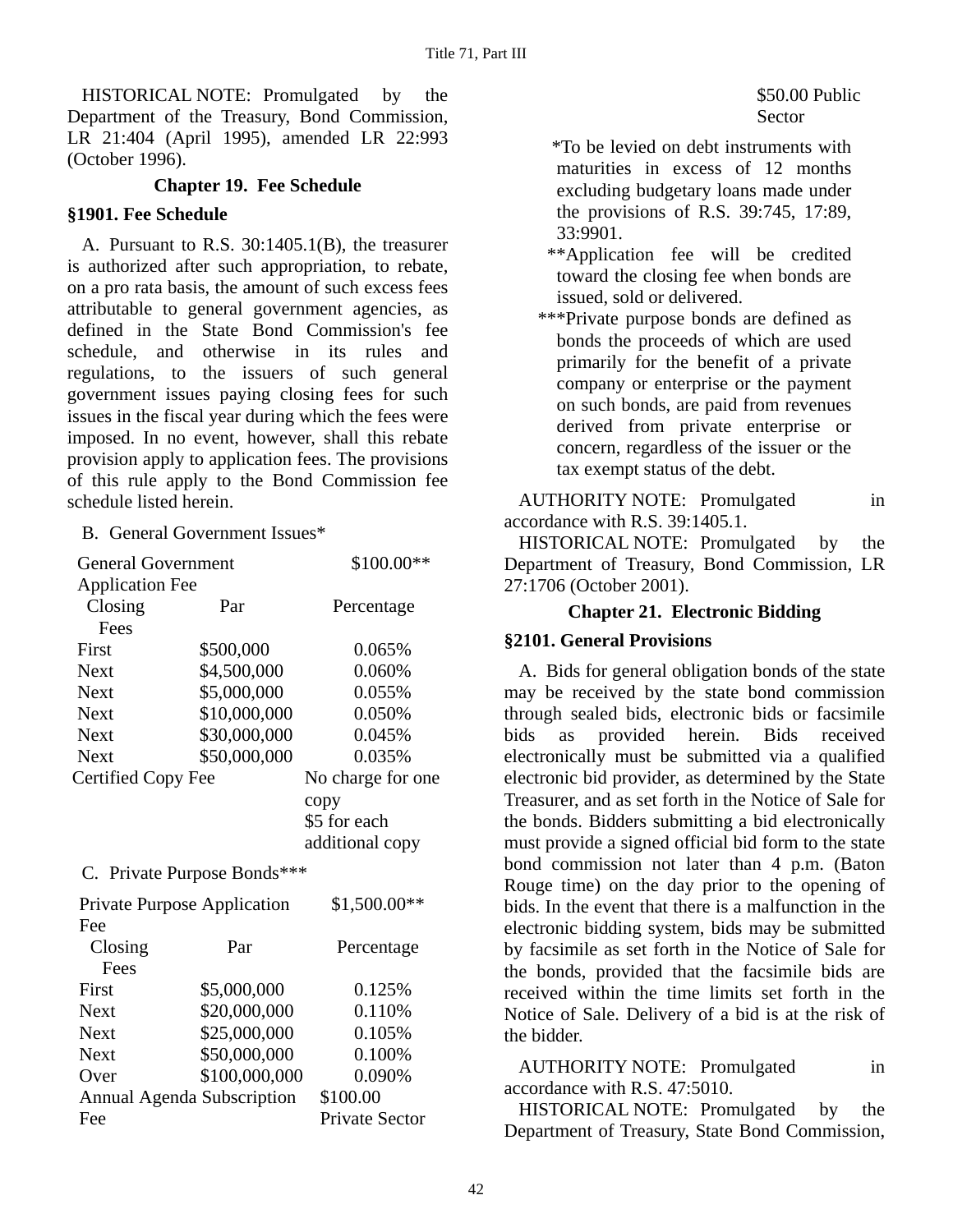HISTORICAL NOTE: Promulgated by the Department of the Treasury, Bond Commission, LR 21:404 (April 1995), amended LR 22:993 (October 1996).

### **Chapter 19. Fee Schedule**

#### **§1901. Fee Schedule**

A. Pursuant to R.S. 30:1405.1(B), the treasurer is authorized after such appropriation, to rebate, on a pro rata basis, the amount of such excess fees attributable to general government agencies, as defined in the State Bond Commission's fee schedule, and otherwise in its rules and regulations, to the issuers of such general government issues paying closing fees for such issues in the fiscal year during which the fees were imposed. In no event, however, shall this rebate provision apply to application fees. The provisions of this rule apply to the Bond Commission fee schedule listed herein.

B. General Government Issues\*

| <b>General Government</b> |                             | \$100.00**        |
|---------------------------|-----------------------------|-------------------|
| <b>Application Fee</b>    |                             |                   |
| Closing                   | Par                         | Percentage        |
| Fees                      |                             |                   |
| First                     | \$500,000                   | 0.065%            |
| <b>Next</b>               | \$4,500,000                 | 0.060%            |
| <b>Next</b>               | \$5,000,000                 | 0.055%            |
| <b>Next</b>               | \$10,000,000                | 0.050%            |
| <b>Next</b>               | \$30,000,000                | 0.045%            |
| <b>Next</b>               | \$50,000,000                | 0.035%            |
| Certified Copy Fee        |                             | No charge for one |
|                           |                             | copy              |
|                           |                             | \$5 for each      |
|                           |                             | additional copy   |
|                           | C. Private Purpose Bonds*** |                   |
|                           |                             |                   |

| <b>Private Purpose Application</b> |               | $$1,500.00**$         |
|------------------------------------|---------------|-----------------------|
| Fee                                |               |                       |
| Closing                            | Par           | Percentage            |
| Fees                               |               |                       |
| First                              | \$5,000,000   | 0.125%                |
| <b>Next</b>                        | \$20,000,000  | 0.110%                |
| <b>Next</b>                        | \$25,000,000  | 0.105%                |
| <b>Next</b>                        | \$50,000,000  | 0.100%                |
| Over                               | \$100,000,000 | 0.090%                |
| Annual Agenda Subscription         |               | \$100.00              |
| Fee                                |               | <b>Private Sector</b> |

 \*To be levied on debt instruments with maturities in excess of 12 months excluding budgetary loans made under the provisions of R.S. 39:745, 17:89, 33:9901.

- \*\*Application fee will be credited toward the closing fee when bonds are issued, sold or delivered.
- \*\*\*Private purpose bonds are defined as bonds the proceeds of which are used primarily for the benefit of a private company or enterprise or the payment on such bonds, are paid from revenues derived from private enterprise or concern, regardless of the issuer or the tax exempt status of the debt.

AUTHORITY NOTE: Promulgated in accordance with R.S. 39:1405.1.

HISTORICAL NOTE: Promulgated by the Department of Treasury, Bond Commission, LR 27:1706 (October 2001).

#### **Chapter 21. Electronic Bidding**

#### **§2101. General Provisions**

A. Bids for general obligation bonds of the state may be received by the state bond commission through sealed bids, electronic bids or facsimile bids as provided herein. Bids received electronically must be submitted via a qualified electronic bid provider, as determined by the State Treasurer, and as set forth in the Notice of Sale for the bonds. Bidders submitting a bid electronically must provide a signed official bid form to the state bond commission not later than 4 p.m. (Baton Rouge time) on the day prior to the opening of bids. In the event that there is a malfunction in the electronic bidding system, bids may be submitted by facsimile as set forth in the Notice of Sale for the bonds, provided that the facsimile bids are received within the time limits set forth in the Notice of Sale. Delivery of a bid is at the risk of the bidder.

AUTHORITY NOTE: Promulgated in accordance with R.S. 47:5010.

HISTORICAL NOTE: Promulgated by the Department of Treasury, State Bond Commission,